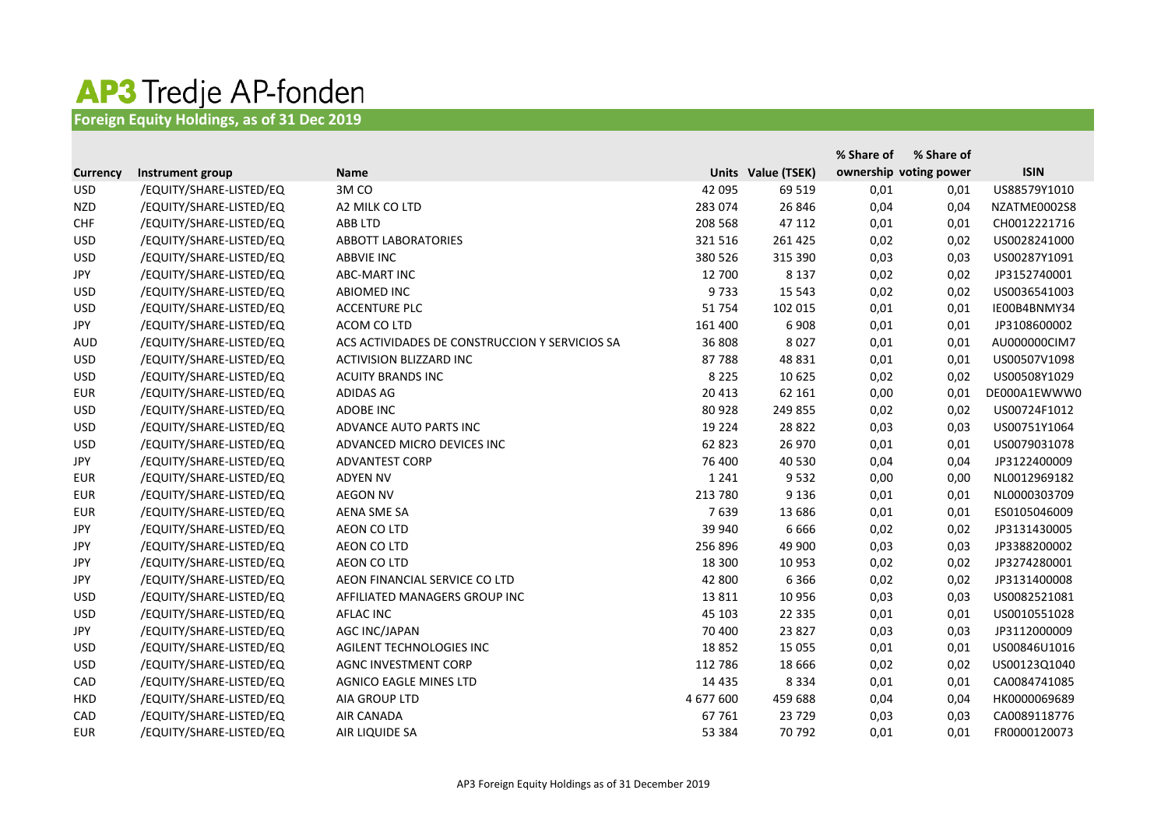## AP3 Tredje AP-fonden

## **Foreign Equity Holdings, as of 31 Dec 2019**

|                 |                         |                                                |           |                    | % Share of | % Share of             |              |
|-----------------|-------------------------|------------------------------------------------|-----------|--------------------|------------|------------------------|--------------|
| <b>Currency</b> | Instrument group        | <b>Name</b>                                    |           | Units Value (TSEK) |            | ownership voting power | <b>ISIN</b>  |
| <b>USD</b>      | /EQUITY/SHARE-LISTED/EQ | 3MCO                                           | 42 095    | 69 519             | 0,01       | 0,01                   | US88579Y1010 |
| <b>NZD</b>      | /EQUITY/SHARE-LISTED/EQ | A2 MILK CO LTD                                 | 283 074   | 26 846             | 0,04       | 0,04                   | NZATME0002S8 |
| <b>CHF</b>      | /EQUITY/SHARE-LISTED/EQ | <b>ABB LTD</b>                                 | 208 568   | 47 112             | 0,01       | 0,01                   | CH0012221716 |
| <b>USD</b>      | /EQUITY/SHARE-LISTED/EQ | <b>ABBOTT LABORATORIES</b>                     | 321 516   | 261 425            | 0,02       | 0,02                   | US0028241000 |
| <b>USD</b>      | /EQUITY/SHARE-LISTED/EQ | <b>ABBVIE INC</b>                              | 380 526   | 315 390            | 0,03       | 0,03                   | US00287Y1091 |
| <b>JPY</b>      | /EQUITY/SHARE-LISTED/EQ | <b>ABC-MART INC</b>                            | 12 700    | 8 1 3 7            | 0,02       | 0,02                   | JP3152740001 |
| <b>USD</b>      | /EQUITY/SHARE-LISTED/EQ | <b>ABIOMED INC</b>                             | 9733      | 15 5 43            | 0,02       | 0,02                   | US0036541003 |
| <b>USD</b>      | /EQUITY/SHARE-LISTED/EQ | <b>ACCENTURE PLC</b>                           | 51 754    | 102 015            | 0,01       | 0,01                   | IE00B4BNMY34 |
| <b>JPY</b>      | /EQUITY/SHARE-LISTED/EQ | ACOM CO LTD                                    | 161 400   | 6 9 0 8            | 0,01       | 0,01                   | JP3108600002 |
| <b>AUD</b>      | /EQUITY/SHARE-LISTED/EQ | ACS ACTIVIDADES DE CONSTRUCCION Y SERVICIOS SA | 36 808    | 8 0 2 7            | 0,01       | 0,01                   | AU000000CIM7 |
| <b>USD</b>      | /EQUITY/SHARE-LISTED/EQ | <b>ACTIVISION BLIZZARD INC</b>                 | 87788     | 48 8 31            | 0,01       | 0,01                   | US00507V1098 |
| <b>USD</b>      | /EQUITY/SHARE-LISTED/EQ | <b>ACUITY BRANDS INC</b>                       | 8 2 2 5   | 10 625             | 0,02       | 0,02                   | US00508Y1029 |
| <b>EUR</b>      | /EQUITY/SHARE-LISTED/EQ | <b>ADIDAS AG</b>                               | 20 413    | 62 161             | 0,00       | 0,01                   | DE000A1EWWW0 |
| <b>USD</b>      | /EQUITY/SHARE-LISTED/EQ | <b>ADOBE INC</b>                               | 80 928    | 249 855            | 0,02       | 0,02                   | US00724F1012 |
| <b>USD</b>      | /EQUITY/SHARE-LISTED/EQ | ADVANCE AUTO PARTS INC                         | 19 2 24   | 28 8 22            | 0,03       | 0,03                   | US00751Y1064 |
| <b>USD</b>      | /EQUITY/SHARE-LISTED/EQ | ADVANCED MICRO DEVICES INC                     | 62 823    | 26 970             | 0,01       | 0,01                   | US0079031078 |
| <b>JPY</b>      | /EQUITY/SHARE-LISTED/EQ | <b>ADVANTEST CORP</b>                          | 76 400    | 40 530             | 0,04       | 0,04                   | JP3122400009 |
| <b>EUR</b>      | /EQUITY/SHARE-LISTED/EQ | <b>ADYEN NV</b>                                | 1 2 4 1   | 9532               | 0,00       | 0,00                   | NL0012969182 |
| <b>EUR</b>      | /EQUITY/SHARE-LISTED/EQ | <b>AEGON NV</b>                                | 213 780   | 9 1 3 6            | 0,01       | 0,01                   | NL0000303709 |
| <b>EUR</b>      | /EQUITY/SHARE-LISTED/EQ | <b>AENA SME SA</b>                             | 7639      | 13 686             | 0,01       | 0,01                   | ES0105046009 |
| <b>JPY</b>      | /EQUITY/SHARE-LISTED/EQ | <b>AEON CO LTD</b>                             | 39 940    | 6 6 6 6            | 0,02       | 0,02                   | JP3131430005 |
| JPY             | /EQUITY/SHARE-LISTED/EQ | <b>AEON CO LTD</b>                             | 256 896   | 49 900             | 0,03       | 0,03                   | JP3388200002 |
| <b>JPY</b>      | /EQUITY/SHARE-LISTED/EQ | <b>AEON CO LTD</b>                             | 18 300    | 10 953             | 0,02       | 0,02                   | JP3274280001 |
| <b>JPY</b>      | /EQUITY/SHARE-LISTED/EQ | AEON FINANCIAL SERVICE CO LTD                  | 42 800    | 6366               | 0,02       | 0,02                   | JP3131400008 |
| <b>USD</b>      | /EQUITY/SHARE-LISTED/EQ | AFFILIATED MANAGERS GROUP INC                  | 13 8 11   | 10 956             | 0,03       | 0,03                   | US0082521081 |
| <b>USD</b>      | /EQUITY/SHARE-LISTED/EQ | <b>AFLAC INC</b>                               | 45 103    | 22 3 35            | 0,01       | 0,01                   | US0010551028 |
| JPY             | /EQUITY/SHARE-LISTED/EQ | <b>AGC INC/JAPAN</b>                           | 70 400    | 23 8 27            | 0,03       | 0,03                   | JP3112000009 |
| <b>USD</b>      | /EQUITY/SHARE-LISTED/EQ | AGILENT TECHNOLOGIES INC                       | 18852     | 15 0 55            | 0,01       | 0,01                   | US00846U1016 |
| <b>USD</b>      | /EQUITY/SHARE-LISTED/EQ | AGNC INVESTMENT CORP                           | 112 786   | 18 6 66            | 0,02       | 0,02                   | US00123Q1040 |
| CAD             | /EQUITY/SHARE-LISTED/EQ | <b>AGNICO EAGLE MINES LTD</b>                  | 14 4 35   | 8 3 3 4            | 0,01       | 0,01                   | CA0084741085 |
| <b>HKD</b>      | /EQUITY/SHARE-LISTED/EQ | AIA GROUP LTD                                  | 4 677 600 | 459 688            | 0,04       | 0,04                   | HK0000069689 |
| CAD             | /EQUITY/SHARE-LISTED/EQ | <b>AIR CANADA</b>                              | 67761     | 23 7 29            | 0,03       | 0,03                   | CA0089118776 |
| <b>EUR</b>      | /EQUITY/SHARE-LISTED/EQ | AIR LIQUIDE SA                                 | 53 384    | 70 792             | 0,01       | 0,01                   | FR0000120073 |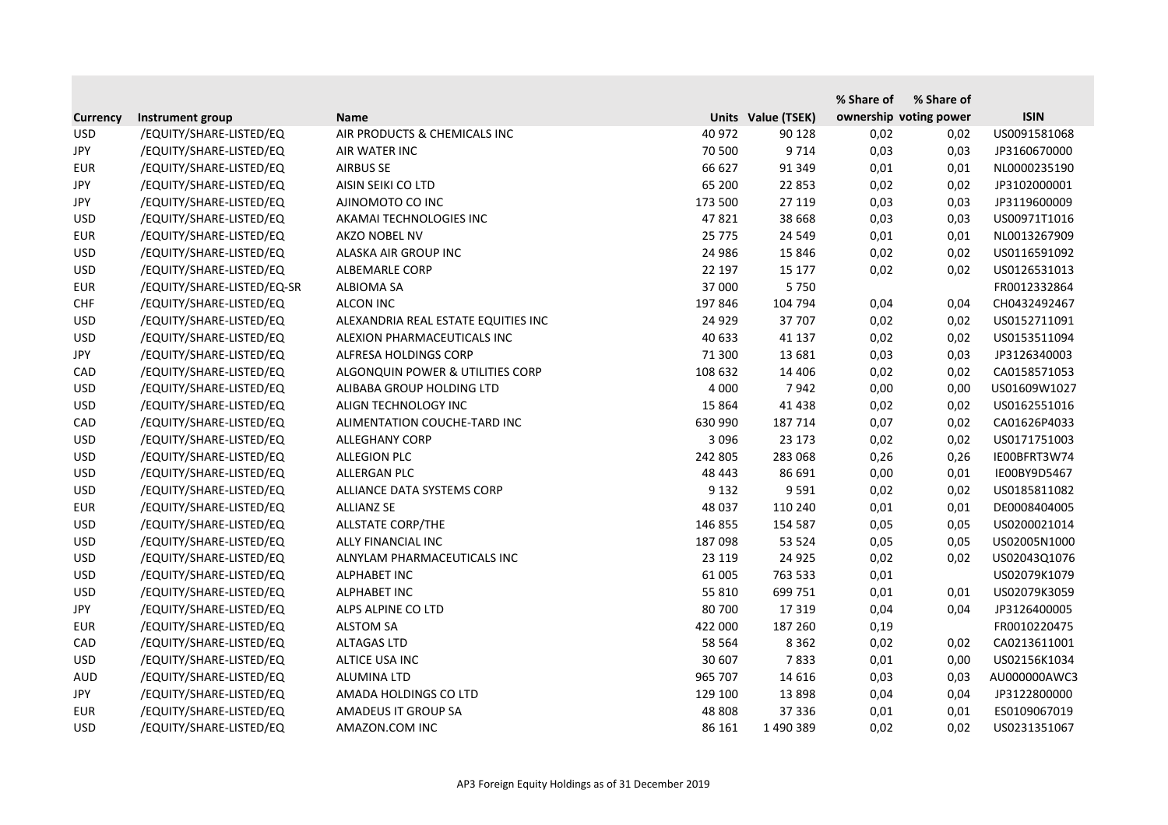|                 |                            |                                     |          |                    | % Share of | % Share of             |              |
|-----------------|----------------------------|-------------------------------------|----------|--------------------|------------|------------------------|--------------|
| <b>Currency</b> | Instrument group           | <b>Name</b>                         |          | Units Value (TSEK) |            | ownership voting power | <b>ISIN</b>  |
| <b>USD</b>      | /EQUITY/SHARE-LISTED/EQ    | AIR PRODUCTS & CHEMICALS INC        | 40 972   | 90 128             | 0,02       | 0,02                   | US0091581068 |
| JPY             | /EQUITY/SHARE-LISTED/EQ    | AIR WATER INC                       | 70 500   | 9 7 1 4            | 0,03       | 0,03                   | JP3160670000 |
| <b>EUR</b>      | /EQUITY/SHARE-LISTED/EQ    | <b>AIRBUS SE</b>                    | 66 627   | 91 349             | 0,01       | 0,01                   | NL0000235190 |
| <b>JPY</b>      | /EQUITY/SHARE-LISTED/EQ    | AISIN SEIKI CO LTD                  | 65 200   | 22 853             | 0,02       | 0,02                   | JP3102000001 |
| JPY             | /EQUITY/SHARE-LISTED/EQ    | AJINOMOTO CO INC                    | 173 500  | 27 119             | 0,03       | 0,03                   | JP3119600009 |
| <b>USD</b>      | /EQUITY/SHARE-LISTED/EQ    | AKAMAI TECHNOLOGIES INC             | 47821    | 38 6 68            | 0,03       | 0,03                   | US00971T1016 |
| <b>EUR</b>      | /EQUITY/SHARE-LISTED/EQ    | AKZO NOBEL NV                       | 25 7 7 5 | 24 5 4 9           | 0,01       | 0,01                   | NL0013267909 |
| <b>USD</b>      | /EQUITY/SHARE-LISTED/EQ    | ALASKA AIR GROUP INC                | 24 986   | 15 8 46            | 0,02       | 0,02                   | US0116591092 |
| <b>USD</b>      | /EQUITY/SHARE-LISTED/EQ    | <b>ALBEMARLE CORP</b>               | 22 197   | 15 177             | 0,02       | 0,02                   | US0126531013 |
| <b>EUR</b>      | /EQUITY/SHARE-LISTED/EQ-SR | <b>ALBIOMA SA</b>                   | 37 000   | 5750               |            |                        | FR0012332864 |
| <b>CHF</b>      | /EQUITY/SHARE-LISTED/EQ    | <b>ALCON INC</b>                    | 197 846  | 104 794            | 0,04       | 0,04                   | CH0432492467 |
| <b>USD</b>      | /EQUITY/SHARE-LISTED/EQ    | ALEXANDRIA REAL ESTATE EQUITIES INC | 24 9 29  | 37 707             | 0,02       | 0,02                   | US0152711091 |
| <b>USD</b>      | /EQUITY/SHARE-LISTED/EQ    | ALEXION PHARMACEUTICALS INC         | 40 633   | 41 137             | 0,02       | 0,02                   | US0153511094 |
| <b>JPY</b>      | /EQUITY/SHARE-LISTED/EQ    | ALFRESA HOLDINGS CORP               | 71 300   | 13 681             | 0,03       | 0,03                   | JP3126340003 |
| CAD             | /EQUITY/SHARE-LISTED/EQ    | ALGONQUIN POWER & UTILITIES CORP    | 108 632  | 14 40 6            | 0,02       | 0,02                   | CA0158571053 |
| <b>USD</b>      | /EQUITY/SHARE-LISTED/EQ    | ALIBABA GROUP HOLDING LTD           | 4 0 0 0  | 7942               | 0,00       | 0,00                   | US01609W1027 |
| <b>USD</b>      | /EQUITY/SHARE-LISTED/EQ    | ALIGN TECHNOLOGY INC                | 15 8 64  | 41 4 38            | 0,02       | 0,02                   | US0162551016 |
| CAD             | /EQUITY/SHARE-LISTED/EQ    | ALIMENTATION COUCHE-TARD INC        | 630 990  | 187 714            | 0,07       | 0,02                   | CA01626P4033 |
| <b>USD</b>      | /EQUITY/SHARE-LISTED/EQ    | <b>ALLEGHANY CORP</b>               | 3 0 9 6  | 23 173             | 0,02       | 0,02                   | US0171751003 |
| <b>USD</b>      | /EQUITY/SHARE-LISTED/EQ    | <b>ALLEGION PLC</b>                 | 242 805  | 283 068            | 0,26       | 0,26                   | IE00BFRT3W74 |
| <b>USD</b>      | /EQUITY/SHARE-LISTED/EQ    | ALLERGAN PLC                        | 48 443   | 86 691             | 0,00       | 0,01                   | IE00BY9D5467 |
| <b>USD</b>      | /EQUITY/SHARE-LISTED/EQ    | ALLIANCE DATA SYSTEMS CORP          | 9 1 3 2  | 9 5 9 1            | 0,02       | 0,02                   | US0185811082 |
| <b>EUR</b>      | /EQUITY/SHARE-LISTED/EQ    | <b>ALLIANZ SE</b>                   | 48 037   | 110 240            | 0,01       | 0,01                   | DE0008404005 |
| <b>USD</b>      | /EQUITY/SHARE-LISTED/EQ    | <b>ALLSTATE CORP/THE</b>            | 146 855  | 154 587            | 0,05       | 0,05                   | US0200021014 |
| <b>USD</b>      | /EQUITY/SHARE-LISTED/EQ    | ALLY FINANCIAL INC                  | 187 098  | 53 5 24            | 0,05       | 0,05                   | US02005N1000 |
| <b>USD</b>      | /EQUITY/SHARE-LISTED/EQ    | ALNYLAM PHARMACEUTICALS INC         | 23 119   | 24 9 25            | 0,02       | 0,02                   | US02043Q1076 |
| <b>USD</b>      | /EQUITY/SHARE-LISTED/EQ    | <b>ALPHABET INC</b>                 | 61 005   | 763 533            | 0,01       |                        | US02079K1079 |
| <b>USD</b>      | /EQUITY/SHARE-LISTED/EQ    | <b>ALPHABET INC</b>                 | 55 810   | 699 751            | 0,01       | 0,01                   | US02079K3059 |
| <b>JPY</b>      | /EQUITY/SHARE-LISTED/EQ    | ALPS ALPINE CO LTD                  | 80 700   | 17 319             | 0,04       | 0,04                   | JP3126400005 |
| <b>EUR</b>      | /EQUITY/SHARE-LISTED/EQ    | <b>ALSTOM SA</b>                    | 422 000  | 187 260            | 0,19       |                        | FR0010220475 |
| CAD             | /EQUITY/SHARE-LISTED/EQ    | <b>ALTAGAS LTD</b>                  | 58 564   | 8 3 6 2            | 0,02       | 0,02                   | CA0213611001 |
| <b>USD</b>      | /EQUITY/SHARE-LISTED/EQ    | ALTICE USA INC                      | 30 607   | 7833               | 0,01       | 0,00                   | US02156K1034 |
| <b>AUD</b>      | /EQUITY/SHARE-LISTED/EQ    | ALUMINA LTD                         | 965 707  | 14 616             | 0,03       | 0,03                   | AU000000AWC3 |
| JPY             | /EQUITY/SHARE-LISTED/EQ    | AMADA HOLDINGS CO LTD               | 129 100  | 13898              | 0,04       | 0,04                   | JP3122800000 |
| <b>EUR</b>      | /EQUITY/SHARE-LISTED/EQ    | AMADEUS IT GROUP SA                 | 48 808   | 37 336             | 0,01       | 0,01                   | ES0109067019 |
| <b>USD</b>      | /EQUITY/SHARE-LISTED/EQ    | AMAZON.COM INC                      | 86 161   | 1490389            | 0,02       | 0,02                   | US0231351067 |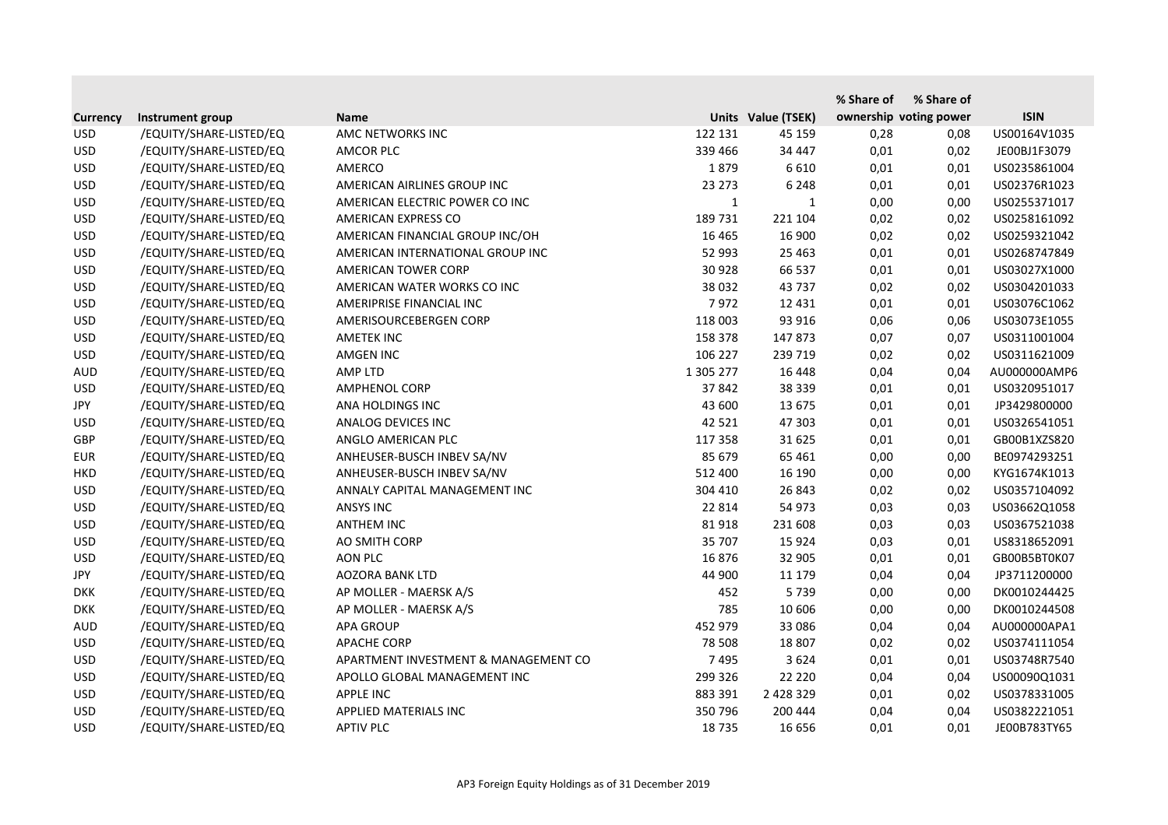|                 |                         |                                      |              |                    | % Share of | % Share of             |              |
|-----------------|-------------------------|--------------------------------------|--------------|--------------------|------------|------------------------|--------------|
| <b>Currency</b> | Instrument group        | <b>Name</b>                          |              | Units Value (TSEK) |            | ownership voting power | <b>ISIN</b>  |
| <b>USD</b>      | /EQUITY/SHARE-LISTED/EQ | AMC NETWORKS INC                     | 122 131      | 45 159             | 0,28       | 0,08                   | US00164V1035 |
| <b>USD</b>      | /EQUITY/SHARE-LISTED/EQ | <b>AMCOR PLC</b>                     | 339 466      | 34 447             | 0,01       | 0,02                   | JE00BJ1F3079 |
| <b>USD</b>      | /EQUITY/SHARE-LISTED/EQ | AMERCO                               | 1879         | 6610               | 0,01       | 0,01                   | US0235861004 |
| <b>USD</b>      | /EQUITY/SHARE-LISTED/EQ | AMERICAN AIRLINES GROUP INC          | 23 273       | 6 2 4 8            | 0,01       | 0,01                   | US02376R1023 |
| <b>USD</b>      | /EQUITY/SHARE-LISTED/EQ | AMERICAN ELECTRIC POWER CO INC       | $\mathbf{1}$ | 1                  | 0,00       | 0,00                   | US0255371017 |
| <b>USD</b>      | /EQUITY/SHARE-LISTED/EQ | AMERICAN EXPRESS CO                  | 189 731      | 221 104            | 0,02       | 0,02                   | US0258161092 |
| <b>USD</b>      | /EQUITY/SHARE-LISTED/EQ | AMERICAN FINANCIAL GROUP INC/OH      | 16 4 65      | 16 900             | 0,02       | 0,02                   | US0259321042 |
| <b>USD</b>      | /EQUITY/SHARE-LISTED/EQ | AMERICAN INTERNATIONAL GROUP INC     | 52 993       | 25 4 63            | 0,01       | 0,01                   | US0268747849 |
| <b>USD</b>      | /EQUITY/SHARE-LISTED/EQ | AMERICAN TOWER CORP                  | 30 928       | 66 537             | 0,01       | 0,01                   | US03027X1000 |
| <b>USD</b>      | /EQUITY/SHARE-LISTED/EQ | AMERICAN WATER WORKS CO INC          | 38 0 32      | 43 737             | 0,02       | 0,02                   | US0304201033 |
| <b>USD</b>      | /EQUITY/SHARE-LISTED/EQ | AMERIPRISE FINANCIAL INC             | 7972         | 12 4 31            | 0,01       | 0,01                   | US03076C1062 |
| <b>USD</b>      | /EQUITY/SHARE-LISTED/EQ | AMERISOURCEBERGEN CORP               | 118 003      | 93 916             | 0,06       | 0,06                   | US03073E1055 |
| <b>USD</b>      | /EQUITY/SHARE-LISTED/EQ | <b>AMETEK INC</b>                    | 158 378      | 147 873            | 0,07       | 0,07                   | US0311001004 |
| <b>USD</b>      | /EQUITY/SHARE-LISTED/EQ | <b>AMGEN INC</b>                     | 106 227      | 239 719            | 0,02       | 0,02                   | US0311621009 |
| <b>AUD</b>      | /EQUITY/SHARE-LISTED/EQ | AMP LTD                              | 1 305 277    | 16 4 48            | 0,04       | 0,04                   | AU000000AMP6 |
| <b>USD</b>      | /EQUITY/SHARE-LISTED/EQ | <b>AMPHENOL CORP</b>                 | 37 842       | 38 339             | 0,01       | 0,01                   | US0320951017 |
| JPY             | /EQUITY/SHARE-LISTED/EQ | ANA HOLDINGS INC                     | 43 600       | 13 675             | 0,01       | 0,01                   | JP3429800000 |
| <b>USD</b>      | /EQUITY/SHARE-LISTED/EQ | ANALOG DEVICES INC                   | 42 5 21      | 47 303             | 0,01       | 0,01                   | US0326541051 |
| GBP             | /EQUITY/SHARE-LISTED/EQ | ANGLO AMERICAN PLC                   | 117 358      | 31 625             | 0,01       | 0,01                   | GB00B1XZS820 |
| <b>EUR</b>      | /EQUITY/SHARE-LISTED/EQ | ANHEUSER-BUSCH INBEV SA/NV           | 85 679       | 65 4 61            | 0,00       | 0,00                   | BE0974293251 |
| <b>HKD</b>      | /EQUITY/SHARE-LISTED/EQ | ANHEUSER-BUSCH INBEV SA/NV           | 512 400      | 16 190             | 0,00       | 0,00                   | KYG1674K1013 |
| <b>USD</b>      | /EQUITY/SHARE-LISTED/EQ | ANNALY CAPITAL MANAGEMENT INC        | 304 410      | 26 843             | 0,02       | 0,02                   | US0357104092 |
| <b>USD</b>      | /EQUITY/SHARE-LISTED/EQ | <b>ANSYS INC</b>                     | 22 8 14      | 54 973             | 0,03       | 0,03                   | US03662Q1058 |
| <b>USD</b>      | /EQUITY/SHARE-LISTED/EQ | <b>ANTHEM INC</b>                    | 81918        | 231 608            | 0,03       | 0,03                   | US0367521038 |
| <b>USD</b>      | /EQUITY/SHARE-LISTED/EQ | AO SMITH CORP                        | 35 707       | 15 9 24            | 0,03       | 0,01                   | US8318652091 |
| <b>USD</b>      | /EQUITY/SHARE-LISTED/EQ | AON PLC                              | 16876        | 32 905             | 0,01       | 0,01                   | GB00B5BT0K07 |
| JPY             | /EQUITY/SHARE-LISTED/EQ | <b>AOZORA BANK LTD</b>               | 44 900       | 11 179             | 0,04       | 0,04                   | JP3711200000 |
| <b>DKK</b>      | /EQUITY/SHARE-LISTED/EQ | AP MOLLER - MAERSK A/S               | 452          | 5739               | 0,00       | 0,00                   | DK0010244425 |
| <b>DKK</b>      | /EQUITY/SHARE-LISTED/EQ | AP MOLLER - MAERSK A/S               | 785          | 10 606             | 0,00       | 0,00                   | DK0010244508 |
| <b>AUD</b>      | /EQUITY/SHARE-LISTED/EQ | <b>APA GROUP</b>                     | 452 979      | 33 0 86            | 0,04       | 0,04                   | AU000000APA1 |
| <b>USD</b>      | /EQUITY/SHARE-LISTED/EQ | <b>APACHE CORP</b>                   | 78 508       | 18 807             | 0,02       | 0,02                   | US0374111054 |
| <b>USD</b>      | /EQUITY/SHARE-LISTED/EQ | APARTMENT INVESTMENT & MANAGEMENT CO | 7495         | 3 6 2 4            | 0,01       | 0,01                   | US03748R7540 |
| <b>USD</b>      | /EQUITY/SHARE-LISTED/EQ | APOLLO GLOBAL MANAGEMENT INC         | 299 326      | 22 2 2 0           | 0,04       | 0,04                   | US00090Q1031 |
| <b>USD</b>      | /EQUITY/SHARE-LISTED/EQ | APPLE INC                            | 883 391      | 2 4 2 8 3 2 9      | 0,01       | 0,02                   | US0378331005 |
| <b>USD</b>      | /EQUITY/SHARE-LISTED/EQ | APPLIED MATERIALS INC                | 350 796      | 200 444            | 0,04       | 0,04                   | US0382221051 |
| <b>USD</b>      | /EQUITY/SHARE-LISTED/EQ | <b>APTIV PLC</b>                     | 18735        | 16 656             | 0,01       | 0,01                   | JE00B783TY65 |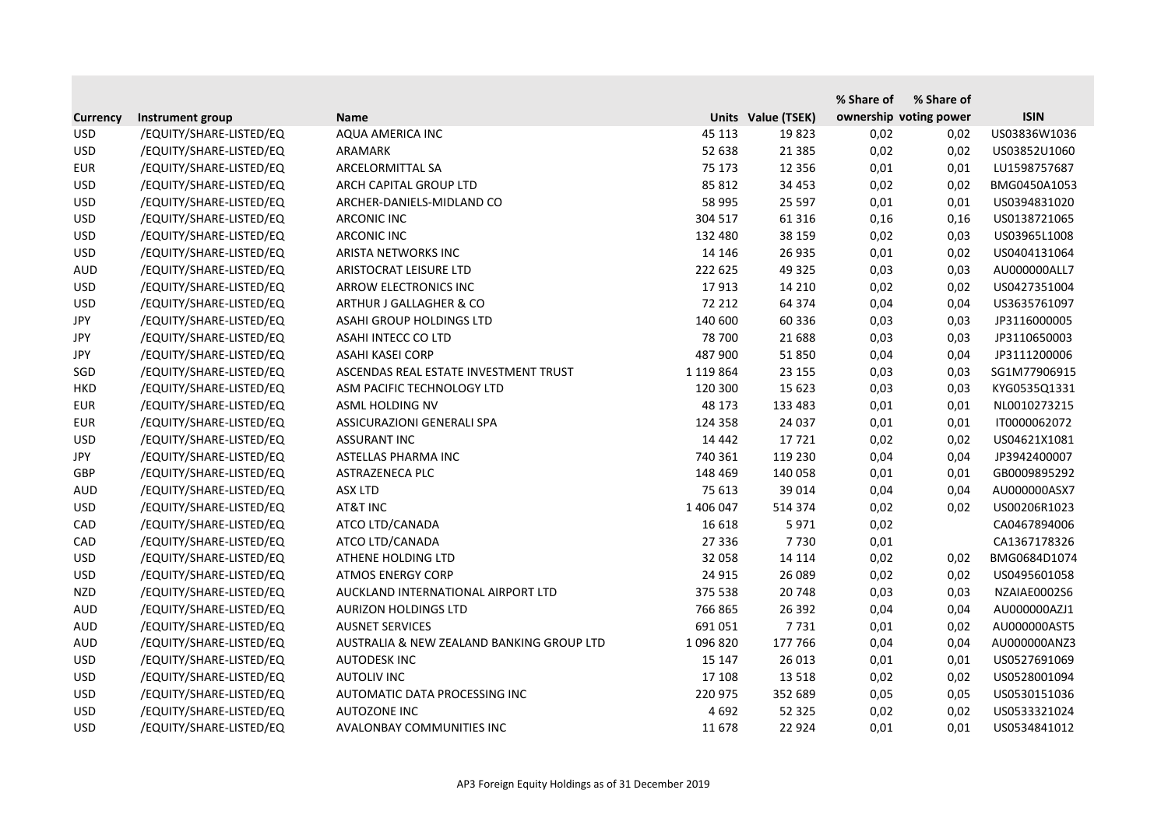|                 |                         |                                           |               |                    | % Share of | % Share of             |              |
|-----------------|-------------------------|-------------------------------------------|---------------|--------------------|------------|------------------------|--------------|
| <b>Currency</b> | Instrument group        | <b>Name</b>                               |               | Units Value (TSEK) |            | ownership voting power | <b>ISIN</b>  |
| <b>USD</b>      | /EQUITY/SHARE-LISTED/EQ | AQUA AMERICA INC                          | 45 113        | 19823              | 0,02       | 0,02                   | US03836W1036 |
| <b>USD</b>      | /EQUITY/SHARE-LISTED/EQ | ARAMARK                                   | 52 638        | 21 3 8 5           | 0,02       | 0,02                   | US03852U1060 |
| <b>EUR</b>      | /EQUITY/SHARE-LISTED/EQ | ARCELORMITTAL SA                          | 75 173        | 12 3 5 6           | 0,01       | 0,01                   | LU1598757687 |
| <b>USD</b>      | /EQUITY/SHARE-LISTED/EQ | ARCH CAPITAL GROUP LTD                    | 85 812        | 34 4 53            | 0,02       | 0,02                   | BMG0450A1053 |
| <b>USD</b>      | /EQUITY/SHARE-LISTED/EQ | ARCHER-DANIELS-MIDLAND CO                 | 58 995        | 25 5 97            | 0,01       | 0,01                   | US0394831020 |
| <b>USD</b>      | /EQUITY/SHARE-LISTED/EQ | <b>ARCONIC INC</b>                        | 304 517       | 61 31 6            | 0,16       | 0,16                   | US0138721065 |
| <b>USD</b>      | /EQUITY/SHARE-LISTED/EQ | <b>ARCONIC INC</b>                        | 132 480       | 38 159             | 0,02       | 0,03                   | US03965L1008 |
| <b>USD</b>      | /EQUITY/SHARE-LISTED/EQ | ARISTA NETWORKS INC                       | 14 14 6       | 26 935             | 0,01       | 0,02                   | US0404131064 |
| <b>AUD</b>      | /EQUITY/SHARE-LISTED/EQ | ARISTOCRAT LEISURE LTD                    | 222 625       | 49 3 25            | 0,03       | 0,03                   | AU000000ALL7 |
| <b>USD</b>      | /EQUITY/SHARE-LISTED/EQ | ARROW ELECTRONICS INC                     | 17913         | 14 2 10            | 0,02       | 0,02                   | US0427351004 |
| <b>USD</b>      | /EQUITY/SHARE-LISTED/EQ | ARTHUR J GALLAGHER & CO                   | 72 212        | 64 374             | 0,04       | 0,04                   | US3635761097 |
| <b>JPY</b>      | /EQUITY/SHARE-LISTED/EQ | ASAHI GROUP HOLDINGS LTD                  | 140 600       | 60 336             | 0,03       | 0,03                   | JP3116000005 |
| JPY             | /EQUITY/SHARE-LISTED/EQ | ASAHI INTECC CO LTD                       | 78 700        | 21 688             | 0,03       | 0,03                   | JP3110650003 |
| <b>JPY</b>      | /EQUITY/SHARE-LISTED/EQ | <b>ASAHI KASEI CORP</b>                   | 487 900       | 51 850             | 0,04       | 0,04                   | JP3111200006 |
| SGD             | /EQUITY/SHARE-LISTED/EQ | ASCENDAS REAL ESTATE INVESTMENT TRUST     | 1 1 1 9 8 6 4 | 23 155             | 0,03       | 0,03                   | SG1M77906915 |
| <b>HKD</b>      | /EQUITY/SHARE-LISTED/EQ | ASM PACIFIC TECHNOLOGY LTD                | 120 300       | 15 623             | 0,03       | 0,03                   | KYG0535Q1331 |
| <b>EUR</b>      | /EQUITY/SHARE-LISTED/EQ | ASML HOLDING NV                           | 48 173        | 133 483            | 0,01       | 0,01                   | NL0010273215 |
| <b>EUR</b>      | /EQUITY/SHARE-LISTED/EQ | <b>ASSICURAZIONI GENERALI SPA</b>         | 124 358       | 24 037             | 0,01       | 0,01                   | IT0000062072 |
| <b>USD</b>      | /EQUITY/SHARE-LISTED/EQ | <b>ASSURANT INC</b>                       | 14 4 42       | 17721              | 0,02       | 0,02                   | US04621X1081 |
| <b>JPY</b>      | /EQUITY/SHARE-LISTED/EQ | ASTELLAS PHARMA INC                       | 740 361       | 119 230            | 0,04       | 0,04                   | JP3942400007 |
| <b>GBP</b>      | /EQUITY/SHARE-LISTED/EQ | ASTRAZENECA PLC                           | 148 469       | 140 058            | 0,01       | 0,01                   | GB0009895292 |
| <b>AUD</b>      | /EQUITY/SHARE-LISTED/EQ | <b>ASX LTD</b>                            | 75 613        | 39 014             | 0,04       | 0,04                   | AU000000ASX7 |
| <b>USD</b>      | /EQUITY/SHARE-LISTED/EQ | AT&T INC                                  | 1 406 047     | 514 374            | 0,02       | 0,02                   | US00206R1023 |
| CAD             | /EQUITY/SHARE-LISTED/EQ | ATCO LTD/CANADA                           | 16 618        | 5971               | 0,02       |                        | CA0467894006 |
| CAD             | /EQUITY/SHARE-LISTED/EQ | ATCO LTD/CANADA                           | 27 336        | 7730               | 0,01       |                        | CA1367178326 |
| <b>USD</b>      | /EQUITY/SHARE-LISTED/EQ | ATHENE HOLDING LTD                        | 32 058        | 14 114             | 0,02       | 0,02                   | BMG0684D1074 |
| <b>USD</b>      | /EQUITY/SHARE-LISTED/EQ | <b>ATMOS ENERGY CORP</b>                  | 24 9 15       | 26 089             | 0,02       | 0,02                   | US0495601058 |
| <b>NZD</b>      | /EQUITY/SHARE-LISTED/EQ | AUCKLAND INTERNATIONAL AIRPORT LTD        | 375 538       | 20 748             | 0,03       | 0,03                   | NZAIAE0002S6 |
| <b>AUD</b>      | /EQUITY/SHARE-LISTED/EQ | <b>AURIZON HOLDINGS LTD</b>               | 766 865       | 26 392             | 0,04       | 0,04                   | AU000000AZJ1 |
| <b>AUD</b>      | /EQUITY/SHARE-LISTED/EQ | <b>AUSNET SERVICES</b>                    | 691 051       | 7731               | 0,01       | 0,02                   | AU000000AST5 |
| <b>AUD</b>      | /EQUITY/SHARE-LISTED/EQ | AUSTRALIA & NEW ZEALAND BANKING GROUP LTD | 1096820       | 177 766            | 0,04       | 0,04                   | AU000000ANZ3 |
| <b>USD</b>      | /EQUITY/SHARE-LISTED/EQ | AUTODESK INC                              | 15 147        | 26 013             | 0,01       | 0,01                   | US0527691069 |
| <b>USD</b>      | /EQUITY/SHARE-LISTED/EQ | <b>AUTOLIV INC</b>                        | 17 108        | 13 5 18            | 0,02       | 0,02                   | US0528001094 |
| <b>USD</b>      | /EQUITY/SHARE-LISTED/EQ | AUTOMATIC DATA PROCESSING INC             | 220 975       | 352 689            | 0,05       | 0,05                   | US0530151036 |
| <b>USD</b>      | /EQUITY/SHARE-LISTED/EQ | <b>AUTOZONE INC</b>                       | 4 6 9 2       | 52 3 2 5           | 0,02       | 0,02                   | US0533321024 |
| <b>USD</b>      | /EQUITY/SHARE-LISTED/EQ | AVALONBAY COMMUNITIES INC                 | 11 678        | 22 9 24            | 0,01       | 0,01                   | US0534841012 |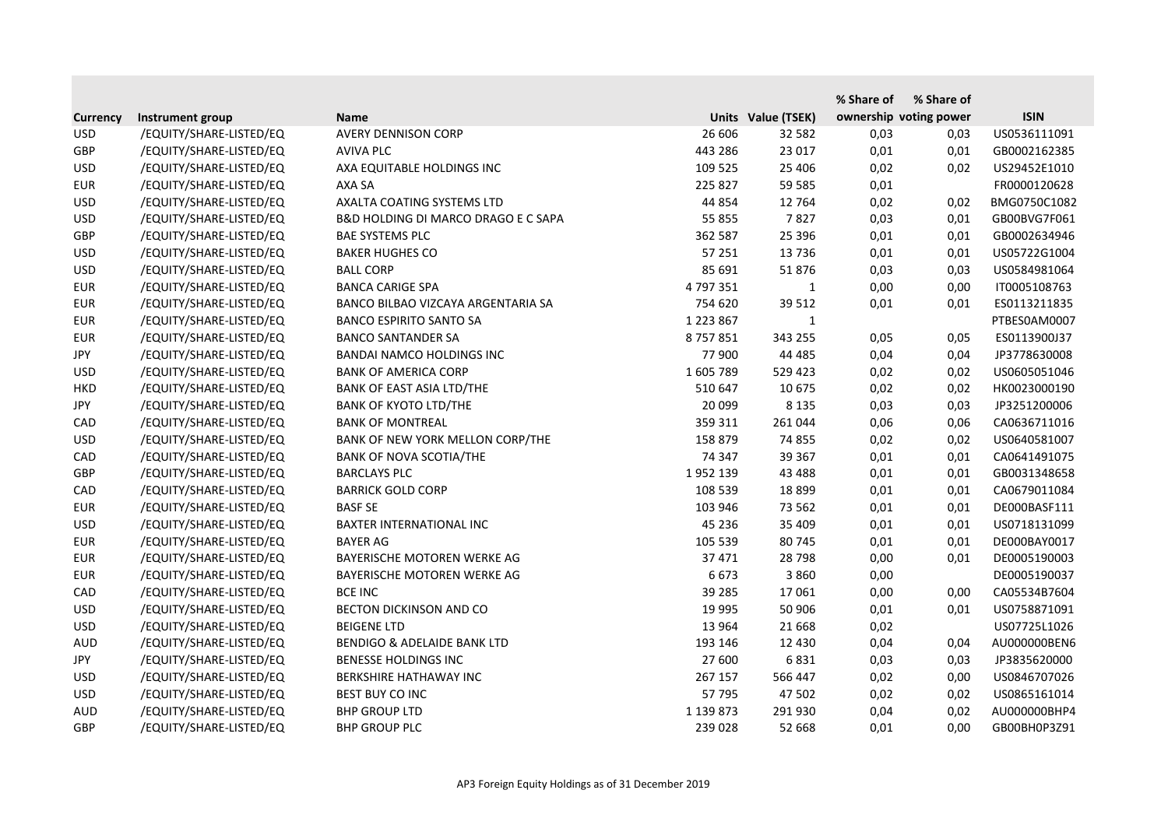|                 |                         |                                        |               |                    | % Share of             | % Share of |              |
|-----------------|-------------------------|----------------------------------------|---------------|--------------------|------------------------|------------|--------------|
| <b>Currency</b> | Instrument group        | <b>Name</b>                            |               | Units Value (TSEK) | ownership voting power |            | <b>ISIN</b>  |
| <b>USD</b>      | /EQUITY/SHARE-LISTED/EQ | <b>AVERY DENNISON CORP</b>             | 26 606        | 32 582             | 0,03                   | 0,03       | US0536111091 |
| GBP             | /EQUITY/SHARE-LISTED/EQ | <b>AVIVA PLC</b>                       | 443 286       | 23 017             | 0,01                   | 0,01       | GB0002162385 |
| <b>USD</b>      | /EQUITY/SHARE-LISTED/EQ | AXA EQUITABLE HOLDINGS INC             | 109 525       | 25 4 06            | 0,02                   | 0,02       | US29452E1010 |
| <b>EUR</b>      | /EQUITY/SHARE-LISTED/EQ | AXA SA                                 | 225 827       | 59 585             | 0,01                   |            | FR0000120628 |
| <b>USD</b>      | /EQUITY/SHARE-LISTED/EQ | AXALTA COATING SYSTEMS LTD             | 44 854        | 12 7 64            | 0,02                   | 0,02       | BMG0750C1082 |
| <b>USD</b>      | /EQUITY/SHARE-LISTED/EQ | B&D HOLDING DI MARCO DRAGO E C SAPA    | 55 855        | 7827               | 0,03                   | 0,01       | GB00BVG7F061 |
| GBP             | /EQUITY/SHARE-LISTED/EQ | <b>BAE SYSTEMS PLC</b>                 | 362 587       | 25 3 96            | 0,01                   | 0,01       | GB0002634946 |
| <b>USD</b>      | /EQUITY/SHARE-LISTED/EQ | <b>BAKER HUGHES CO</b>                 | 57 251        | 13736              | 0,01                   | 0,01       | US05722G1004 |
| <b>USD</b>      | /EQUITY/SHARE-LISTED/EQ | <b>BALL CORP</b>                       | 85 691        | 51876              | 0,03                   | 0,03       | US0584981064 |
| <b>EUR</b>      | /EQUITY/SHARE-LISTED/EQ | <b>BANCA CARIGE SPA</b>                | 4 797 351     | 1                  | 0,00                   | 0,00       | IT0005108763 |
| <b>EUR</b>      | /EQUITY/SHARE-LISTED/EQ | BANCO BILBAO VIZCAYA ARGENTARIA SA     | 754 620       | 39 512             | 0,01                   | 0,01       | ES0113211835 |
| <b>EUR</b>      | /EQUITY/SHARE-LISTED/EQ | <b>BANCO ESPIRITO SANTO SA</b>         | 1 2 2 3 8 6 7 | $\mathbf{1}$       |                        |            | PTBES0AM0007 |
| <b>EUR</b>      | /EQUITY/SHARE-LISTED/EQ | <b>BANCO SANTANDER SA</b>              | 8757851       | 343 255            | 0,05                   | 0,05       | ES0113900J37 |
| <b>JPY</b>      | /EQUITY/SHARE-LISTED/EQ | <b>BANDAI NAMCO HOLDINGS INC</b>       | 77 900        | 44 4 85            | 0,04                   | 0,04       | JP3778630008 |
| <b>USD</b>      | /EQUITY/SHARE-LISTED/EQ | <b>BANK OF AMERICA CORP</b>            | 1605789       | 529 423            | 0,02                   | 0,02       | US0605051046 |
| <b>HKD</b>      | /EQUITY/SHARE-LISTED/EQ | BANK OF EAST ASIA LTD/THE              | 510 647       | 10 675             | 0,02                   | 0,02       | HK0023000190 |
| <b>JPY</b>      | /EQUITY/SHARE-LISTED/EQ | <b>BANK OF KYOTO LTD/THE</b>           | 20 099        | 8 1 3 5            | 0,03                   | 0,03       | JP3251200006 |
| CAD             | /EQUITY/SHARE-LISTED/EQ | <b>BANK OF MONTREAL</b>                | 359 311       | 261 044            | 0,06                   | 0,06       | CA0636711016 |
| <b>USD</b>      | /EQUITY/SHARE-LISTED/EQ | BANK OF NEW YORK MELLON CORP/THE       | 158 879       | 74 855             | 0,02                   | 0,02       | US0640581007 |
| CAD             | /EQUITY/SHARE-LISTED/EQ | <b>BANK OF NOVA SCOTIA/THE</b>         | 74 347        | 39 367             | 0,01                   | 0,01       | CA0641491075 |
| <b>GBP</b>      | /EQUITY/SHARE-LISTED/EQ | <b>BARCLAYS PLC</b>                    | 1952139       | 43 4 88            | 0,01                   | 0,01       | GB0031348658 |
| CAD             | /EQUITY/SHARE-LISTED/EQ | <b>BARRICK GOLD CORP</b>               | 108 539       | 18 8 9 9           | 0,01                   | 0,01       | CA0679011084 |
| <b>EUR</b>      | /EQUITY/SHARE-LISTED/EQ | <b>BASF SE</b>                         | 103 946       | 73 562             | 0,01                   | 0,01       | DE000BASF111 |
| <b>USD</b>      | /EQUITY/SHARE-LISTED/EQ | BAXTER INTERNATIONAL INC               | 45 236        | 35 409             | 0,01                   | 0,01       | US0718131099 |
| <b>EUR</b>      | /EQUITY/SHARE-LISTED/EQ | <b>BAYER AG</b>                        | 105 539       | 80 745             | 0,01                   | 0,01       | DE000BAY0017 |
| <b>EUR</b>      | /EQUITY/SHARE-LISTED/EQ | BAYERISCHE MOTOREN WERKE AG            | 37 471        | 28 7 98            | 0,00                   | 0,01       | DE0005190003 |
| <b>EUR</b>      | /EQUITY/SHARE-LISTED/EQ | BAYERISCHE MOTOREN WERKE AG            | 6673          | 3 8 6 0            | 0,00                   |            | DE0005190037 |
| CAD             | /EQUITY/SHARE-LISTED/EQ | <b>BCE INC</b>                         | 39 285        | 17 061             | 0,00                   | 0,00       | CA05534B7604 |
| <b>USD</b>      | /EQUITY/SHARE-LISTED/EQ | <b>BECTON DICKINSON AND CO</b>         | 19 995        | 50 906             | 0,01                   | 0,01       | US0758871091 |
| <b>USD</b>      | /EQUITY/SHARE-LISTED/EQ | <b>BEIGENE LTD</b>                     | 13 9 64       | 21 6 68            | 0,02                   |            | US07725L1026 |
| <b>AUD</b>      | /EQUITY/SHARE-LISTED/EQ | <b>BENDIGO &amp; ADELAIDE BANK LTD</b> | 193 146       | 12 4 30            | 0,04                   | 0,04       | AU000000BEN6 |
| JPY             | /EQUITY/SHARE-LISTED/EQ | <b>BENESSE HOLDINGS INC</b>            | 27 600        | 6831               | 0,03                   | 0,03       | JP3835620000 |
| <b>USD</b>      | /EQUITY/SHARE-LISTED/EQ | BERKSHIRE HATHAWAY INC                 | 267 157       | 566 447            | 0,02                   | 0,00       | US0846707026 |
| <b>USD</b>      | /EQUITY/SHARE-LISTED/EQ | BEST BUY CO INC                        | 57 795        | 47 502             | 0,02                   | 0,02       | US0865161014 |
| AUD             | /EQUITY/SHARE-LISTED/EQ | <b>BHP GROUP LTD</b>                   | 1 139 873     | 291 930            | 0,04                   | 0,02       | AU000000BHP4 |
| <b>GBP</b>      | /EQUITY/SHARE-LISTED/EQ | <b>BHP GROUP PLC</b>                   | 239 028       | 52 668             | 0,01                   | 0,00       | GB00BH0P3Z91 |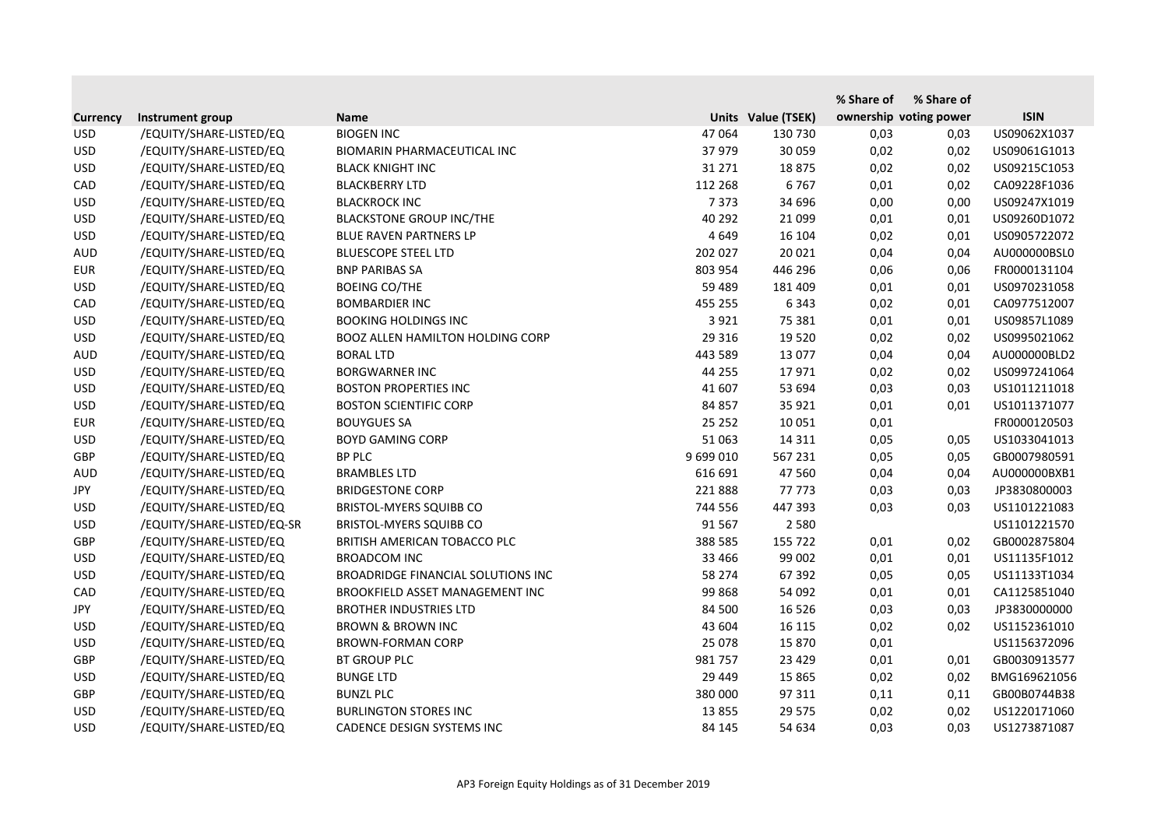|                 |                            |                                           |           |                    | % Share of | % Share of             |              |
|-----------------|----------------------------|-------------------------------------------|-----------|--------------------|------------|------------------------|--------------|
| <b>Currency</b> | Instrument group           | <b>Name</b>                               |           | Units Value (TSEK) |            | ownership voting power | <b>ISIN</b>  |
| <b>USD</b>      | /EQUITY/SHARE-LISTED/EQ    | <b>BIOGEN INC</b>                         | 47 064    | 130 730            | 0,03       | 0,03                   | US09062X1037 |
| <b>USD</b>      | /EQUITY/SHARE-LISTED/EQ    | BIOMARIN PHARMACEUTICAL INC               | 37 979    | 30 059             | 0,02       | 0,02                   | US09061G1013 |
| <b>USD</b>      | /EQUITY/SHARE-LISTED/EQ    | <b>BLACK KNIGHT INC</b>                   | 31 271    | 18875              | 0,02       | 0,02                   | US09215C1053 |
| CAD             | /EQUITY/SHARE-LISTED/EQ    | <b>BLACKBERRY LTD</b>                     | 112 268   | 6767               | 0,01       | 0,02                   | CA09228F1036 |
| <b>USD</b>      | /EQUITY/SHARE-LISTED/EQ    | <b>BLACKROCK INC</b>                      | 7 3 7 3   | 34 696             | 0,00       | 0,00                   | US09247X1019 |
| <b>USD</b>      | /EQUITY/SHARE-LISTED/EQ    | <b>BLACKSTONE GROUP INC/THE</b>           | 40 29 2   | 21 0 99            | 0,01       | 0,01                   | US09260D1072 |
| <b>USD</b>      | /EQUITY/SHARE-LISTED/EQ    | <b>BLUE RAVEN PARTNERS LP</b>             | 4 6 4 9   | 16 104             | 0,02       | 0,01                   | US0905722072 |
| <b>AUD</b>      | /EQUITY/SHARE-LISTED/EQ    | <b>BLUESCOPE STEEL LTD</b>                | 202 027   | 20 0 21            | 0,04       | 0,04                   | AU000000BSL0 |
| <b>EUR</b>      | /EQUITY/SHARE-LISTED/EQ    | <b>BNP PARIBAS SA</b>                     | 803 954   | 446 296            | 0,06       | 0,06                   | FR0000131104 |
| <b>USD</b>      | /EQUITY/SHARE-LISTED/EQ    | <b>BOEING CO/THE</b>                      | 59 489    | 181 409            | 0,01       | 0,01                   | US0970231058 |
| CAD             | /EQUITY/SHARE-LISTED/EQ    | <b>BOMBARDIER INC</b>                     | 455 255   | 6 3 4 3            | 0,02       | 0,01                   | CA0977512007 |
| <b>USD</b>      | /EQUITY/SHARE-LISTED/EQ    | <b>BOOKING HOLDINGS INC</b>               | 3 9 2 1   | 75 381             | 0,01       | 0,01                   | US09857L1089 |
| <b>USD</b>      | /EQUITY/SHARE-LISTED/EQ    | <b>BOOZ ALLEN HAMILTON HOLDING CORP</b>   | 29 3 16   | 19 5 20            | 0,02       | 0,02                   | US0995021062 |
| <b>AUD</b>      | /EQUITY/SHARE-LISTED/EQ    | <b>BORAL LTD</b>                          | 443 589   | 13 077             | 0,04       | 0,04                   | AU000000BLD2 |
| <b>USD</b>      | /EQUITY/SHARE-LISTED/EQ    | <b>BORGWARNER INC</b>                     | 44 255    | 17971              | 0,02       | 0,02                   | US0997241064 |
| <b>USD</b>      | /EQUITY/SHARE-LISTED/EQ    | <b>BOSTON PROPERTIES INC</b>              | 41 607    | 53 694             | 0,03       | 0,03                   | US1011211018 |
| <b>USD</b>      | /EQUITY/SHARE-LISTED/EQ    | <b>BOSTON SCIENTIFIC CORP</b>             | 84 857    | 35 9 21            | 0,01       | 0,01                   | US1011371077 |
| <b>EUR</b>      | /EQUITY/SHARE-LISTED/EQ    | <b>BOUYGUES SA</b>                        | 25 25 2   | 10 0 51            | 0,01       |                        | FR0000120503 |
| <b>USD</b>      | /EQUITY/SHARE-LISTED/EQ    | <b>BOYD GAMING CORP</b>                   | 51 063    | 14 3 11            | 0,05       | 0,05                   | US1033041013 |
| GBP             | /EQUITY/SHARE-LISTED/EQ    | <b>BP PLC</b>                             | 9 699 010 | 567 231            | 0,05       | 0,05                   | GB0007980591 |
| <b>AUD</b>      | /EQUITY/SHARE-LISTED/EQ    | <b>BRAMBLES LTD</b>                       | 616 691   | 47 560             | 0,04       | 0,04                   | AU000000BXB1 |
| <b>JPY</b>      | /EQUITY/SHARE-LISTED/EQ    | <b>BRIDGESTONE CORP</b>                   | 221888    | 77773              | 0,03       | 0,03                   | JP3830800003 |
| <b>USD</b>      | /EQUITY/SHARE-LISTED/EQ    | <b>BRISTOL-MYERS SQUIBB CO</b>            | 744 556   | 447 393            | 0,03       | 0,03                   | US1101221083 |
| <b>USD</b>      | /EQUITY/SHARE-LISTED/EQ-SR | <b>BRISTOL-MYERS SQUIBB CO</b>            | 91 567    | 2 5 8 0            |            |                        | US1101221570 |
| GBP             | /EQUITY/SHARE-LISTED/EQ    | BRITISH AMERICAN TOBACCO PLC              | 388 585   | 155 722            | 0,01       | 0,02                   | GB0002875804 |
| <b>USD</b>      | /EQUITY/SHARE-LISTED/EQ    | <b>BROADCOM INC</b>                       | 33 4 66   | 99 002             | 0,01       | 0,01                   | US11135F1012 |
| <b>USD</b>      | /EQUITY/SHARE-LISTED/EQ    | <b>BROADRIDGE FINANCIAL SOLUTIONS INC</b> | 58 274    | 67 392             | 0,05       | 0,05                   | US11133T1034 |
| CAD             | /EQUITY/SHARE-LISTED/EQ    | BROOKFIELD ASSET MANAGEMENT INC           | 99 868    | 54 092             | 0,01       | 0,01                   | CA1125851040 |
| JPY             | /EQUITY/SHARE-LISTED/EQ    | <b>BROTHER INDUSTRIES LTD</b>             | 84 500    | 16 5 26            | 0,03       | 0,03                   | JP3830000000 |
| <b>USD</b>      | /EQUITY/SHARE-LISTED/EQ    | <b>BROWN &amp; BROWN INC</b>              | 43 604    | 16 115             | 0,02       | 0,02                   | US1152361010 |
| <b>USD</b>      | /EQUITY/SHARE-LISTED/EQ    | <b>BROWN-FORMAN CORP</b>                  | 25 078    | 15 870             | 0,01       |                        | US1156372096 |
| <b>GBP</b>      | /EQUITY/SHARE-LISTED/EQ    | <b>BT GROUP PLC</b>                       | 981 757   | 23 4 29            | 0,01       | 0,01                   | GB0030913577 |
| <b>USD</b>      | /EQUITY/SHARE-LISTED/EQ    | <b>BUNGE LTD</b>                          | 29 449    | 15 8 65            | 0,02       | 0,02                   | BMG169621056 |
| <b>GBP</b>      | /EQUITY/SHARE-LISTED/EQ    | <b>BUNZL PLC</b>                          | 380 000   | 97 311             | 0,11       | 0,11                   | GB00B0744B38 |
| <b>USD</b>      | /EQUITY/SHARE-LISTED/EQ    | <b>BURLINGTON STORES INC</b>              | 13 8 55   | 29 5 7 5           | 0,02       | 0,02                   | US1220171060 |
| <b>USD</b>      | /EQUITY/SHARE-LISTED/EQ    | CADENCE DESIGN SYSTEMS INC                | 84 145    | 54 634             | 0,03       | 0,03                   | US1273871087 |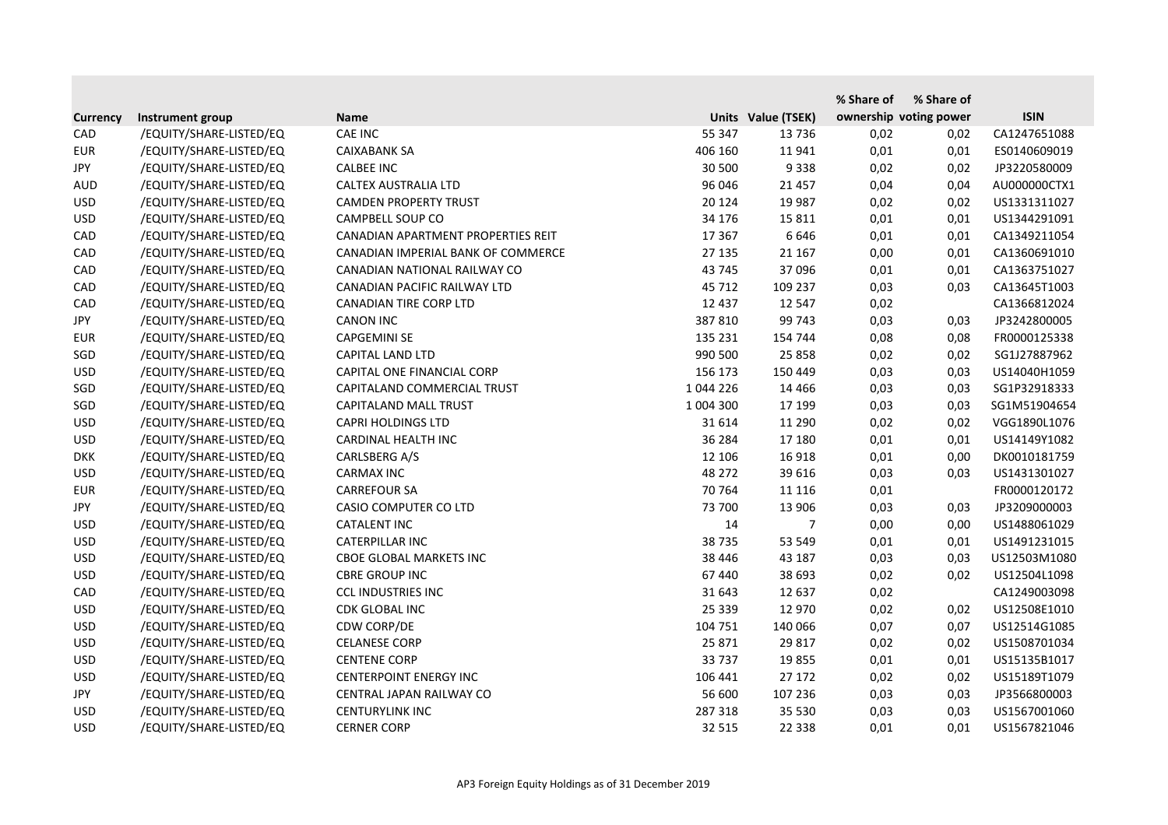|                 |                         |                                    |           |                    | % Share of | % Share of             |              |
|-----------------|-------------------------|------------------------------------|-----------|--------------------|------------|------------------------|--------------|
| <b>Currency</b> | Instrument group        | <b>Name</b>                        |           | Units Value (TSEK) |            | ownership voting power | <b>ISIN</b>  |
| CAD             | /EQUITY/SHARE-LISTED/EQ | <b>CAE INC</b>                     | 55 347    | 13736              | 0,02       | 0,02                   | CA1247651088 |
| <b>EUR</b>      | /EQUITY/SHARE-LISTED/EQ | <b>CAIXABANK SA</b>                | 406 160   | 11 941             | 0,01       | 0,01                   | ES0140609019 |
| JPY             | /EQUITY/SHARE-LISTED/EQ | <b>CALBEE INC</b>                  | 30 500    | 9338               | 0,02       | 0,02                   | JP3220580009 |
| <b>AUD</b>      | /EQUITY/SHARE-LISTED/EQ | CALTEX AUSTRALIA LTD               | 96 046    | 21 4 5 7           | 0,04       | 0,04                   | AU000000CTX1 |
| <b>USD</b>      | /EQUITY/SHARE-LISTED/EQ | <b>CAMDEN PROPERTY TRUST</b>       | 20 124    | 19 987             | 0,02       | 0,02                   | US1331311027 |
| <b>USD</b>      | /EQUITY/SHARE-LISTED/EQ | CAMPBELL SOUP CO                   | 34 176    | 15 8 11            | 0,01       | 0,01                   | US1344291091 |
| CAD             | /EQUITY/SHARE-LISTED/EQ | CANADIAN APARTMENT PROPERTIES REIT | 17 3 67   | 6646               | 0,01       | 0,01                   | CA1349211054 |
| CAD             | /EQUITY/SHARE-LISTED/EQ | CANADIAN IMPERIAL BANK OF COMMERCE | 27 135    | 21 167             | 0,00       | 0,01                   | CA1360691010 |
| CAD             | /EQUITY/SHARE-LISTED/EQ | CANADIAN NATIONAL RAILWAY CO       | 43 745    | 37 096             | 0,01       | 0,01                   | CA1363751027 |
| CAD             | /EQUITY/SHARE-LISTED/EQ | CANADIAN PACIFIC RAILWAY LTD       | 45 712    | 109 237            | 0,03       | 0,03                   | CA13645T1003 |
| CAD             | /EQUITY/SHARE-LISTED/EQ | <b>CANADIAN TIRE CORP LTD</b>      | 12 437    | 12 547             | 0,02       |                        | CA1366812024 |
| <b>JPY</b>      | /EQUITY/SHARE-LISTED/EQ | <b>CANON INC</b>                   | 387 810   | 99 743             | 0,03       | 0,03                   | JP3242800005 |
| <b>EUR</b>      | /EQUITY/SHARE-LISTED/EQ | <b>CAPGEMINI SE</b>                | 135 231   | 154 744            | 0,08       | 0,08                   | FR0000125338 |
| SGD             | /EQUITY/SHARE-LISTED/EQ | <b>CAPITAL LAND LTD</b>            | 990 500   | 25 8 58            | 0,02       | 0,02                   | SG1J27887962 |
| <b>USD</b>      | /EQUITY/SHARE-LISTED/EQ | CAPITAL ONE FINANCIAL CORP         | 156 173   | 150 449            | 0,03       | 0,03                   | US14040H1059 |
| SGD             | /EQUITY/SHARE-LISTED/EQ | CAPITALAND COMMERCIAL TRUST        | 1 044 226 | 14 4 66            | 0,03       | 0,03                   | SG1P32918333 |
| SGD             | /EQUITY/SHARE-LISTED/EQ | CAPITALAND MALL TRUST              | 1 004 300 | 17 199             | 0,03       | 0,03                   | SG1M51904654 |
| <b>USD</b>      | /EQUITY/SHARE-LISTED/EQ | <b>CAPRI HOLDINGS LTD</b>          | 31 614    | 11 290             | 0,02       | 0,02                   | VGG1890L1076 |
| <b>USD</b>      | /EQUITY/SHARE-LISTED/EQ | CARDINAL HEALTH INC                | 36 284    | 17 180             | 0,01       | 0,01                   | US14149Y1082 |
| <b>DKK</b>      | /EQUITY/SHARE-LISTED/EQ | CARLSBERG A/S                      | 12 10 6   | 16 9 18            | 0,01       | 0,00                   | DK0010181759 |
| <b>USD</b>      | /EQUITY/SHARE-LISTED/EQ | <b>CARMAX INC</b>                  | 48 272    | 39 616             | 0,03       | 0,03                   | US1431301027 |
| <b>EUR</b>      | /EQUITY/SHARE-LISTED/EQ | <b>CARREFOUR SA</b>                | 70 764    | 11 1 16            | 0,01       |                        | FR0000120172 |
| JPY             | /EQUITY/SHARE-LISTED/EQ | CASIO COMPUTER CO LTD              | 73 700    | 13 906             | 0,03       | 0,03                   | JP3209000003 |
| <b>USD</b>      | /EQUITY/SHARE-LISTED/EQ | <b>CATALENT INC</b>                | 14        | 7                  | 0,00       | 0,00                   | US1488061029 |
| <b>USD</b>      | /EQUITY/SHARE-LISTED/EQ | CATERPILLAR INC                    | 38735     | 53 549             | 0,01       | 0,01                   | US1491231015 |
| <b>USD</b>      | /EQUITY/SHARE-LISTED/EQ | <b>CBOE GLOBAL MARKETS INC</b>     | 38 4 46   | 43 187             | 0,03       | 0,03                   | US12503M1080 |
| <b>USD</b>      | /EQUITY/SHARE-LISTED/EQ | <b>CBRE GROUP INC</b>              | 67 440    | 38 693             | 0,02       | 0,02                   | US12504L1098 |
| CAD             | /EQUITY/SHARE-LISTED/EQ | <b>CCL INDUSTRIES INC</b>          | 31 643    | 12 637             | 0,02       |                        | CA1249003098 |
| <b>USD</b>      | /EQUITY/SHARE-LISTED/EQ | CDK GLOBAL INC                     | 25 3 39   | 12 970             | 0,02       | 0,02                   | US12508E1010 |
| <b>USD</b>      | /EQUITY/SHARE-LISTED/EQ | CDW CORP/DE                        | 104 751   | 140 066            | 0,07       | 0,07                   | US12514G1085 |
| <b>USD</b>      | /EQUITY/SHARE-LISTED/EQ | <b>CELANESE CORP</b>               | 25 871    | 29 817             | 0,02       | 0,02                   | US1508701034 |
| <b>USD</b>      | /EQUITY/SHARE-LISTED/EQ | <b>CENTENE CORP</b>                | 33 737    | 19855              | 0,01       | 0,01                   | US15135B1017 |
| <b>USD</b>      | /EQUITY/SHARE-LISTED/EQ | <b>CENTERPOINT ENERGY INC</b>      | 106 441   | 27 172             | 0,02       | 0,02                   | US15189T1079 |
| JPY             | /EQUITY/SHARE-LISTED/EQ | CENTRAL JAPAN RAILWAY CO           | 56 600    | 107 236            | 0,03       | 0,03                   | JP3566800003 |
| <b>USD</b>      | /EQUITY/SHARE-LISTED/EQ | <b>CENTURYLINK INC</b>             | 287 318   | 35 530             | 0,03       | 0,03                   | US1567001060 |
| <b>USD</b>      | /EQUITY/SHARE-LISTED/EQ | <b>CERNER CORP</b>                 | 32 515    | 22 3 38            | 0,01       | 0,01                   | US1567821046 |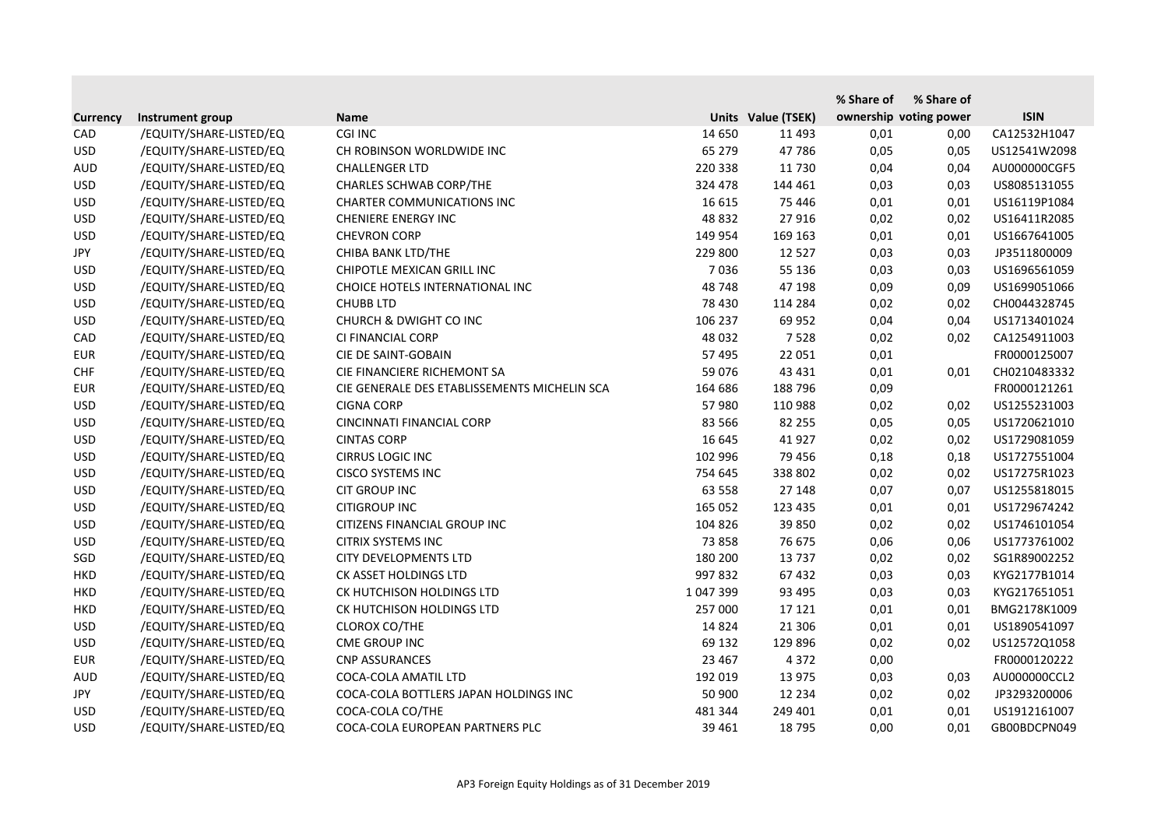|                 |                         |                                              |           |                    | % Share of | % Share of             |              |
|-----------------|-------------------------|----------------------------------------------|-----------|--------------------|------------|------------------------|--------------|
| <b>Currency</b> | Instrument group        | <b>Name</b>                                  |           | Units Value (TSEK) |            | ownership voting power | <b>ISIN</b>  |
| CAD             | /EQUITY/SHARE-LISTED/EQ | CGI INC                                      | 14 650    | 11 4 93            | 0,01       | 0,00                   | CA12532H1047 |
| <b>USD</b>      | /EQUITY/SHARE-LISTED/EQ | CH ROBINSON WORLDWIDE INC                    | 65 279    | 47786              | 0,05       | 0,05                   | US12541W2098 |
| <b>AUD</b>      | /EQUITY/SHARE-LISTED/EQ | <b>CHALLENGER LTD</b>                        | 220 338   | 11 730             | 0,04       | 0,04                   | AU000000CGF5 |
| <b>USD</b>      | /EQUITY/SHARE-LISTED/EQ | <b>CHARLES SCHWAB CORP/THE</b>               | 324 478   | 144 461            | 0,03       | 0,03                   | US8085131055 |
| <b>USD</b>      | /EQUITY/SHARE-LISTED/EQ | <b>CHARTER COMMUNICATIONS INC</b>            | 16 615    | 75 4 46            | 0,01       | 0,01                   | US16119P1084 |
| <b>USD</b>      | /EQUITY/SHARE-LISTED/EQ | <b>CHENIERE ENERGY INC</b>                   | 48 8 32   | 27 916             | 0,02       | 0,02                   | US16411R2085 |
| <b>USD</b>      | /EQUITY/SHARE-LISTED/EQ | <b>CHEVRON CORP</b>                          | 149 954   | 169 163            | 0,01       | 0,01                   | US1667641005 |
| JPY             | /EQUITY/SHARE-LISTED/EQ | CHIBA BANK LTD/THE                           | 229 800   | 12 5 27            | 0,03       | 0,03                   | JP3511800009 |
| <b>USD</b>      | /EQUITY/SHARE-LISTED/EQ | CHIPOTLE MEXICAN GRILL INC                   | 7036      | 55 136             | 0,03       | 0,03                   | US1696561059 |
| <b>USD</b>      | /EQUITY/SHARE-LISTED/EQ | CHOICE HOTELS INTERNATIONAL INC              | 48748     | 47 198             | 0,09       | 0,09                   | US1699051066 |
| <b>USD</b>      | /EQUITY/SHARE-LISTED/EQ | <b>CHUBB LTD</b>                             | 78 430    | 114 284            | 0,02       | 0,02                   | CH0044328745 |
| <b>USD</b>      | /EQUITY/SHARE-LISTED/EQ | <b>CHURCH &amp; DWIGHT CO INC</b>            | 106 237   | 69 952             | 0,04       | 0,04                   | US1713401024 |
| CAD             | /EQUITY/SHARE-LISTED/EQ | CI FINANCIAL CORP                            | 48 0 32   | 7528               | 0,02       | 0,02                   | CA1254911003 |
| <b>EUR</b>      | /EQUITY/SHARE-LISTED/EQ | CIE DE SAINT-GOBAIN                          | 57 495    | 22 051             | 0,01       |                        | FR0000125007 |
| <b>CHF</b>      | /EQUITY/SHARE-LISTED/EQ | CIE FINANCIERE RICHEMONT SA                  | 59 0 76   | 43 4 31            | 0,01       | 0,01                   | CH0210483332 |
| <b>EUR</b>      | /EQUITY/SHARE-LISTED/EQ | CIE GENERALE DES ETABLISSEMENTS MICHELIN SCA | 164 686   | 188 796            | 0,09       |                        | FR0000121261 |
| <b>USD</b>      | /EQUITY/SHARE-LISTED/EQ | <b>CIGNA CORP</b>                            | 57 980    | 110 988            | 0,02       | 0,02                   | US1255231003 |
| <b>USD</b>      | /EQUITY/SHARE-LISTED/EQ | <b>CINCINNATI FINANCIAL CORP</b>             | 83 566    | 82 255             | 0,05       | 0,05                   | US1720621010 |
| <b>USD</b>      | /EQUITY/SHARE-LISTED/EQ | <b>CINTAS CORP</b>                           | 16 645    | 41 9 27            | 0,02       | 0,02                   | US1729081059 |
| <b>USD</b>      | /EQUITY/SHARE-LISTED/EQ | <b>CIRRUS LOGIC INC</b>                      | 102 996   | 79 45 6            | 0,18       | 0,18                   | US1727551004 |
| <b>USD</b>      | /EQUITY/SHARE-LISTED/EQ | <b>CISCO SYSTEMS INC</b>                     | 754 645   | 338 802            | 0,02       | 0,02                   | US17275R1023 |
| <b>USD</b>      | /EQUITY/SHARE-LISTED/EQ | <b>CIT GROUP INC</b>                         | 63 558    | 27 148             | 0,07       | 0,07                   | US1255818015 |
| <b>USD</b>      | /EQUITY/SHARE-LISTED/EQ | <b>CITIGROUP INC</b>                         | 165 052   | 123 435            | 0,01       | 0,01                   | US1729674242 |
| <b>USD</b>      | /EQUITY/SHARE-LISTED/EQ | CITIZENS FINANCIAL GROUP INC                 | 104 826   | 39 850             | 0,02       | 0,02                   | US1746101054 |
| <b>USD</b>      | /EQUITY/SHARE-LISTED/EQ | <b>CITRIX SYSTEMS INC</b>                    | 73 858    | 76 675             | 0,06       | 0,06                   | US1773761002 |
| SGD             | /EQUITY/SHARE-LISTED/EQ | <b>CITY DEVELOPMENTS LTD</b>                 | 180 200   | 13737              | 0,02       | 0,02                   | SG1R89002252 |
| <b>HKD</b>      | /EQUITY/SHARE-LISTED/EQ | CK ASSET HOLDINGS LTD                        | 997 832   | 67 432             | 0,03       | 0,03                   | KYG2177B1014 |
| <b>HKD</b>      | /EQUITY/SHARE-LISTED/EQ | CK HUTCHISON HOLDINGS LTD                    | 1 047 399 | 93 4 95            | 0,03       | 0,03                   | KYG217651051 |
| <b>HKD</b>      | /EQUITY/SHARE-LISTED/EQ | CK HUTCHISON HOLDINGS LTD                    | 257 000   | 17 121             | 0,01       | 0,01                   | BMG2178K1009 |
| <b>USD</b>      | /EQUITY/SHARE-LISTED/EQ | <b>CLOROX CO/THE</b>                         | 14 8 24   | 21 30 6            | 0,01       | 0,01                   | US1890541097 |
| <b>USD</b>      | /EQUITY/SHARE-LISTED/EQ | CME GROUP INC                                | 69 132    | 129 896            | 0,02       | 0,02                   | US12572Q1058 |
| <b>EUR</b>      | /EQUITY/SHARE-LISTED/EQ | <b>CNP ASSURANCES</b>                        | 23 4 67   | 4 3 7 2            | 0,00       |                        | FR0000120222 |
| <b>AUD</b>      | /EQUITY/SHARE-LISTED/EQ | COCA-COLA AMATIL LTD                         | 192 019   | 13 975             | 0,03       | 0,03                   | AU000000CCL2 |
| JPY             | /EQUITY/SHARE-LISTED/EQ | COCA-COLA BOTTLERS JAPAN HOLDINGS INC        | 50 900    | 12 2 3 4           | 0,02       | 0,02                   | JP3293200006 |
| <b>USD</b>      | /EQUITY/SHARE-LISTED/EQ | COCA-COLA CO/THE                             | 481 344   | 249 401            | 0,01       | 0,01                   | US1912161007 |
| <b>USD</b>      | /EQUITY/SHARE-LISTED/EQ | COCA-COLA EUROPEAN PARTNERS PLC              | 39 4 61   | 18 795             | 0,00       | 0,01                   | GB00BDCPN049 |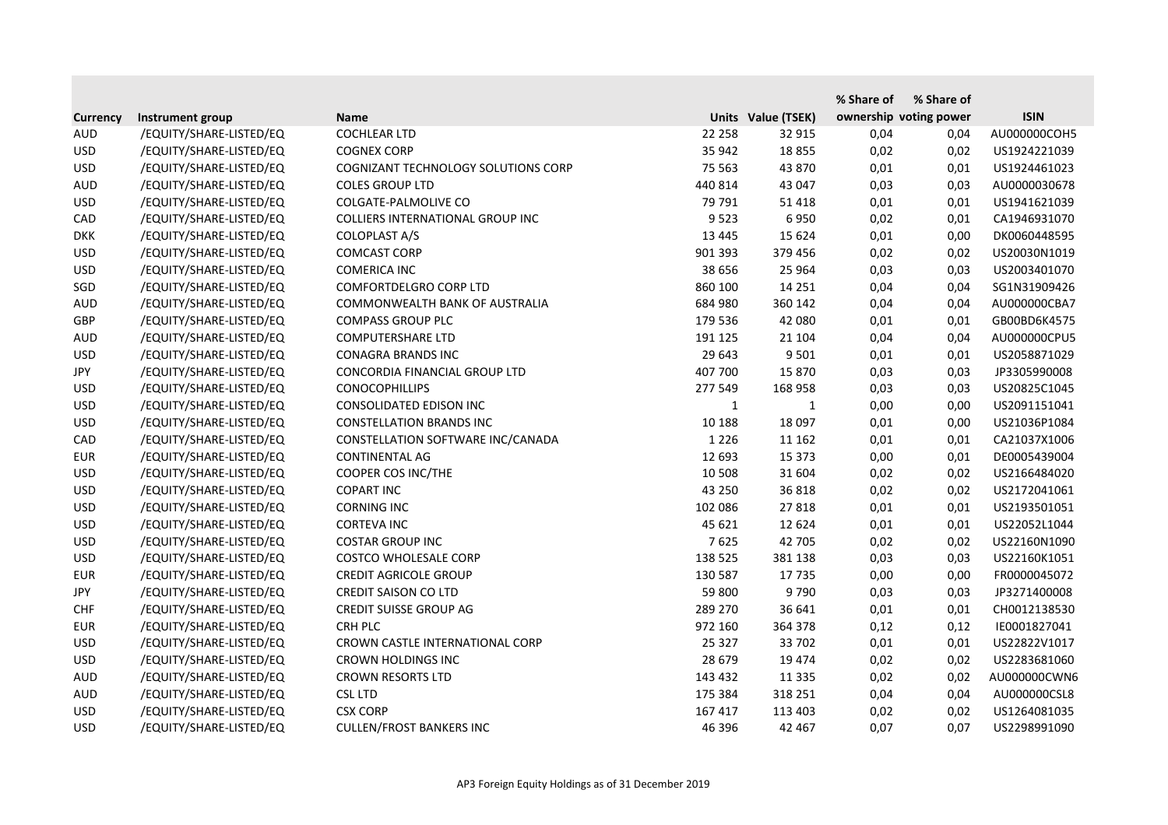|                 |                         |                                         |              |                    | % Share of | % Share of             |              |
|-----------------|-------------------------|-----------------------------------------|--------------|--------------------|------------|------------------------|--------------|
| <b>Currency</b> | Instrument group        | <b>Name</b>                             |              | Units Value (TSEK) |            | ownership voting power | <b>ISIN</b>  |
| <b>AUD</b>      | /EQUITY/SHARE-LISTED/EQ | <b>COCHLEAR LTD</b>                     | 22 258       | 32 915             | 0,04       | 0,04                   | AU000000COH5 |
| <b>USD</b>      | /EQUITY/SHARE-LISTED/EQ | <b>COGNEX CORP</b>                      | 35 942       | 18 8 55            | 0,02       | 0,02                   | US1924221039 |
| <b>USD</b>      | /EQUITY/SHARE-LISTED/EQ | COGNIZANT TECHNOLOGY SOLUTIONS CORP     | 75 563       | 43 870             | 0,01       | 0,01                   | US1924461023 |
| <b>AUD</b>      | /EQUITY/SHARE-LISTED/EQ | <b>COLES GROUP LTD</b>                  | 440 814      | 43 047             | 0,03       | 0,03                   | AU0000030678 |
| <b>USD</b>      | /EQUITY/SHARE-LISTED/EQ | COLGATE-PALMOLIVE CO                    | 79 791       | 51 4 18            | 0,01       | 0,01                   | US1941621039 |
| CAD             | /EQUITY/SHARE-LISTED/EQ | <b>COLLIERS INTERNATIONAL GROUP INC</b> | 9523         | 6950               | 0,02       | 0,01                   | CA1946931070 |
| <b>DKK</b>      | /EQUITY/SHARE-LISTED/EQ | <b>COLOPLAST A/S</b>                    | 13 4 45      | 15 6 24            | 0,01       | 0,00                   | DK0060448595 |
| <b>USD</b>      | /EQUITY/SHARE-LISTED/EQ | <b>COMCAST CORP</b>                     | 901 393      | 379 456            | 0,02       | 0,02                   | US20030N1019 |
| <b>USD</b>      | /EQUITY/SHARE-LISTED/EQ | <b>COMERICA INC</b>                     | 38 656       | 25 9 64            | 0,03       | 0,03                   | US2003401070 |
| SGD             | /EQUITY/SHARE-LISTED/EQ | <b>COMFORTDELGRO CORP LTD</b>           | 860 100      | 14 2 5 1           | 0,04       | 0,04                   | SG1N31909426 |
| <b>AUD</b>      | /EQUITY/SHARE-LISTED/EQ | COMMONWEALTH BANK OF AUSTRALIA          | 684 980      | 360 142            | 0,04       | 0,04                   | AU000000CBA7 |
| GBP             | /EQUITY/SHARE-LISTED/EQ | <b>COMPASS GROUP PLC</b>                | 179 536      | 42 080             | 0,01       | 0,01                   | GB00BD6K4575 |
| <b>AUD</b>      | /EQUITY/SHARE-LISTED/EQ | <b>COMPUTERSHARE LTD</b>                | 191 125      | 21 104             | 0,04       | 0,04                   | AU000000CPU5 |
| <b>USD</b>      | /EQUITY/SHARE-LISTED/EQ | <b>CONAGRA BRANDS INC</b>               | 29 643       | 9 5 0 1            | 0,01       | 0,01                   | US2058871029 |
| JPY             | /EQUITY/SHARE-LISTED/EQ | CONCORDIA FINANCIAL GROUP LTD           | 407 700      | 15 870             | 0,03       | 0,03                   | JP3305990008 |
| <b>USD</b>      | /EQUITY/SHARE-LISTED/EQ | <b>CONOCOPHILLIPS</b>                   | 277 549      | 168 958            | 0,03       | 0,03                   | US20825C1045 |
| <b>USD</b>      | /EQUITY/SHARE-LISTED/EQ | CONSOLIDATED EDISON INC                 | $\mathbf{1}$ | 1                  | 0,00       | 0,00                   | US2091151041 |
| <b>USD</b>      | /EQUITY/SHARE-LISTED/EQ | <b>CONSTELLATION BRANDS INC</b>         | 10 188       | 18 097             | 0,01       | 0,00                   | US21036P1084 |
| CAD             | /EQUITY/SHARE-LISTED/EQ | CONSTELLATION SOFTWARE INC/CANADA       | 1 2 2 6      | 11 162             | 0,01       | 0,01                   | CA21037X1006 |
| <b>EUR</b>      | /EQUITY/SHARE-LISTED/EQ | CONTINENTAL AG                          | 12 693       | 15 373             | 0,00       | 0,01                   | DE0005439004 |
| <b>USD</b>      | /EQUITY/SHARE-LISTED/EQ | COOPER COS INC/THE                      | 10 508       | 31 604             | 0,02       | 0,02                   | US2166484020 |
| <b>USD</b>      | /EQUITY/SHARE-LISTED/EQ | <b>COPART INC</b>                       | 43 250       | 36 818             | 0,02       | 0,02                   | US2172041061 |
| <b>USD</b>      | /EQUITY/SHARE-LISTED/EQ | <b>CORNING INC</b>                      | 102 086      | 27818              | 0,01       | 0,01                   | US2193501051 |
| <b>USD</b>      | /EQUITY/SHARE-LISTED/EQ | <b>CORTEVA INC</b>                      | 45 621       | 12 6 24            | 0,01       | 0,01                   | US22052L1044 |
| <b>USD</b>      | /EQUITY/SHARE-LISTED/EQ | <b>COSTAR GROUP INC</b>                 | 7625         | 42 705             | 0,02       | 0,02                   | US22160N1090 |
| <b>USD</b>      | /EQUITY/SHARE-LISTED/EQ | <b>COSTCO WHOLESALE CORP</b>            | 138 525      | 381 138            | 0,03       | 0,03                   | US22160K1051 |
| <b>EUR</b>      | /EQUITY/SHARE-LISTED/EQ | <b>CREDIT AGRICOLE GROUP</b>            | 130 587      | 17735              | 0,00       | 0,00                   | FR0000045072 |
| JPY             | /EQUITY/SHARE-LISTED/EQ | <b>CREDIT SAISON CO LTD</b>             | 59 800       | 9790               | 0,03       | 0,03                   | JP3271400008 |
| <b>CHF</b>      | /EQUITY/SHARE-LISTED/EQ | <b>CREDIT SUISSE GROUP AG</b>           | 289 270      | 36 641             | 0,01       | 0,01                   | CH0012138530 |
| <b>EUR</b>      | /EQUITY/SHARE-LISTED/EQ | CRH PLC                                 | 972 160      | 364 378            | 0,12       | 0,12                   | IE0001827041 |
| <b>USD</b>      | /EQUITY/SHARE-LISTED/EQ | CROWN CASTLE INTERNATIONAL CORP         | 25 3 27      | 33 702             | 0,01       | 0,01                   | US22822V1017 |
| <b>USD</b>      | /EQUITY/SHARE-LISTED/EQ | <b>CROWN HOLDINGS INC</b>               | 28 679       | 19 474             | 0,02       | 0,02                   | US2283681060 |
| <b>AUD</b>      | /EQUITY/SHARE-LISTED/EQ | <b>CROWN RESORTS LTD</b>                | 143 432      | 11 3 3 5           | 0,02       | 0,02                   | AU000000CWN6 |
| <b>AUD</b>      | /EQUITY/SHARE-LISTED/EQ | <b>CSL LTD</b>                          | 175 384      | 318 251            | 0,04       | 0,04                   | AU000000CSL8 |
| <b>USD</b>      | /EQUITY/SHARE-LISTED/EQ | <b>CSX CORP</b>                         | 167 417      | 113 403            | 0,02       | 0,02                   | US1264081035 |
| <b>USD</b>      | /EQUITY/SHARE-LISTED/EQ | <b>CULLEN/FROST BANKERS INC</b>         | 46 396       | 42 467             | 0,07       | 0,07                   | US2298991090 |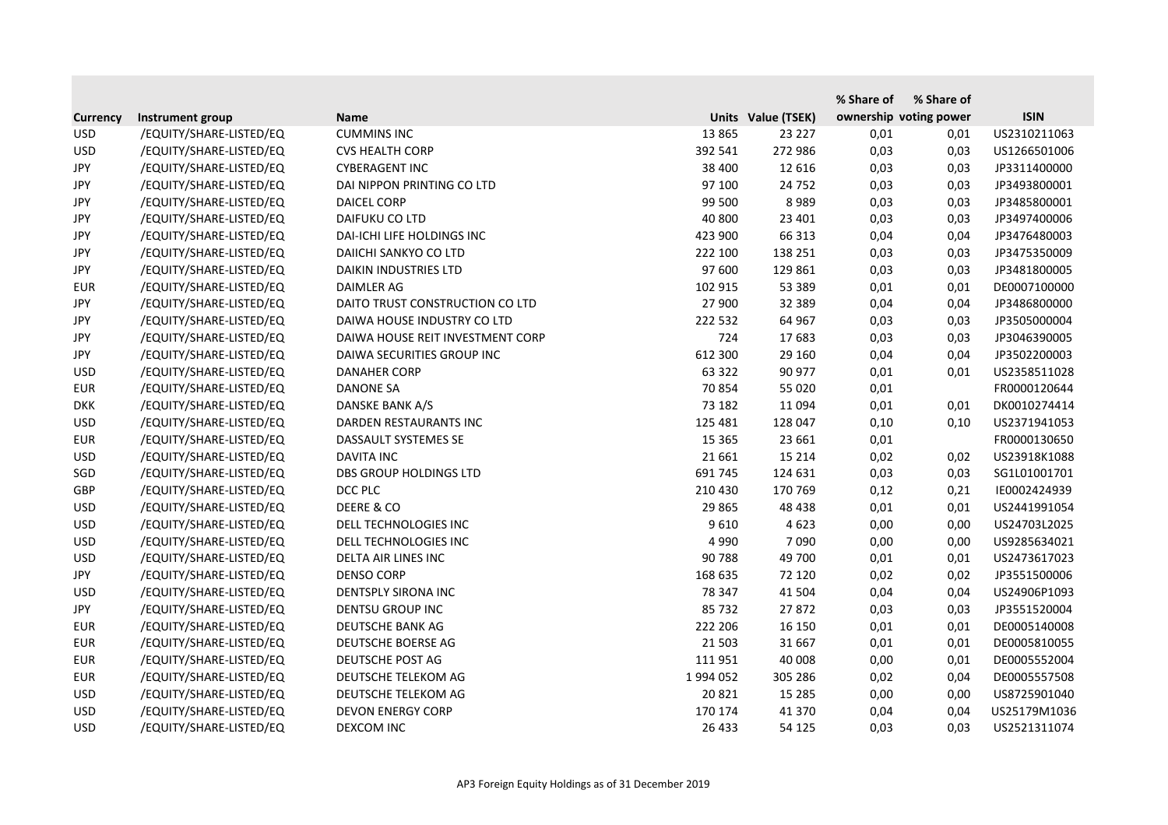|                 |                         |                                  |           |                    | % Share of | % Share of             |              |
|-----------------|-------------------------|----------------------------------|-----------|--------------------|------------|------------------------|--------------|
| <b>Currency</b> | Instrument group        | <b>Name</b>                      |           | Units Value (TSEK) |            | ownership voting power | <b>ISIN</b>  |
| <b>USD</b>      | /EQUITY/SHARE-LISTED/EQ | <b>CUMMINS INC</b>               | 13 8 65   | 23 227             | 0,01       | 0,01                   | US2310211063 |
| <b>USD</b>      | /EQUITY/SHARE-LISTED/EQ | <b>CVS HEALTH CORP</b>           | 392 541   | 272 986            | 0,03       | 0,03                   | US1266501006 |
| <b>JPY</b>      | /EQUITY/SHARE-LISTED/EQ | <b>CYBERAGENT INC</b>            | 38 400    | 12 616             | 0,03       | 0,03                   | JP3311400000 |
| <b>JPY</b>      | /EQUITY/SHARE-LISTED/EQ | DAI NIPPON PRINTING CO LTD       | 97 100    | 24 7 52            | 0,03       | 0,03                   | JP3493800001 |
| <b>JPY</b>      | /EQUITY/SHARE-LISTED/EQ | <b>DAICEL CORP</b>               | 99 500    | 8989               | 0,03       | 0,03                   | JP3485800001 |
| JPY             | /EQUITY/SHARE-LISTED/EQ | DAIFUKU CO LTD                   | 40 800    | 23 4 01            | 0,03       | 0,03                   | JP3497400006 |
| <b>JPY</b>      | /EQUITY/SHARE-LISTED/EQ | DAI-ICHI LIFE HOLDINGS INC       | 423 900   | 66 313             | 0,04       | 0,04                   | JP3476480003 |
| <b>JPY</b>      | /EQUITY/SHARE-LISTED/EQ | DAIICHI SANKYO CO LTD            | 222 100   | 138 251            | 0,03       | 0,03                   | JP3475350009 |
| JPY             | /EQUITY/SHARE-LISTED/EQ | DAIKIN INDUSTRIES LTD            | 97 600    | 129 861            | 0,03       | 0,03                   | JP3481800005 |
| <b>EUR</b>      | /EQUITY/SHARE-LISTED/EQ | DAIMLER AG                       | 102 915   | 53 389             | 0,01       | 0,01                   | DE0007100000 |
| JPY             | /EQUITY/SHARE-LISTED/EQ | DAITO TRUST CONSTRUCTION CO LTD  | 27 900    | 32 389             | 0,04       | 0,04                   | JP3486800000 |
| <b>JPY</b>      | /EQUITY/SHARE-LISTED/EQ | DAIWA HOUSE INDUSTRY CO LTD      | 222 532   | 64 967             | 0,03       | 0,03                   | JP3505000004 |
| JPY             | /EQUITY/SHARE-LISTED/EQ | DAIWA HOUSE REIT INVESTMENT CORP | 724       | 17683              | 0,03       | 0,03                   | JP3046390005 |
| JPY             | /EQUITY/SHARE-LISTED/EQ | DAIWA SECURITIES GROUP INC       | 612 300   | 29 160             | 0,04       | 0,04                   | JP3502200003 |
| <b>USD</b>      | /EQUITY/SHARE-LISTED/EQ | <b>DANAHER CORP</b>              | 63 322    | 90 977             | 0,01       | 0,01                   | US2358511028 |
| <b>EUR</b>      | /EQUITY/SHARE-LISTED/EQ | <b>DANONE SA</b>                 | 70854     | 55 0 20            | 0,01       |                        | FR0000120644 |
| <b>DKK</b>      | /EQUITY/SHARE-LISTED/EQ | <b>DANSKE BANK A/S</b>           | 73 182    | 11 0 94            | 0,01       | 0,01                   | DK0010274414 |
| <b>USD</b>      | /EQUITY/SHARE-LISTED/EQ | DARDEN RESTAURANTS INC           | 125 481   | 128 047            | 0,10       | 0,10                   | US2371941053 |
| <b>EUR</b>      | /EQUITY/SHARE-LISTED/EQ | DASSAULT SYSTEMES SE             | 15 3 65   | 23 661             | 0,01       |                        | FR0000130650 |
| <b>USD</b>      | /EQUITY/SHARE-LISTED/EQ | <b>DAVITA INC</b>                | 21 661    | 15 2 14            | 0,02       | 0,02                   | US23918K1088 |
| SGD             | /EQUITY/SHARE-LISTED/EQ | <b>DBS GROUP HOLDINGS LTD</b>    | 691 745   | 124 631            | 0,03       | 0,03                   | SG1L01001701 |
| <b>GBP</b>      | /EQUITY/SHARE-LISTED/EQ | DCC PLC                          | 210 430   | 170 769            | 0,12       | 0,21                   | IE0002424939 |
| <b>USD</b>      | /EQUITY/SHARE-LISTED/EQ | DEERE & CO                       | 29 865    | 48 4 38            | 0,01       | 0,01                   | US2441991054 |
| <b>USD</b>      | /EQUITY/SHARE-LISTED/EQ | DELL TECHNOLOGIES INC            | 9610      | 4 6 2 3            | 0,00       | 0,00                   | US24703L2025 |
| <b>USD</b>      | /EQUITY/SHARE-LISTED/EQ | DELL TECHNOLOGIES INC            | 4 9 9 0   | 7090               | 0,00       | 0,00                   | US9285634021 |
| <b>USD</b>      | /EQUITY/SHARE-LISTED/EQ | DELTA AIR LINES INC              | 90 788    | 49 700             | 0,01       | 0,01                   | US2473617023 |
| <b>JPY</b>      | /EQUITY/SHARE-LISTED/EQ | <b>DENSO CORP</b>                | 168 635   | 72 120             | 0,02       | 0,02                   | JP3551500006 |
| <b>USD</b>      | /EQUITY/SHARE-LISTED/EQ | DENTSPLY SIRONA INC              | 78 347    | 41 504             | 0,04       | 0,04                   | US24906P1093 |
| JPY             | /EQUITY/SHARE-LISTED/EQ | <b>DENTSU GROUP INC</b>          | 85 732    | 27872              | 0,03       | 0,03                   | JP3551520004 |
| <b>EUR</b>      | /EQUITY/SHARE-LISTED/EQ | DEUTSCHE BANK AG                 | 222 206   | 16 150             | 0,01       | 0,01                   | DE0005140008 |
| <b>EUR</b>      | /EQUITY/SHARE-LISTED/EQ | DEUTSCHE BOERSE AG               | 21 503    | 31 667             | 0,01       | 0,01                   | DE0005810055 |
| <b>EUR</b>      | /EQUITY/SHARE-LISTED/EQ | DEUTSCHE POST AG                 | 111 951   | 40 008             | 0,00       | 0,01                   | DE0005552004 |
| <b>EUR</b>      | /EQUITY/SHARE-LISTED/EQ | DEUTSCHE TELEKOM AG              | 1 994 052 | 305 286            | 0,02       | 0,04                   | DE0005557508 |
| <b>USD</b>      | /EQUITY/SHARE-LISTED/EQ | DEUTSCHE TELEKOM AG              | 20 8 21   | 15 2 8 5           | 0,00       | 0,00                   | US8725901040 |
| <b>USD</b>      | /EQUITY/SHARE-LISTED/EQ | <b>DEVON ENERGY CORP</b>         | 170 174   | 41 370             | 0,04       | 0,04                   | US25179M1036 |
| <b>USD</b>      | /EQUITY/SHARE-LISTED/EQ | DEXCOM INC                       | 26 433    | 54 125             | 0,03       | 0,03                   | US2521311074 |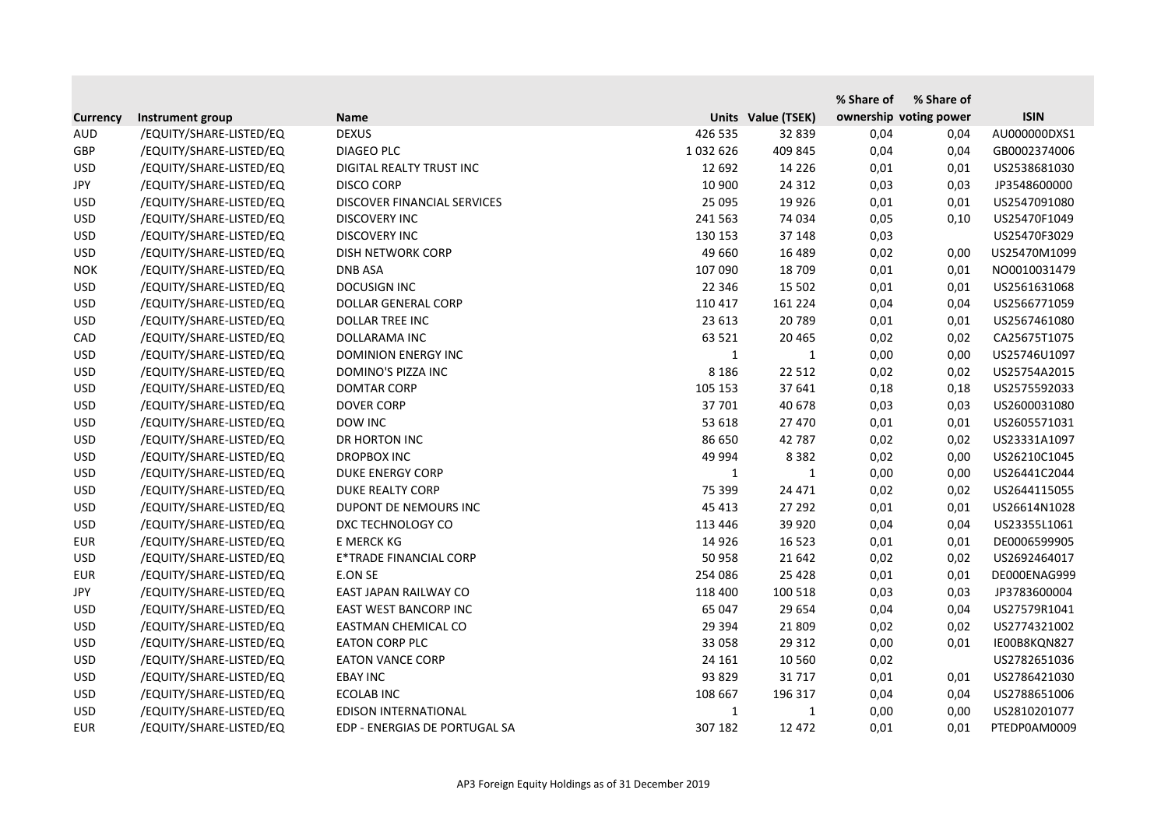|                 |                         |                               |              |                    | % Share of | % Share of             |              |
|-----------------|-------------------------|-------------------------------|--------------|--------------------|------------|------------------------|--------------|
| <b>Currency</b> | Instrument group        | <b>Name</b>                   |              | Units Value (TSEK) |            | ownership voting power | <b>ISIN</b>  |
| <b>AUD</b>      | /EQUITY/SHARE-LISTED/EQ | <b>DEXUS</b>                  | 426 535      | 32 839             | 0,04       | 0,04                   | AU000000DXS1 |
| <b>GBP</b>      | /EQUITY/SHARE-LISTED/EQ | <b>DIAGEO PLC</b>             | 1032626      | 409 845            | 0,04       | 0,04                   | GB0002374006 |
| <b>USD</b>      | /EQUITY/SHARE-LISTED/EQ | DIGITAL REALTY TRUST INC      | 12 692       | 14 2 2 6           | 0,01       | 0,01                   | US2538681030 |
| <b>JPY</b>      | /EQUITY/SHARE-LISTED/EQ | <b>DISCO CORP</b>             | 10 900       | 24 3 12            | 0,03       | 0,03                   | JP3548600000 |
| <b>USD</b>      | /EQUITY/SHARE-LISTED/EQ | DISCOVER FINANCIAL SERVICES   | 25 095       | 19 9 26            | 0,01       | 0,01                   | US2547091080 |
| <b>USD</b>      | /EQUITY/SHARE-LISTED/EQ | <b>DISCOVERY INC</b>          | 241 563      | 74 034             | 0,05       | 0,10                   | US25470F1049 |
| <b>USD</b>      | /EQUITY/SHARE-LISTED/EQ | <b>DISCOVERY INC</b>          | 130 153      | 37 148             | 0,03       |                        | US25470F3029 |
| <b>USD</b>      | /EQUITY/SHARE-LISTED/EQ | DISH NETWORK CORP             | 49 660       | 16 489             | 0,02       | 0,00                   | US25470M1099 |
| <b>NOK</b>      | /EQUITY/SHARE-LISTED/EQ | <b>DNB ASA</b>                | 107 090      | 18 709             | 0,01       | 0,01                   | NO0010031479 |
| <b>USD</b>      | /EQUITY/SHARE-LISTED/EQ | <b>DOCUSIGN INC</b>           | 22 346       | 15 502             | 0,01       | 0,01                   | US2561631068 |
| <b>USD</b>      | /EQUITY/SHARE-LISTED/EQ | DOLLAR GENERAL CORP           | 110 417      | 161 224            | 0,04       | 0,04                   | US2566771059 |
| <b>USD</b>      | /EQUITY/SHARE-LISTED/EQ | <b>DOLLAR TREE INC</b>        | 23 613       | 20 789             | 0,01       | 0,01                   | US2567461080 |
| CAD             | /EQUITY/SHARE-LISTED/EQ | DOLLARAMA INC                 | 63 5 21      | 20 4 65            | 0,02       | 0,02                   | CA25675T1075 |
| <b>USD</b>      | /EQUITY/SHARE-LISTED/EQ | <b>DOMINION ENERGY INC</b>    | $\mathbf{1}$ | 1                  | 0,00       | 0,00                   | US25746U1097 |
| <b>USD</b>      | /EQUITY/SHARE-LISTED/EQ | DOMINO'S PIZZA INC            | 8 1 8 6      | 22 5 12            | 0,02       | 0,02                   | US25754A2015 |
| <b>USD</b>      | /EQUITY/SHARE-LISTED/EQ | DOMTAR CORP                   | 105 153      | 37 641             | 0,18       | 0,18                   | US2575592033 |
| <b>USD</b>      | /EQUITY/SHARE-LISTED/EQ | <b>DOVER CORP</b>             | 37 701       | 40 678             | 0,03       | 0,03                   | US2600031080 |
| <b>USD</b>      | /EQUITY/SHARE-LISTED/EQ | DOW INC                       | 53 618       | 27 470             | 0,01       | 0,01                   | US2605571031 |
| <b>USD</b>      | /EQUITY/SHARE-LISTED/EQ | DR HORTON INC                 | 86 650       | 42 787             | 0,02       | 0,02                   | US23331A1097 |
| <b>USD</b>      | /EQUITY/SHARE-LISTED/EQ | <b>DROPBOX INC</b>            | 49 994       | 8 3 8 2            | 0,02       | 0,00                   | US26210C1045 |
| <b>USD</b>      | /EQUITY/SHARE-LISTED/EQ | <b>DUKE ENERGY CORP</b>       | 1            | 1                  | 0,00       | 0,00                   | US26441C2044 |
| <b>USD</b>      | /EQUITY/SHARE-LISTED/EQ | <b>DUKE REALTY CORP</b>       | 75 399       | 24 471             | 0,02       | 0,02                   | US2644115055 |
| <b>USD</b>      | /EQUITY/SHARE-LISTED/EQ | DUPONT DE NEMOURS INC         | 45 413       | 27 29 2            | 0,01       | 0,01                   | US26614N1028 |
| <b>USD</b>      | /EQUITY/SHARE-LISTED/EQ | DXC TECHNOLOGY CO             | 113 446      | 39 9 20            | 0,04       | 0,04                   | US23355L1061 |
| <b>EUR</b>      | /EQUITY/SHARE-LISTED/EQ | E MERCK KG                    | 14 9 26      | 16 5 23            | 0,01       | 0,01                   | DE0006599905 |
| <b>USD</b>      | /EQUITY/SHARE-LISTED/EQ | <b>E*TRADE FINANCIAL CORP</b> | 50 958       | 21 642             | 0,02       | 0,02                   | US2692464017 |
| <b>EUR</b>      | /EQUITY/SHARE-LISTED/EQ | E.ON SE                       | 254 086      | 25 4 28            | 0,01       | 0,01                   | DE000ENAG999 |
| JPY             | /EQUITY/SHARE-LISTED/EQ | EAST JAPAN RAILWAY CO         | 118 400      | 100 518            | 0,03       | 0,03                   | JP3783600004 |
| <b>USD</b>      | /EQUITY/SHARE-LISTED/EQ | EAST WEST BANCORP INC         | 65 047       | 29 654             | 0,04       | 0,04                   | US27579R1041 |
| <b>USD</b>      | /EQUITY/SHARE-LISTED/EQ | EASTMAN CHEMICAL CO           | 29 3 94      | 21 809             | 0,02       | 0,02                   | US2774321002 |
| <b>USD</b>      | /EQUITY/SHARE-LISTED/EQ | <b>EATON CORP PLC</b>         | 33 058       | 29 3 12            | 0,00       | 0,01                   | IE00B8KQN827 |
| <b>USD</b>      | /EQUITY/SHARE-LISTED/EQ | <b>EATON VANCE CORP</b>       | 24 16 1      | 10 5 60            | 0,02       |                        | US2782651036 |
| <b>USD</b>      | /EQUITY/SHARE-LISTED/EQ | <b>EBAY INC</b>               | 93 829       | 31 7 17            | 0,01       | 0,01                   | US2786421030 |
| <b>USD</b>      | /EQUITY/SHARE-LISTED/EQ | <b>ECOLAB INC</b>             | 108 667      | 196 317            | 0,04       | 0,04                   | US2788651006 |
| <b>USD</b>      | /EQUITY/SHARE-LISTED/EQ | EDISON INTERNATIONAL          | 1            | 1                  | 0,00       | 0,00                   | US2810201077 |
| <b>EUR</b>      | /EQUITY/SHARE-LISTED/EQ | EDP - ENERGIAS DE PORTUGAL SA | 307 182      | 12 472             | 0,01       | 0,01                   | PTEDP0AM0009 |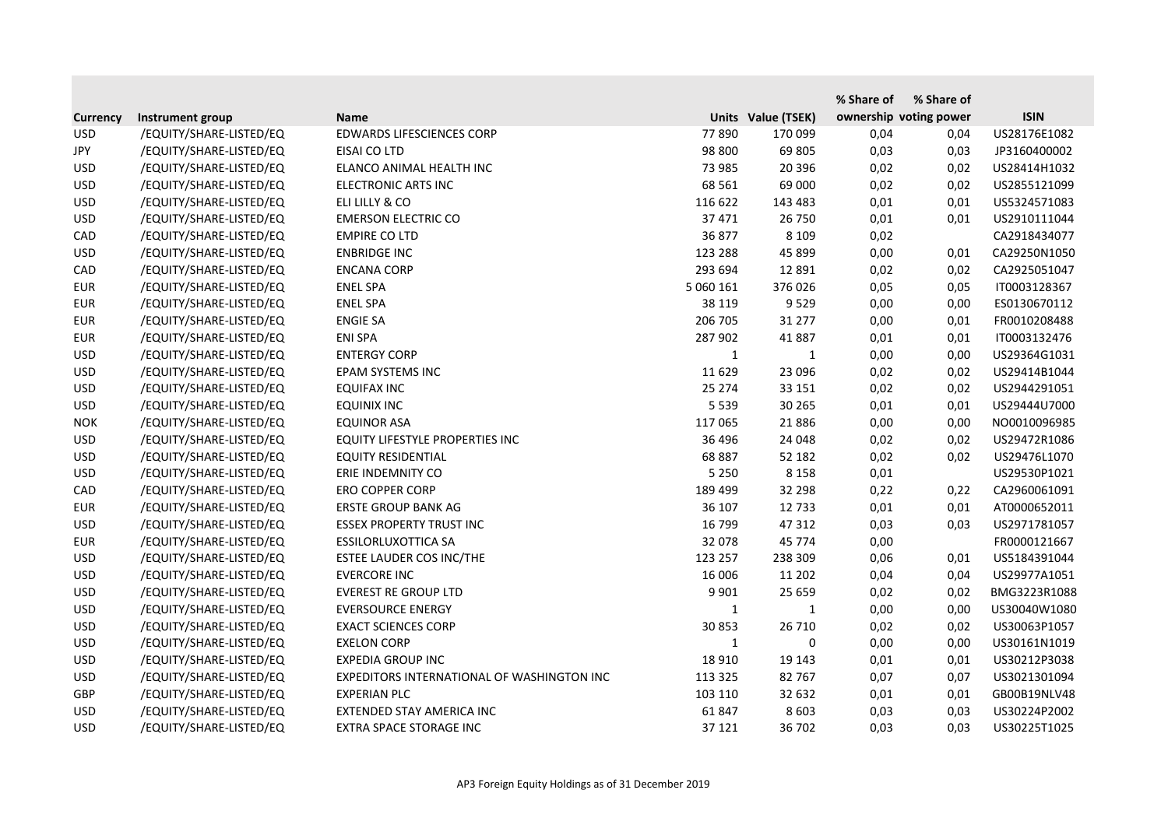|                 |                         |                                            |              |                    | % Share of             | % Share of |              |
|-----------------|-------------------------|--------------------------------------------|--------------|--------------------|------------------------|------------|--------------|
| <b>Currency</b> | Instrument group        | <b>Name</b>                                |              | Units Value (TSEK) | ownership voting power |            | <b>ISIN</b>  |
| <b>USD</b>      | /EQUITY/SHARE-LISTED/EQ | <b>EDWARDS LIFESCIENCES CORP</b>           | 77890        | 170 099            | 0,04                   | 0,04       | US28176E1082 |
| <b>JPY</b>      | /EQUITY/SHARE-LISTED/EQ | EISAI CO LTD                               | 98 800       | 69 805             | 0,03                   | 0,03       | JP3160400002 |
| <b>USD</b>      | /EQUITY/SHARE-LISTED/EQ | ELANCO ANIMAL HEALTH INC                   | 73 985       | 20 39 6            | 0,02                   | 0,02       | US28414H1032 |
| <b>USD</b>      | /EQUITY/SHARE-LISTED/EQ | ELECTRONIC ARTS INC                        | 68 5 61      | 69 000             | 0,02                   | 0,02       | US2855121099 |
| <b>USD</b>      | /EQUITY/SHARE-LISTED/EQ | ELI LILLY & CO                             | 116 622      | 143 483            | 0,01                   | 0,01       | US5324571083 |
| <b>USD</b>      | /EQUITY/SHARE-LISTED/EQ | <b>EMERSON ELECTRIC CO</b>                 | 37 471       | 26 750             | 0,01                   | 0,01       | US2910111044 |
| CAD             | /EQUITY/SHARE-LISTED/EQ | <b>EMPIRE CO LTD</b>                       | 36 877       | 8 1 0 9            | 0,02                   |            | CA2918434077 |
| <b>USD</b>      | /EQUITY/SHARE-LISTED/EQ | <b>ENBRIDGE INC</b>                        | 123 288      | 45 899             | 0,00                   | 0,01       | CA29250N1050 |
| CAD             | /EQUITY/SHARE-LISTED/EQ | <b>ENCANA CORP</b>                         | 293 694      | 12 891             | 0,02                   | 0,02       | CA2925051047 |
| <b>EUR</b>      | /EQUITY/SHARE-LISTED/EQ | <b>ENEL SPA</b>                            | 5 060 161    | 376 026            | 0,05                   | 0,05       | IT0003128367 |
| <b>EUR</b>      | /EQUITY/SHARE-LISTED/EQ | <b>ENEL SPA</b>                            | 38 119       | 9 5 2 9            | 0,00                   | 0,00       | ES0130670112 |
| <b>EUR</b>      | /EQUITY/SHARE-LISTED/EQ | <b>ENGIE SA</b>                            | 206 705      | 31 277             | 0,00                   | 0,01       | FR0010208488 |
| <b>EUR</b>      | /EQUITY/SHARE-LISTED/EQ | <b>ENI SPA</b>                             | 287 902      | 41 887             | 0,01                   | 0,01       | IT0003132476 |
| <b>USD</b>      | /EQUITY/SHARE-LISTED/EQ | <b>ENTERGY CORP</b>                        | $\mathbf{1}$ | $\mathbf{1}$       | 0,00                   | 0,00       | US29364G1031 |
| <b>USD</b>      | /EQUITY/SHARE-LISTED/EQ | EPAM SYSTEMS INC                           | 11 6 29      | 23 096             | 0,02                   | 0,02       | US29414B1044 |
| <b>USD</b>      | /EQUITY/SHARE-LISTED/EQ | <b>EQUIFAX INC</b>                         | 25 274       | 33 151             | 0,02                   | 0,02       | US2944291051 |
| <b>USD</b>      | /EQUITY/SHARE-LISTED/EQ | <b>EQUINIX INC</b>                         | 5 5 3 9      | 30 265             | 0,01                   | 0,01       | US29444U7000 |
| <b>NOK</b>      | /EQUITY/SHARE-LISTED/EQ | <b>EQUINOR ASA</b>                         | 117 065      | 21886              | 0,00                   | 0,00       | NO0010096985 |
| <b>USD</b>      | /EQUITY/SHARE-LISTED/EQ | EQUITY LIFESTYLE PROPERTIES INC            | 36 496       | 24 048             | 0,02                   | 0,02       | US29472R1086 |
| <b>USD</b>      | /EQUITY/SHARE-LISTED/EQ | <b>EQUITY RESIDENTIAL</b>                  | 68 887       | 52 182             | 0,02                   | 0,02       | US29476L1070 |
| <b>USD</b>      | /EQUITY/SHARE-LISTED/EQ | ERIE INDEMNITY CO                          | 5 2 5 0      | 8 1 5 8            | 0,01                   |            | US29530P1021 |
| CAD             | /EQUITY/SHARE-LISTED/EQ | <b>ERO COPPER CORP</b>                     | 189 499      | 32 298             | 0,22                   | 0,22       | CA2960061091 |
| <b>EUR</b>      | /EQUITY/SHARE-LISTED/EQ | <b>ERSTE GROUP BANK AG</b>                 | 36 107       | 12 7 33            | 0,01                   | 0,01       | AT0000652011 |
| <b>USD</b>      | /EQUITY/SHARE-LISTED/EQ | <b>ESSEX PROPERTY TRUST INC</b>            | 16 799       | 47 312             | 0,03                   | 0,03       | US2971781057 |
| <b>EUR</b>      | /EQUITY/SHARE-LISTED/EQ | <b>ESSILORLUXOTTICA SA</b>                 | 32 078       | 45 7 7 4           | 0,00                   |            | FR0000121667 |
| <b>USD</b>      | /EQUITY/SHARE-LISTED/EQ | ESTEE LAUDER COS INC/THE                   | 123 257      | 238 309            | 0,06                   | 0,01       | US5184391044 |
| <b>USD</b>      | /EQUITY/SHARE-LISTED/EQ | <b>EVERCORE INC</b>                        | 16 006       | 11 202             | 0,04                   | 0,04       | US29977A1051 |
| <b>USD</b>      | /EQUITY/SHARE-LISTED/EQ | <b>EVEREST RE GROUP LTD</b>                | 9 9 0 1      | 25 659             | 0,02                   | 0,02       | BMG3223R1088 |
| <b>USD</b>      | /EQUITY/SHARE-LISTED/EQ | <b>EVERSOURCE ENERGY</b>                   | $\mathbf{1}$ | 1                  | 0,00                   | 0,00       | US30040W1080 |
| <b>USD</b>      | /EQUITY/SHARE-LISTED/EQ | <b>EXACT SCIENCES CORP</b>                 | 30 853       | 26 710             | 0,02                   | 0,02       | US30063P1057 |
| <b>USD</b>      | /EQUITY/SHARE-LISTED/EQ | <b>EXELON CORP</b>                         | 1            | 0                  | 0,00                   | 0,00       | US30161N1019 |
| <b>USD</b>      | /EQUITY/SHARE-LISTED/EQ | <b>EXPEDIA GROUP INC</b>                   | 18 9 10      | 19 143             | 0,01                   | 0,01       | US30212P3038 |
| <b>USD</b>      | /EQUITY/SHARE-LISTED/EQ | EXPEDITORS INTERNATIONAL OF WASHINGTON INC | 113 325      | 82 767             | 0,07                   | 0,07       | US3021301094 |
| <b>GBP</b>      | /EQUITY/SHARE-LISTED/EQ | <b>EXPERIAN PLC</b>                        | 103 110      | 32 632             | 0,01                   | 0,01       | GB00B19NLV48 |
| <b>USD</b>      | /EQUITY/SHARE-LISTED/EQ | EXTENDED STAY AMERICA INC                  | 61 847       | 8 6 0 3            | 0,03                   | 0,03       | US30224P2002 |
| <b>USD</b>      | /EQUITY/SHARE-LISTED/EQ | EXTRA SPACE STORAGE INC                    | 37 121       | 36 702             | 0,03                   | 0,03       | US30225T1025 |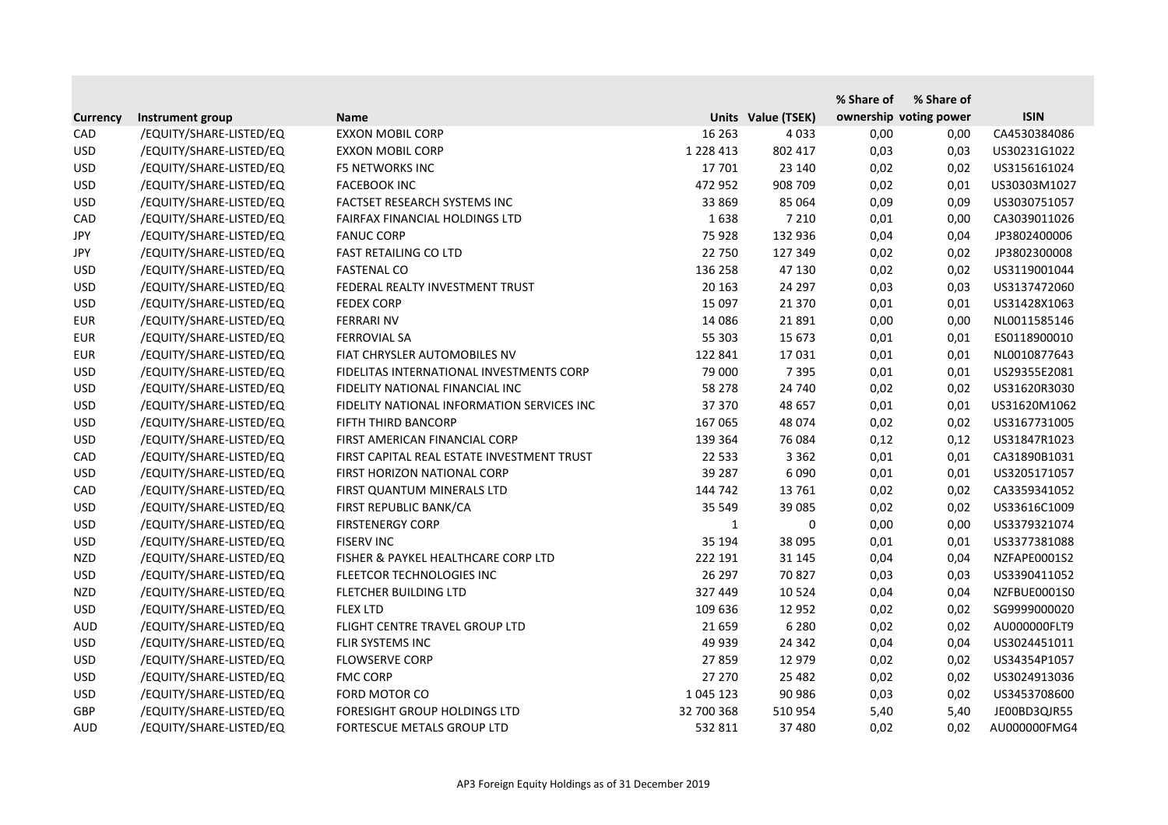|                 |                         |                                            |               |                    | % Share of | % Share of             |              |
|-----------------|-------------------------|--------------------------------------------|---------------|--------------------|------------|------------------------|--------------|
| <b>Currency</b> | Instrument group        | <b>Name</b>                                |               | Units Value (TSEK) |            | ownership voting power | <b>ISIN</b>  |
| CAD             | /EQUITY/SHARE-LISTED/EQ | <b>EXXON MOBIL CORP</b>                    | 16 263        | 4 0 3 3            | 0,00       | 0,00                   | CA4530384086 |
| <b>USD</b>      | /EQUITY/SHARE-LISTED/EQ | <b>EXXON MOBIL CORP</b>                    | 1 2 2 8 4 1 3 | 802 417            | 0,03       | 0,03                   | US30231G1022 |
| <b>USD</b>      | /EQUITY/SHARE-LISTED/EQ | <b>F5 NETWORKS INC</b>                     | 17 701        | 23 140             | 0,02       | 0,02                   | US3156161024 |
| <b>USD</b>      | /EQUITY/SHARE-LISTED/EQ | <b>FACEBOOK INC</b>                        | 472 952       | 908 709            | 0,02       | 0,01                   | US30303M1027 |
| <b>USD</b>      | /EQUITY/SHARE-LISTED/EQ | FACTSET RESEARCH SYSTEMS INC               | 33 869        | 85 064             | 0,09       | 0,09                   | US3030751057 |
| CAD             | /EQUITY/SHARE-LISTED/EQ | FAIRFAX FINANCIAL HOLDINGS LTD             | 1638          | 7 2 1 0            | 0,01       | 0,00                   | CA3039011026 |
| <b>JPY</b>      | /EQUITY/SHARE-LISTED/EQ | <b>FANUC CORP</b>                          | 75 928        | 132 936            | 0,04       | 0,04                   | JP3802400006 |
| JPY             | /EQUITY/SHARE-LISTED/EQ | <b>FAST RETAILING CO LTD</b>               | 22 750        | 127 349            | 0,02       | 0,02                   | JP3802300008 |
| <b>USD</b>      | /EQUITY/SHARE-LISTED/EQ | <b>FASTENAL CO</b>                         | 136 258       | 47 130             | 0,02       | 0,02                   | US3119001044 |
| <b>USD</b>      | /EQUITY/SHARE-LISTED/EQ | FEDERAL REALTY INVESTMENT TRUST            | 20 163        | 24 297             | 0,03       | 0,03                   | US3137472060 |
| <b>USD</b>      | /EQUITY/SHARE-LISTED/EQ | <b>FEDEX CORP</b>                          | 15 097        | 21 370             | 0,01       | 0,01                   | US31428X1063 |
| <b>EUR</b>      | /EQUITY/SHARE-LISTED/EQ | <b>FERRARI NV</b>                          | 14 08 6       | 21 8 9 1           | 0,00       | 0,00                   | NL0011585146 |
| <b>EUR</b>      | /EQUITY/SHARE-LISTED/EQ | <b>FERROVIAL SA</b>                        | 55 303        | 15 673             | 0,01       | 0,01                   | ES0118900010 |
| <b>EUR</b>      | /EQUITY/SHARE-LISTED/EQ | FIAT CHRYSLER AUTOMOBILES NV               | 122 841       | 17031              | 0,01       | 0,01                   | NL0010877643 |
| <b>USD</b>      | /EQUITY/SHARE-LISTED/EQ | FIDELITAS INTERNATIONAL INVESTMENTS CORP   | 79 000        | 7 3 9 5            | 0,01       | 0,01                   | US29355E2081 |
| <b>USD</b>      | /EQUITY/SHARE-LISTED/EQ | FIDELITY NATIONAL FINANCIAL INC            | 58 278        | 24 740             | 0,02       | 0,02                   | US31620R3030 |
| <b>USD</b>      | /EQUITY/SHARE-LISTED/EQ | FIDELITY NATIONAL INFORMATION SERVICES INC | 37 370        | 48 657             | 0,01       | 0,01                   | US31620M1062 |
| <b>USD</b>      | /EQUITY/SHARE-LISTED/EQ | FIFTH THIRD BANCORP                        | 167 065       | 48 074             | 0,02       | 0,02                   | US3167731005 |
| <b>USD</b>      | /EQUITY/SHARE-LISTED/EQ | FIRST AMERICAN FINANCIAL CORP              | 139 364       | 76 084             | 0,12       | 0,12                   | US31847R1023 |
| CAD             | /EQUITY/SHARE-LISTED/EQ | FIRST CAPITAL REAL ESTATE INVESTMENT TRUST | 22 5 33       | 3 3 6 2            | 0,01       | 0,01                   | CA31890B1031 |
| <b>USD</b>      | /EQUITY/SHARE-LISTED/EQ | FIRST HORIZON NATIONAL CORP                | 39 287        | 6090               | 0,01       | 0,01                   | US3205171057 |
| CAD             | /EQUITY/SHARE-LISTED/EQ | FIRST QUANTUM MINERALS LTD                 | 144 742       | 13 761             | 0,02       | 0,02                   | CA3359341052 |
| <b>USD</b>      | /EQUITY/SHARE-LISTED/EQ | FIRST REPUBLIC BANK/CA                     | 35 549        | 39 0 85            | 0,02       | 0,02                   | US33616C1009 |
| <b>USD</b>      | /EQUITY/SHARE-LISTED/EQ | <b>FIRSTENERGY CORP</b>                    | 1             | 0                  | 0,00       | 0,00                   | US3379321074 |
| <b>USD</b>      | /EQUITY/SHARE-LISTED/EQ | <b>FISERV INC</b>                          | 35 194        | 38 095             | 0,01       | 0,01                   | US3377381088 |
| <b>NZD</b>      | /EQUITY/SHARE-LISTED/EQ | FISHER & PAYKEL HEALTHCARE CORP LTD        | 222 191       | 31 145             | 0,04       | 0,04                   | NZFAPE0001S2 |
| <b>USD</b>      | /EQUITY/SHARE-LISTED/EQ | FLEETCOR TECHNOLOGIES INC                  | 26 297        | 70 827             | 0,03       | 0,03                   | US3390411052 |
| <b>NZD</b>      | /EQUITY/SHARE-LISTED/EQ | FLETCHER BUILDING LTD                      | 327 449       | 10 5 24            | 0,04       | 0,04                   | NZFBUE0001S0 |
| <b>USD</b>      | /EQUITY/SHARE-LISTED/EQ | <b>FLEX LTD</b>                            | 109 636       | 12 9 52            | 0,02       | 0,02                   | SG9999000020 |
| AUD             | /EQUITY/SHARE-LISTED/EQ | FLIGHT CENTRE TRAVEL GROUP LTD             | 21 659        | 6 2 8 0            | 0,02       | 0,02                   | AU000000FLT9 |
| <b>USD</b>      | /EQUITY/SHARE-LISTED/EQ | FLIR SYSTEMS INC                           | 49 939        | 24 342             | 0,04       | 0,04                   | US3024451011 |
| <b>USD</b>      | /EQUITY/SHARE-LISTED/EQ | <b>FLOWSERVE CORP</b>                      | 27859         | 12 979             | 0,02       | 0,02                   | US34354P1057 |
| <b>USD</b>      | /EQUITY/SHARE-LISTED/EQ | <b>FMC CORP</b>                            | 27 270        | 25 4 82            | 0,02       | 0,02                   | US3024913036 |
| <b>USD</b>      | /EQUITY/SHARE-LISTED/EQ | FORD MOTOR CO                              | 1 045 123     | 90 986             | 0,03       | 0,02                   | US3453708600 |
| <b>GBP</b>      | /EQUITY/SHARE-LISTED/EQ | FORESIGHT GROUP HOLDINGS LTD               | 32 700 368    | 510 954            | 5,40       | 5,40                   | JE00BD3QJR55 |
| <b>AUD</b>      | /EQUITY/SHARE-LISTED/EQ | FORTESCUE METALS GROUP LTD                 | 532 811       | 37 480             | 0,02       | 0,02                   | AU000000FMG4 |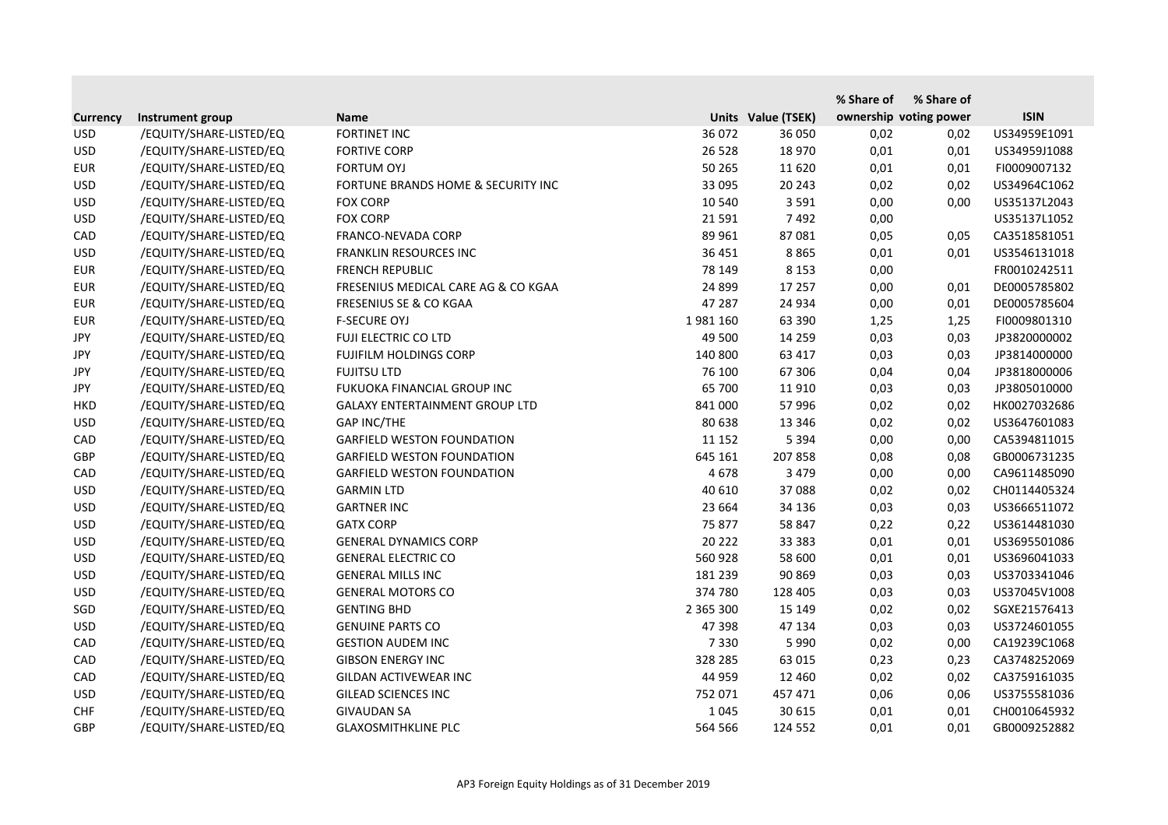|                 |                         |                                       |           |                    | % Share of | % Share of             |              |
|-----------------|-------------------------|---------------------------------------|-----------|--------------------|------------|------------------------|--------------|
| <b>Currency</b> | Instrument group        | <b>Name</b>                           |           | Units Value (TSEK) |            | ownership voting power | <b>ISIN</b>  |
| <b>USD</b>      | /EQUITY/SHARE-LISTED/EQ | <b>FORTINET INC</b>                   | 36 072    | 36 050             | 0,02       | 0,02                   | US34959E1091 |
| <b>USD</b>      | /EQUITY/SHARE-LISTED/EQ | <b>FORTIVE CORP</b>                   | 26 5 28   | 18 970             | 0,01       | 0,01                   | US34959J1088 |
| <b>EUR</b>      | /EQUITY/SHARE-LISTED/EQ | <b>FORTUM OYJ</b>                     | 50 265    | 11 6 20            | 0,01       | 0,01                   | FI0009007132 |
| <b>USD</b>      | /EQUITY/SHARE-LISTED/EQ | FORTUNE BRANDS HOME & SECURITY INC    | 33 095    | 20 24 3            | 0,02       | 0,02                   | US34964C1062 |
| <b>USD</b>      | /EQUITY/SHARE-LISTED/EQ | <b>FOX CORP</b>                       | 10 540    | 3 5 9 1            | 0,00       | 0,00                   | US35137L2043 |
| <b>USD</b>      | /EQUITY/SHARE-LISTED/EQ | <b>FOX CORP</b>                       | 21 5 91   | 7492               | 0,00       |                        | US35137L1052 |
| CAD             | /EQUITY/SHARE-LISTED/EQ | FRANCO-NEVADA CORP                    | 89 961    | 87081              | 0,05       | 0,05                   | CA3518581051 |
| <b>USD</b>      | /EQUITY/SHARE-LISTED/EQ | <b>FRANKLIN RESOURCES INC</b>         | 36 451    | 8865               | 0,01       | 0,01                   | US3546131018 |
| <b>EUR</b>      | /EQUITY/SHARE-LISTED/EQ | <b>FRENCH REPUBLIC</b>                | 78 149    | 8 1 5 3            | 0,00       |                        | FR0010242511 |
| <b>EUR</b>      | /EQUITY/SHARE-LISTED/EQ | FRESENIUS MEDICAL CARE AG & CO KGAA   | 24 8 99   | 17 257             | 0,00       | 0,01                   | DE0005785802 |
| <b>EUR</b>      | /EQUITY/SHARE-LISTED/EQ | <b>FRESENIUS SE &amp; CO KGAA</b>     | 47 287    | 24 9 34            | 0,00       | 0,01                   | DE0005785604 |
| <b>EUR</b>      | /EQUITY/SHARE-LISTED/EQ | <b>F-SECURE OYJ</b>                   | 1981160   | 63 390             | 1,25       | 1,25                   | FI0009801310 |
| JPY             | /EQUITY/SHARE-LISTED/EQ | <b>FUJI ELECTRIC CO LTD</b>           | 49 500    | 14 2 5 9           | 0,03       | 0,03                   | JP3820000002 |
| JPY             | /EQUITY/SHARE-LISTED/EQ | <b>FUJIFILM HOLDINGS CORP</b>         | 140 800   | 63 417             | 0,03       | 0,03                   | JP3814000000 |
| <b>JPY</b>      | /EQUITY/SHARE-LISTED/EQ | <b>FUJITSU LTD</b>                    | 76 100    | 67 30 6            | 0,04       | 0,04                   | JP3818000006 |
| JPY             | /EQUITY/SHARE-LISTED/EQ | FUKUOKA FINANCIAL GROUP INC           | 65 700    | 11 910             | 0,03       | 0,03                   | JP3805010000 |
| <b>HKD</b>      | /EQUITY/SHARE-LISTED/EQ | <b>GALAXY ENTERTAINMENT GROUP LTD</b> | 841 000   | 57 996             | 0,02       | 0,02                   | HK0027032686 |
| <b>USD</b>      | /EQUITY/SHARE-LISTED/EQ | <b>GAP INC/THE</b>                    | 80 638    | 13 3 46            | 0,02       | 0,02                   | US3647601083 |
| CAD             | /EQUITY/SHARE-LISTED/EQ | <b>GARFIELD WESTON FOUNDATION</b>     | 11 152    | 5 3 9 4            | 0,00       | 0,00                   | CA5394811015 |
| GBP             | /EQUITY/SHARE-LISTED/EQ | <b>GARFIELD WESTON FOUNDATION</b>     | 645 161   | 207 858            | 0,08       | 0,08                   | GB0006731235 |
| CAD             | /EQUITY/SHARE-LISTED/EQ | <b>GARFIELD WESTON FOUNDATION</b>     | 4678      | 3 4 7 9            | 0,00       | 0,00                   | CA9611485090 |
| <b>USD</b>      | /EQUITY/SHARE-LISTED/EQ | <b>GARMIN LTD</b>                     | 40 610    | 37 088             | 0,02       | 0,02                   | CH0114405324 |
| <b>USD</b>      | /EQUITY/SHARE-LISTED/EQ | <b>GARTNER INC</b>                    | 23 6 64   | 34 136             | 0,03       | 0,03                   | US3666511072 |
| <b>USD</b>      | /EQUITY/SHARE-LISTED/EQ | <b>GATX CORP</b>                      | 75 877    | 58 847             | 0,22       | 0,22                   | US3614481030 |
| <b>USD</b>      | /EQUITY/SHARE-LISTED/EQ | <b>GENERAL DYNAMICS CORP</b>          | 20 222    | 33 383             | 0,01       | 0,01                   | US3695501086 |
| <b>USD</b>      | /EQUITY/SHARE-LISTED/EQ | <b>GENERAL ELECTRIC CO</b>            | 560 928   | 58 600             | 0,01       | 0,01                   | US3696041033 |
| <b>USD</b>      | /EQUITY/SHARE-LISTED/EQ | <b>GENERAL MILLS INC</b>              | 181 239   | 90 869             | 0,03       | 0,03                   | US3703341046 |
| <b>USD</b>      | /EQUITY/SHARE-LISTED/EQ | <b>GENERAL MOTORS CO</b>              | 374 780   | 128 405            | 0,03       | 0,03                   | US37045V1008 |
| SGD             | /EQUITY/SHARE-LISTED/EQ | <b>GENTING BHD</b>                    | 2 365 300 | 15 149             | 0,02       | 0,02                   | SGXE21576413 |
| <b>USD</b>      | /EQUITY/SHARE-LISTED/EQ | <b>GENUINE PARTS CO</b>               | 47 398    | 47 134             | 0,03       | 0,03                   | US3724601055 |
| CAD             | /EQUITY/SHARE-LISTED/EQ | <b>GESTION AUDEM INC</b>              | 7 3 3 0   | 5 9 9 0            | 0,02       | 0,00                   | CA19239C1068 |
| CAD             | /EQUITY/SHARE-LISTED/EQ | <b>GIBSON ENERGY INC</b>              | 328 285   | 63 015             | 0,23       | 0,23                   | CA3748252069 |
| CAD             | /EQUITY/SHARE-LISTED/EQ | GILDAN ACTIVEWEAR INC                 | 44 959    | 12 4 6 0           | 0,02       | 0,02                   | CA3759161035 |
| <b>USD</b>      | /EQUITY/SHARE-LISTED/EQ | <b>GILEAD SCIENCES INC</b>            | 752 071   | 457 471            | 0,06       | 0,06                   | US3755581036 |
| <b>CHF</b>      | /EQUITY/SHARE-LISTED/EQ | <b>GIVAUDAN SA</b>                    | 1 0 4 5   | 30 615             | 0,01       | 0,01                   | CH0010645932 |
| <b>GBP</b>      | /EQUITY/SHARE-LISTED/EQ | <b>GLAXOSMITHKLINE PLC</b>            | 564 566   | 124 552            | 0,01       | 0,01                   | GB0009252882 |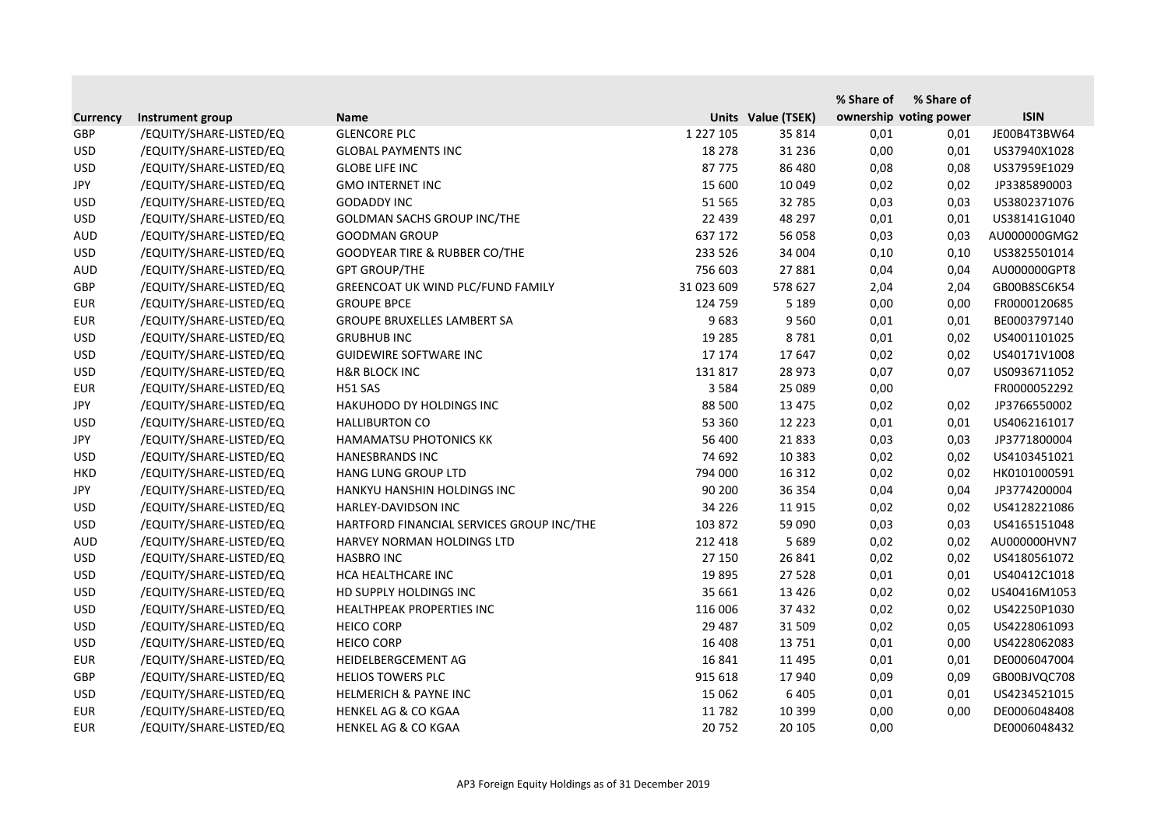|                 |                         |                                           |               |                    | % Share of | % Share of             |              |
|-----------------|-------------------------|-------------------------------------------|---------------|--------------------|------------|------------------------|--------------|
| <b>Currency</b> | Instrument group        | <b>Name</b>                               |               | Units Value (TSEK) |            | ownership voting power | <b>ISIN</b>  |
| <b>GBP</b>      | /EQUITY/SHARE-LISTED/EQ | <b>GLENCORE PLC</b>                       | 1 2 2 7 1 0 5 | 35 814             | 0,01       | 0,01                   | JE00B4T3BW64 |
| <b>USD</b>      | /EQUITY/SHARE-LISTED/EQ | <b>GLOBAL PAYMENTS INC</b>                | 18 278        | 31 2 36            | 0,00       | 0,01                   | US37940X1028 |
| <b>USD</b>      | /EQUITY/SHARE-LISTED/EQ | <b>GLOBE LIFE INC</b>                     | 87775         | 86 480             | 0,08       | 0,08                   | US37959E1029 |
| <b>JPY</b>      | /EQUITY/SHARE-LISTED/EQ | <b>GMO INTERNET INC</b>                   | 15 600        | 10 049             | 0,02       | 0,02                   | JP3385890003 |
| <b>USD</b>      | /EQUITY/SHARE-LISTED/EQ | <b>GODADDY INC</b>                        | 51 565        | 32 785             | 0,03       | 0,03                   | US3802371076 |
| <b>USD</b>      | /EQUITY/SHARE-LISTED/EQ | <b>GOLDMAN SACHS GROUP INC/THE</b>        | 22 4 39       | 48 297             | 0,01       | 0,01                   | US38141G1040 |
| <b>AUD</b>      | /EQUITY/SHARE-LISTED/EQ | <b>GOODMAN GROUP</b>                      | 637 172       | 56 058             | 0,03       | 0,03                   | AU000000GMG2 |
| <b>USD</b>      | /EQUITY/SHARE-LISTED/EQ | GOODYEAR TIRE & RUBBER CO/THE             | 233 526       | 34 004             | 0,10       | 0,10                   | US3825501014 |
| <b>AUD</b>      | /EQUITY/SHARE-LISTED/EQ | <b>GPT GROUP/THE</b>                      | 756 603       | 27881              | 0,04       | 0,04                   | AU000000GPT8 |
| GBP             | /EQUITY/SHARE-LISTED/EQ | GREENCOAT UK WIND PLC/FUND FAMILY         | 31 023 609    | 578 627            | 2,04       | 2,04                   | GB00B8SC6K54 |
| <b>EUR</b>      | /EQUITY/SHARE-LISTED/EQ | <b>GROUPE BPCE</b>                        | 124 759       | 5 1 8 9            | 0,00       | 0,00                   | FR0000120685 |
| <b>EUR</b>      | /EQUITY/SHARE-LISTED/EQ | <b>GROUPE BRUXELLES LAMBERT SA</b>        | 9683          | 9 5 6 0            | 0,01       | 0,01                   | BE0003797140 |
| <b>USD</b>      | /EQUITY/SHARE-LISTED/EQ | <b>GRUBHUB INC</b>                        | 19 2 85       | 8781               | 0,01       | 0,02                   | US4001101025 |
| <b>USD</b>      | /EQUITY/SHARE-LISTED/EQ | <b>GUIDEWIRE SOFTWARE INC</b>             | 17 174        | 17647              | 0,02       | 0,02                   | US40171V1008 |
| <b>USD</b>      | /EQUITY/SHARE-LISTED/EQ | <b>H&amp;R BLOCK INC</b>                  | 131 817       | 28 973             | 0,07       | 0,07                   | US0936711052 |
| <b>EUR</b>      | /EQUITY/SHARE-LISTED/EQ | H51 SAS                                   | 3 5 8 4       | 25 089             | 0,00       |                        | FR0000052292 |
| <b>JPY</b>      | /EQUITY/SHARE-LISTED/EQ | HAKUHODO DY HOLDINGS INC                  | 88 500        | 13 4 7 5           | 0,02       | 0,02                   | JP3766550002 |
| <b>USD</b>      | /EQUITY/SHARE-LISTED/EQ | <b>HALLIBURTON CO</b>                     | 53 360        | 12 2 2 3           | 0,01       | 0,01                   | US4062161017 |
| <b>JPY</b>      | /EQUITY/SHARE-LISTED/EQ | HAMAMATSU PHOTONICS KK                    | 56 400        | 21833              | 0,03       | 0,03                   | JP3771800004 |
| <b>USD</b>      | /EQUITY/SHARE-LISTED/EQ | <b>HANESBRANDS INC</b>                    | 74 692        | 10 3 8 3           | 0,02       | 0,02                   | US4103451021 |
| <b>HKD</b>      | /EQUITY/SHARE-LISTED/EQ | <b>HANG LUNG GROUP LTD</b>                | 794 000       | 16 3 12            | 0,02       | 0,02                   | HK0101000591 |
| <b>JPY</b>      | /EQUITY/SHARE-LISTED/EQ | HANKYU HANSHIN HOLDINGS INC               | 90 200        | 36 354             | 0,04       | 0,04                   | JP3774200004 |
| <b>USD</b>      | /EQUITY/SHARE-LISTED/EQ | HARLEY-DAVIDSON INC                       | 34 2 2 6      | 11 9 15            | 0,02       | 0,02                   | US4128221086 |
| <b>USD</b>      | /EQUITY/SHARE-LISTED/EQ | HARTFORD FINANCIAL SERVICES GROUP INC/THE | 103 872       | 59 090             | 0,03       | 0,03                   | US4165151048 |
| <b>AUD</b>      | /EQUITY/SHARE-LISTED/EQ | HARVEY NORMAN HOLDINGS LTD                | 212 418       | 5 6 8 9            | 0,02       | 0,02                   | AU000000HVN7 |
| <b>USD</b>      | /EQUITY/SHARE-LISTED/EQ | <b>HASBRO INC</b>                         | 27 150        | 26 841             | 0,02       | 0,02                   | US4180561072 |
| <b>USD</b>      | /EQUITY/SHARE-LISTED/EQ | HCA HEALTHCARE INC                        | 19895         | 27 5 28            | 0,01       | 0,01                   | US40412C1018 |
| <b>USD</b>      | /EQUITY/SHARE-LISTED/EQ | HD SUPPLY HOLDINGS INC                    | 35 661        | 13 4 26            | 0,02       | 0,02                   | US40416M1053 |
| <b>USD</b>      | /EQUITY/SHARE-LISTED/EQ | HEALTHPEAK PROPERTIES INC                 | 116 006       | 37 432             | 0,02       | 0,02                   | US42250P1030 |
| <b>USD</b>      | /EQUITY/SHARE-LISTED/EQ | <b>HEICO CORP</b>                         | 29 4 87       | 31 509             | 0,02       | 0,05                   | US4228061093 |
| <b>USD</b>      | /EQUITY/SHARE-LISTED/EQ | <b>HEICO CORP</b>                         | 16 408        | 13 7 51            | 0,01       | 0,00                   | US4228062083 |
| <b>EUR</b>      | /EQUITY/SHARE-LISTED/EQ | HEIDELBERGCEMENT AG                       | 16 841        | 11 4 95            | 0,01       | 0,01                   | DE0006047004 |
| GBP             | /EQUITY/SHARE-LISTED/EQ | <b>HELIOS TOWERS PLC</b>                  | 915 618       | 17940              | 0,09       | 0,09                   | GB00BJVQC708 |
| <b>USD</b>      | /EQUITY/SHARE-LISTED/EQ | <b>HELMERICH &amp; PAYNE INC</b>          | 15 0 62       | 6 4 0 5            | 0,01       | 0,01                   | US4234521015 |
| <b>EUR</b>      | /EQUITY/SHARE-LISTED/EQ | HENKEL AG & CO KGAA                       | 11 782        | 10 3 9 9           | 0,00       | 0,00                   | DE0006048408 |
| <b>EUR</b>      | /EQUITY/SHARE-LISTED/EQ | HENKEL AG & CO KGAA                       | 20752         | 20 10 5            | 0,00       |                        | DE0006048432 |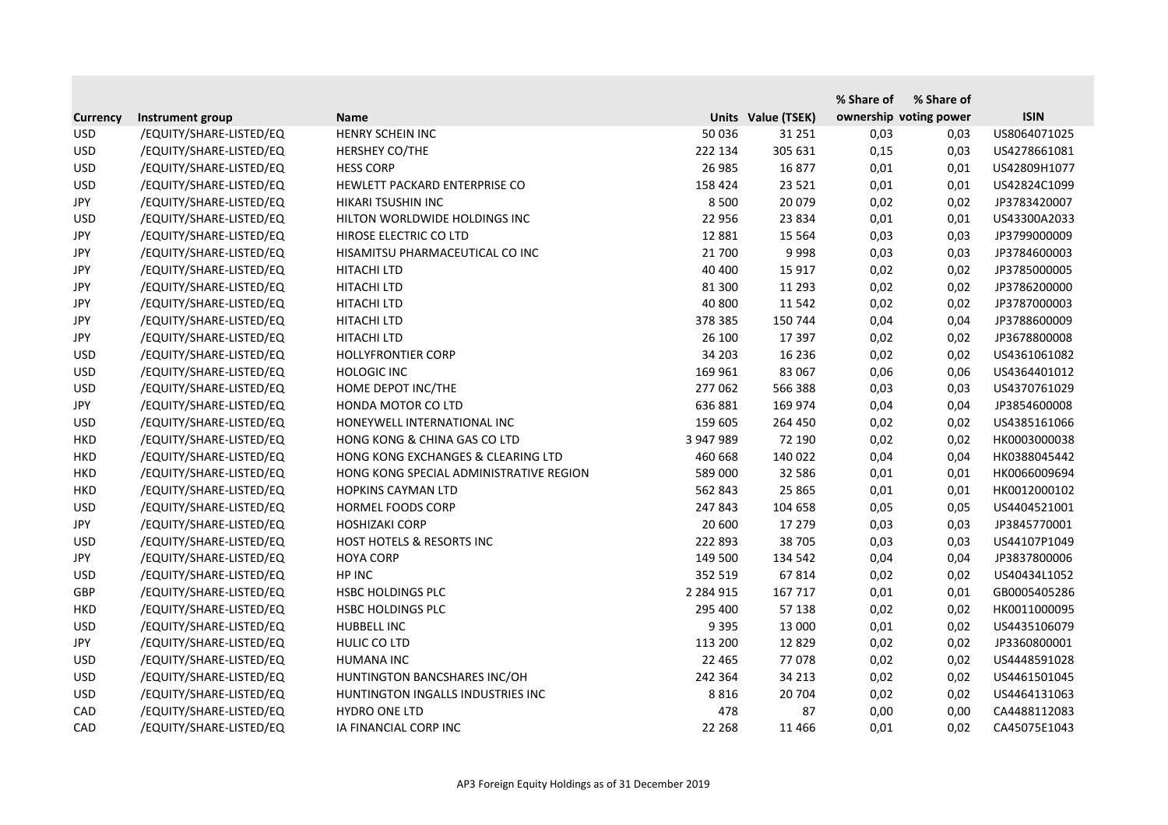|                 |                         |                                         |               |                    | % Share of | % Share of             |              |
|-----------------|-------------------------|-----------------------------------------|---------------|--------------------|------------|------------------------|--------------|
| <b>Currency</b> | Instrument group        | <b>Name</b>                             |               | Units Value (TSEK) |            | ownership voting power | <b>ISIN</b>  |
| <b>USD</b>      | /EQUITY/SHARE-LISTED/EQ | HENRY SCHEIN INC                        | 50 036        | 31 251             | 0,03       | 0,03                   | US8064071025 |
| <b>USD</b>      | /EQUITY/SHARE-LISTED/EQ | HERSHEY CO/THE                          | 222 134       | 305 631            | 0,15       | 0,03                   | US4278661081 |
| <b>USD</b>      | /EQUITY/SHARE-LISTED/EQ | <b>HESS CORP</b>                        | 26 985        | 16877              | 0,01       | 0,01                   | US42809H1077 |
| <b>USD</b>      | /EQUITY/SHARE-LISTED/EQ | HEWLETT PACKARD ENTERPRISE CO           | 158 424       | 23 5 21            | 0,01       | 0,01                   | US42824C1099 |
| <b>JPY</b>      | /EQUITY/SHARE-LISTED/EQ | HIKARI TSUSHIN INC                      | 8 5 0 0       | 20 079             | 0,02       | 0,02                   | JP3783420007 |
| <b>USD</b>      | /EQUITY/SHARE-LISTED/EQ | HILTON WORLDWIDE HOLDINGS INC           | 22 956        | 23 8 34            | 0,01       | 0,01                   | US43300A2033 |
| <b>JPY</b>      | /EQUITY/SHARE-LISTED/EQ | HIROSE ELECTRIC CO LTD                  | 12 8 8 1      | 15 5 64            | 0,03       | 0,03                   | JP3799000009 |
| <b>JPY</b>      | /EQUITY/SHARE-LISTED/EQ | HISAMITSU PHARMACEUTICAL CO INC         | 21 700        | 9998               | 0,03       | 0,03                   | JP3784600003 |
| <b>JPY</b>      | /EQUITY/SHARE-LISTED/EQ | <b>HITACHI LTD</b>                      | 40 400        | 15 9 17            | 0,02       | 0,02                   | JP3785000005 |
| <b>JPY</b>      | /EQUITY/SHARE-LISTED/EQ | HITACHI LTD                             | 81 300        | 11 293             | 0,02       | 0,02                   | JP3786200000 |
| <b>JPY</b>      | /EQUITY/SHARE-LISTED/EQ | <b>HITACHI LTD</b>                      | 40 800        | 11 542             | 0,02       | 0,02                   | JP3787000003 |
| <b>JPY</b>      | /EQUITY/SHARE-LISTED/EQ | HITACHI LTD                             | 378 385       | 150 744            | 0,04       | 0,04                   | JP3788600009 |
| <b>JPY</b>      | /EQUITY/SHARE-LISTED/EQ | HITACHI LTD                             | 26 100        | 17 397             | 0,02       | 0,02                   | JP3678800008 |
| <b>USD</b>      | /EQUITY/SHARE-LISTED/EQ | <b>HOLLYFRONTIER CORP</b>               | 34 203        | 16 23 6            | 0,02       | 0,02                   | US4361061082 |
| <b>USD</b>      | /EQUITY/SHARE-LISTED/EQ | <b>HOLOGIC INC</b>                      | 169 961       | 83 067             | 0,06       | 0,06                   | US4364401012 |
| <b>USD</b>      | /EQUITY/SHARE-LISTED/EQ | HOME DEPOT INC/THE                      | 277 062       | 566 388            | 0,03       | 0,03                   | US4370761029 |
| <b>JPY</b>      | /EQUITY/SHARE-LISTED/EQ | HONDA MOTOR CO LTD                      | 636 881       | 169 974            | 0,04       | 0,04                   | JP3854600008 |
| <b>USD</b>      | /EQUITY/SHARE-LISTED/EQ | HONEYWELL INTERNATIONAL INC             | 159 605       | 264 450            | 0,02       | 0,02                   | US4385161066 |
| <b>HKD</b>      | /EQUITY/SHARE-LISTED/EQ | HONG KONG & CHINA GAS CO LTD            | 3 947 989     | 72 190             | 0,02       | 0,02                   | HK0003000038 |
| <b>HKD</b>      | /EQUITY/SHARE-LISTED/EQ | HONG KONG EXCHANGES & CLEARING LTD      | 460 668       | 140 022            | 0,04       | 0,04                   | HK0388045442 |
| <b>HKD</b>      | /EQUITY/SHARE-LISTED/EQ | HONG KONG SPECIAL ADMINISTRATIVE REGION | 589 000       | 32 586             | 0,01       | 0,01                   | HK0066009694 |
| <b>HKD</b>      | /EQUITY/SHARE-LISTED/EQ | <b>HOPKINS CAYMAN LTD</b>               | 562 843       | 25 8 65            | 0,01       | 0,01                   | HK0012000102 |
| <b>USD</b>      | /EQUITY/SHARE-LISTED/EQ | HORMEL FOODS CORP                       | 247 843       | 104 658            | 0,05       | 0,05                   | US4404521001 |
| JPY             | /EQUITY/SHARE-LISTED/EQ | <b>HOSHIZAKI CORP</b>                   | 20 600        | 17 279             | 0,03       | 0,03                   | JP3845770001 |
| <b>USD</b>      | /EQUITY/SHARE-LISTED/EQ | HOST HOTELS & RESORTS INC               | 222 893       | 38 705             | 0,03       | 0,03                   | US44107P1049 |
| JPY             | /EQUITY/SHARE-LISTED/EQ | <b>HOYA CORP</b>                        | 149 500       | 134 542            | 0,04       | 0,04                   | JP3837800006 |
| <b>USD</b>      | /EQUITY/SHARE-LISTED/EQ | HP INC                                  | 352 519       | 67814              | 0,02       | 0,02                   | US40434L1052 |
| <b>GBP</b>      | /EQUITY/SHARE-LISTED/EQ | HSBC HOLDINGS PLC                       | 2 2 8 4 9 1 5 | 167 717            | 0,01       | 0,01                   | GB0005405286 |
| <b>HKD</b>      | /EQUITY/SHARE-LISTED/EQ | <b>HSBC HOLDINGS PLC</b>                | 295 400       | 57 138             | 0,02       | 0,02                   | HK0011000095 |
| <b>USD</b>      | /EQUITY/SHARE-LISTED/EQ | HUBBELL INC                             | 9 3 9 5       | 13 000             | 0,01       | 0,02                   | US4435106079 |
| JPY             | /EQUITY/SHARE-LISTED/EQ | HULIC CO LTD                            | 113 200       | 12829              | 0,02       | 0,02                   | JP3360800001 |
| <b>USD</b>      | /EQUITY/SHARE-LISTED/EQ | <b>HUMANA INC</b>                       | 22 4 65       | 77078              | 0,02       | 0,02                   | US4448591028 |
| <b>USD</b>      | /EQUITY/SHARE-LISTED/EQ | HUNTINGTON BANCSHARES INC/OH            | 242 364       | 34 213             | 0,02       | 0,02                   | US4461501045 |
| <b>USD</b>      | /EQUITY/SHARE-LISTED/EQ | HUNTINGTON INGALLS INDUSTRIES INC       | 8816          | 20 704             | 0,02       | 0,02                   | US4464131063 |
| CAD             | /EQUITY/SHARE-LISTED/EQ | HYDRO ONE LTD                           | 478           | 87                 | 0,00       | 0,00                   | CA4488112083 |
| CAD             | /EQUITY/SHARE-LISTED/EQ | IA FINANCIAL CORP INC                   | 22 2 68       | 11 4 6 6           | 0,01       | 0,02                   | CA45075E1043 |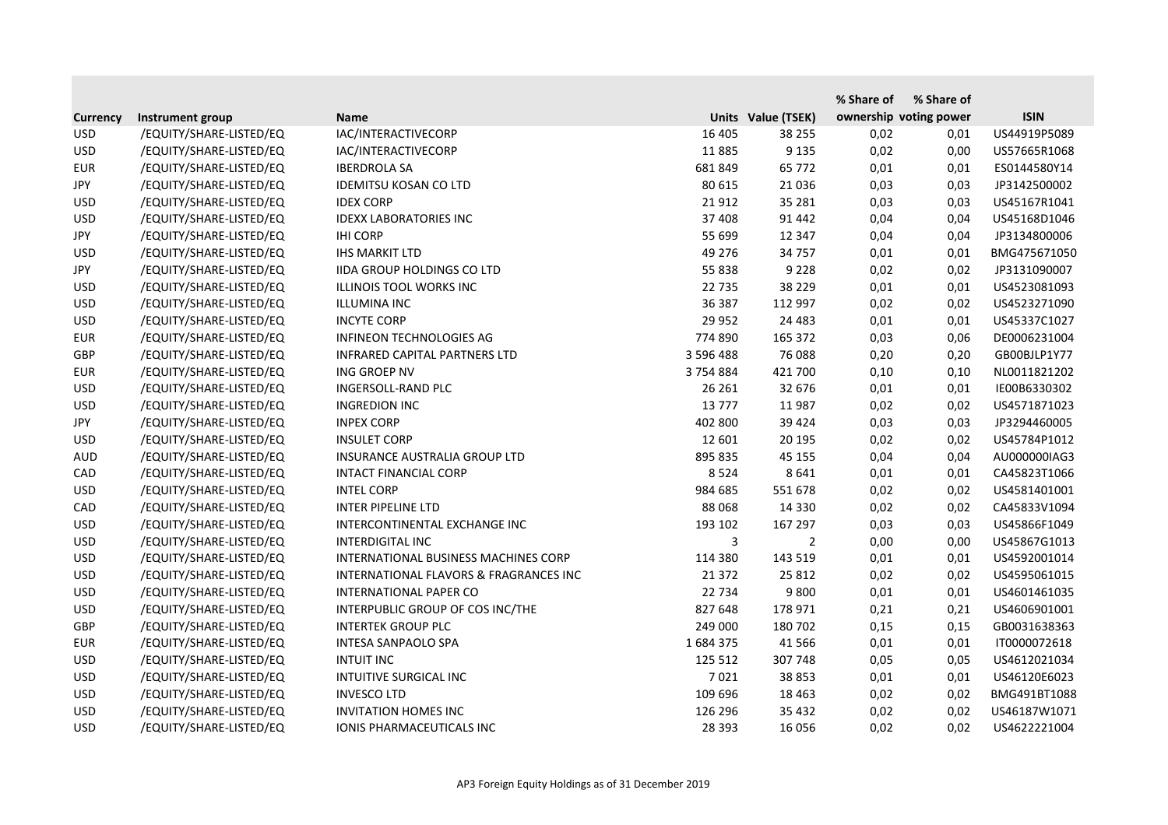|                 |                         |                                        |           |                    | % Share of | % Share of             |              |
|-----------------|-------------------------|----------------------------------------|-----------|--------------------|------------|------------------------|--------------|
| <b>Currency</b> | Instrument group        | <b>Name</b>                            |           | Units Value (TSEK) |            | ownership voting power | <b>ISIN</b>  |
| <b>USD</b>      | /EQUITY/SHARE-LISTED/EQ | IAC/INTERACTIVECORP                    | 16 405    | 38 255             | 0,02       | 0,01                   | US44919P5089 |
| <b>USD</b>      | /EQUITY/SHARE-LISTED/EQ | IAC/INTERACTIVECORP                    | 11885     | 9 1 3 5            | 0,02       | 0,00                   | US57665R1068 |
| <b>EUR</b>      | /EQUITY/SHARE-LISTED/EQ | <b>IBERDROLA SA</b>                    | 681 849   | 65 772             | 0,01       | 0,01                   | ES0144580Y14 |
| <b>JPY</b>      | /EQUITY/SHARE-LISTED/EQ | <b>IDEMITSU KOSAN CO LTD</b>           | 80 615    | 21 0 36            | 0,03       | 0,03                   | JP3142500002 |
| <b>USD</b>      | /EQUITY/SHARE-LISTED/EQ | <b>IDEX CORP</b>                       | 21 912    | 35 281             | 0,03       | 0,03                   | US45167R1041 |
| <b>USD</b>      | /EQUITY/SHARE-LISTED/EQ | <b>IDEXX LABORATORIES INC</b>          | 37 408    | 91 442             | 0,04       | 0,04                   | US45168D1046 |
| <b>JPY</b>      | /EQUITY/SHARE-LISTED/EQ | <b>IHI CORP</b>                        | 55 699    | 12 347             | 0,04       | 0,04                   | JP3134800006 |
| <b>USD</b>      | /EQUITY/SHARE-LISTED/EQ | <b>IHS MARKIT LTD</b>                  | 49 276    | 34 757             | 0,01       | 0,01                   | BMG475671050 |
| <b>JPY</b>      | /EQUITY/SHARE-LISTED/EQ | <b>IIDA GROUP HOLDINGS CO LTD</b>      | 55 838    | 9 2 2 8            | 0,02       | 0,02                   | JP3131090007 |
| <b>USD</b>      | /EQUITY/SHARE-LISTED/EQ | <b>ILLINOIS TOOL WORKS INC</b>         | 22 735    | 38 2 2 9           | 0,01       | 0,01                   | US4523081093 |
| <b>USD</b>      | /EQUITY/SHARE-LISTED/EQ | <b>ILLUMINA INC</b>                    | 36 387    | 112 997            | 0,02       | 0,02                   | US4523271090 |
| <b>USD</b>      | /EQUITY/SHARE-LISTED/EQ | <b>INCYTE CORP</b>                     | 29 9 52   | 24 4 83            | 0,01       | 0,01                   | US45337C1027 |
| <b>EUR</b>      | /EQUITY/SHARE-LISTED/EQ | INFINEON TECHNOLOGIES AG               | 774 890   | 165 372            | 0,03       | 0,06                   | DE0006231004 |
| <b>GBP</b>      | /EQUITY/SHARE-LISTED/EQ | INFRARED CAPITAL PARTNERS LTD          | 3 596 488 | 76 088             | 0,20       | 0,20                   | GB00BJLP1Y77 |
| <b>EUR</b>      | /EQUITY/SHARE-LISTED/EQ | ING GROEP NV                           | 3754884   | 421 700            | 0,10       | 0,10                   | NL0011821202 |
| <b>USD</b>      | /EQUITY/SHARE-LISTED/EQ | INGERSOLL-RAND PLC                     | 26 261    | 32 676             | 0,01       | 0,01                   | IE00B6330302 |
| <b>USD</b>      | /EQUITY/SHARE-LISTED/EQ | <b>INGREDION INC</b>                   | 13777     | 11 987             | 0,02       | 0,02                   | US4571871023 |
| JPY             | /EQUITY/SHARE-LISTED/EQ | <b>INPEX CORP</b>                      | 402 800   | 39 4 24            | 0,03       | 0,03                   | JP3294460005 |
| <b>USD</b>      | /EQUITY/SHARE-LISTED/EQ | <b>INSULET CORP</b>                    | 12 601    | 20 195             | 0,02       | 0,02                   | US45784P1012 |
| <b>AUD</b>      | /EQUITY/SHARE-LISTED/EQ | INSURANCE AUSTRALIA GROUP LTD          | 895 835   | 45 155             | 0,04       | 0,04                   | AU000000IAG3 |
| CAD             | /EQUITY/SHARE-LISTED/EQ | <b>INTACT FINANCIAL CORP</b>           | 8 5 2 4   | 8 6 4 1            | 0,01       | 0,01                   | CA45823T1066 |
| <b>USD</b>      | /EQUITY/SHARE-LISTED/EQ | <b>INTEL CORP</b>                      | 984 685   | 551 678            | 0,02       | 0,02                   | US4581401001 |
| CAD             | /EQUITY/SHARE-LISTED/EQ | <b>INTER PIPELINE LTD</b>              | 88 068    | 14 3 30            | 0,02       | 0,02                   | CA45833V1094 |
| <b>USD</b>      | /EQUITY/SHARE-LISTED/EQ | INTERCONTINENTAL EXCHANGE INC          | 193 102   | 167 297            | 0,03       | 0,03                   | US45866F1049 |
| <b>USD</b>      | /EQUITY/SHARE-LISTED/EQ | <b>INTERDIGITAL INC</b>                | 3         | $\overline{2}$     | 0,00       | 0,00                   | US45867G1013 |
| <b>USD</b>      | /EQUITY/SHARE-LISTED/EQ | INTERNATIONAL BUSINESS MACHINES CORP   | 114 380   | 143 519            | 0,01       | 0,01                   | US4592001014 |
| <b>USD</b>      | /EQUITY/SHARE-LISTED/EQ | INTERNATIONAL FLAVORS & FRAGRANCES INC | 21 372    | 25 812             | 0,02       | 0,02                   | US4595061015 |
| <b>USD</b>      | /EQUITY/SHARE-LISTED/EQ | INTERNATIONAL PAPER CO                 | 22 734    | 9 8 0 0            | 0,01       | 0,01                   | US4601461035 |
| <b>USD</b>      | /EQUITY/SHARE-LISTED/EQ | INTERPUBLIC GROUP OF COS INC/THE       | 827 648   | 178 971            | 0,21       | 0,21                   | US4606901001 |
| GBP             | /EQUITY/SHARE-LISTED/EQ | <b>INTERTEK GROUP PLC</b>              | 249 000   | 180 702            | 0,15       | 0,15                   | GB0031638363 |
| <b>EUR</b>      | /EQUITY/SHARE-LISTED/EQ | INTESA SANPAOLO SPA                    | 1684375   | 41 5 66            | 0,01       | 0,01                   | IT0000072618 |
| <b>USD</b>      | /EQUITY/SHARE-LISTED/EQ | <b>INTUIT INC</b>                      | 125 512   | 307 748            | 0,05       | 0,05                   | US4612021034 |
| <b>USD</b>      | /EQUITY/SHARE-LISTED/EQ | INTUITIVE SURGICAL INC                 | 7021      | 38 853             | 0,01       | 0,01                   | US46120E6023 |
| <b>USD</b>      | /EQUITY/SHARE-LISTED/EQ | <b>INVESCO LTD</b>                     | 109 696   | 18 4 63            | 0,02       | 0,02                   | BMG491BT1088 |
| <b>USD</b>      | /EQUITY/SHARE-LISTED/EQ | <b>INVITATION HOMES INC</b>            | 126 296   | 35 4 32            | 0,02       | 0,02                   | US46187W1071 |
| <b>USD</b>      | /EQUITY/SHARE-LISTED/EQ | IONIS PHARMACEUTICALS INC              | 28 3 93   | 16 056             | 0,02       | 0,02                   | US4622221004 |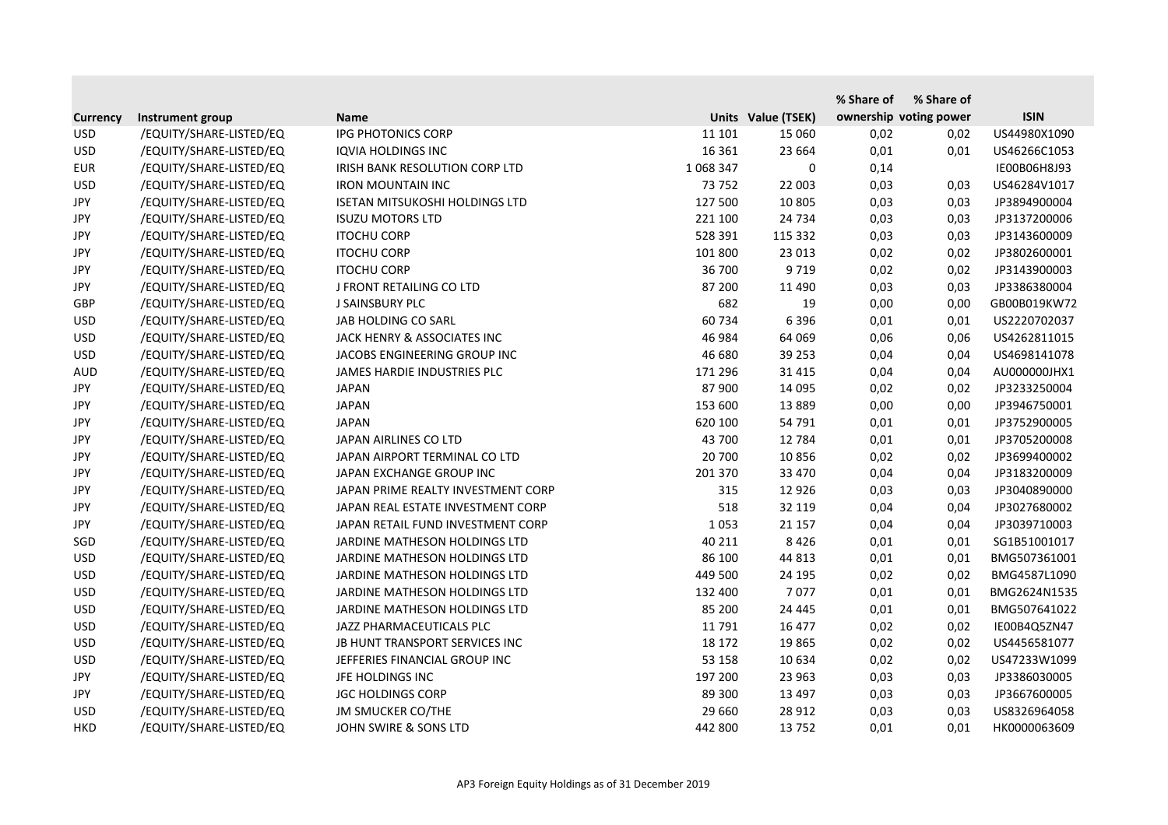|                 |                         |                                       |              |                    | % Share of | % Share of             |              |
|-----------------|-------------------------|---------------------------------------|--------------|--------------------|------------|------------------------|--------------|
| <b>Currency</b> | Instrument group        | <b>Name</b>                           |              | Units Value (TSEK) |            | ownership voting power | <b>ISIN</b>  |
| <b>USD</b>      | /EQUITY/SHARE-LISTED/EQ | <b>IPG PHOTONICS CORP</b>             | 11 101       | 15 060             | 0,02       | 0,02                   | US44980X1090 |
| <b>USD</b>      | /EQUITY/SHARE-LISTED/EQ | <b>IQVIA HOLDINGS INC</b>             | 16 3 6 1     | 23 6 64            | 0,01       | 0,01                   | US46266C1053 |
| <b>EUR</b>      | /EQUITY/SHARE-LISTED/EQ | IRISH BANK RESOLUTION CORP LTD        | 1 0 68 3 4 7 | 0                  | 0,14       |                        | IE00B06H8J93 |
| <b>USD</b>      | /EQUITY/SHARE-LISTED/EQ | <b>IRON MOUNTAIN INC</b>              | 73 752       | 22 003             | 0,03       | 0,03                   | US46284V1017 |
| JPY             | /EQUITY/SHARE-LISTED/EQ | <b>ISETAN MITSUKOSHI HOLDINGS LTD</b> | 127 500      | 10 805             | 0,03       | 0,03                   | JP3894900004 |
| JPY             | /EQUITY/SHARE-LISTED/EQ | <b>ISUZU MOTORS LTD</b>               | 221 100      | 24 7 34            | 0,03       | 0,03                   | JP3137200006 |
| <b>JPY</b>      | /EQUITY/SHARE-LISTED/EQ | <b>ITOCHU CORP</b>                    | 528 391      | 115 332            | 0,03       | 0,03                   | JP3143600009 |
| JPY             | /EQUITY/SHARE-LISTED/EQ | <b>ITOCHU CORP</b>                    | 101 800      | 23 013             | 0,02       | 0,02                   | JP3802600001 |
| <b>JPY</b>      | /EQUITY/SHARE-LISTED/EQ | <b>ITOCHU CORP</b>                    | 36 700       | 9719               | 0,02       | 0,02                   | JP3143900003 |
| <b>JPY</b>      | /EQUITY/SHARE-LISTED/EQ | J FRONT RETAILING CO LTD              | 87 200       | 11 4 9 0           | 0,03       | 0,03                   | JP3386380004 |
| <b>GBP</b>      | /EQUITY/SHARE-LISTED/EQ | J SAINSBURY PLC                       | 682          | 19                 | 0,00       | 0,00                   | GB00B019KW72 |
| <b>USD</b>      | /EQUITY/SHARE-LISTED/EQ | JAB HOLDING CO SARL                   | 60734        | 6 3 9 6            | 0,01       | 0,01                   | US2220702037 |
| <b>USD</b>      | /EQUITY/SHARE-LISTED/EQ | JACK HENRY & ASSOCIATES INC           | 46 984       | 64 069             | 0,06       | 0,06                   | US4262811015 |
| <b>USD</b>      | /EQUITY/SHARE-LISTED/EQ | JACOBS ENGINEERING GROUP INC          | 46 680       | 39 253             | 0,04       | 0,04                   | US4698141078 |
| <b>AUD</b>      | /EQUITY/SHARE-LISTED/EQ | JAMES HARDIE INDUSTRIES PLC           | 171 296      | 31 4 15            | 0,04       | 0,04                   | AU000000JHX1 |
| <b>JPY</b>      | /EQUITY/SHARE-LISTED/EQ | <b>JAPAN</b>                          | 87 900       | 14 095             | 0,02       | 0,02                   | JP3233250004 |
| <b>JPY</b>      | /EQUITY/SHARE-LISTED/EQ | <b>JAPAN</b>                          | 153 600      | 13889              | 0,00       | 0,00                   | JP3946750001 |
| JPY             | /EQUITY/SHARE-LISTED/EQ | <b>JAPAN</b>                          | 620 100      | 54 791             | 0,01       | 0,01                   | JP3752900005 |
| JPY             | /EQUITY/SHARE-LISTED/EQ | JAPAN AIRLINES CO LTD                 | 43 700       | 12 784             | 0,01       | 0,01                   | JP3705200008 |
| JPY             | /EQUITY/SHARE-LISTED/EQ | JAPAN AIRPORT TERMINAL CO LTD         | 20 700       | 10856              | 0,02       | 0,02                   | JP3699400002 |
| JPY             | /EQUITY/SHARE-LISTED/EQ | JAPAN EXCHANGE GROUP INC              | 201 370      | 33 470             | 0,04       | 0,04                   | JP3183200009 |
| <b>JPY</b>      | /EQUITY/SHARE-LISTED/EQ | JAPAN PRIME REALTY INVESTMENT CORP    | 315          | 12 9 26            | 0,03       | 0,03                   | JP3040890000 |
| JPY             | /EQUITY/SHARE-LISTED/EQ | JAPAN REAL ESTATE INVESTMENT CORP     | 518          | 32 119             | 0,04       | 0,04                   | JP3027680002 |
| <b>JPY</b>      | /EQUITY/SHARE-LISTED/EQ | JAPAN RETAIL FUND INVESTMENT CORP     | 1053         | 21 157             | 0,04       | 0,04                   | JP3039710003 |
| SGD             | /EQUITY/SHARE-LISTED/EQ | JARDINE MATHESON HOLDINGS LTD         | 40 211       | 8426               | 0,01       | 0,01                   | SG1B51001017 |
| <b>USD</b>      | /EQUITY/SHARE-LISTED/EQ | JARDINE MATHESON HOLDINGS LTD         | 86 100       | 44 813             | 0,01       | 0,01                   | BMG507361001 |
| <b>USD</b>      | /EQUITY/SHARE-LISTED/EQ | JARDINE MATHESON HOLDINGS LTD         | 449 500      | 24 195             | 0,02       | 0,02                   | BMG4587L1090 |
| <b>USD</b>      | /EQUITY/SHARE-LISTED/EQ | JARDINE MATHESON HOLDINGS LTD         | 132 400      | 7077               | 0,01       | 0,01                   | BMG2624N1535 |
| <b>USD</b>      | /EQUITY/SHARE-LISTED/EQ | JARDINE MATHESON HOLDINGS LTD         | 85 200       | 24 4 4 5           | 0,01       | 0,01                   | BMG507641022 |
| <b>USD</b>      | /EQUITY/SHARE-LISTED/EQ | JAZZ PHARMACEUTICALS PLC              | 11 791       | 16 477             | 0,02       | 0,02                   | IE00B4Q5ZN47 |
| <b>USD</b>      | /EQUITY/SHARE-LISTED/EQ | JB HUNT TRANSPORT SERVICES INC        | 18 172       | 19865              | 0,02       | 0,02                   | US4456581077 |
| <b>USD</b>      | /EQUITY/SHARE-LISTED/EQ | JEFFERIES FINANCIAL GROUP INC         | 53 158       | 10 634             | 0,02       | 0,02                   | US47233W1099 |
| JPY             | /EQUITY/SHARE-LISTED/EQ | JFE HOLDINGS INC                      | 197 200      | 23 963             | 0,03       | 0,03                   | JP3386030005 |
| JPY             | /EQUITY/SHARE-LISTED/EQ | <b>JGC HOLDINGS CORP</b>              | 89 300       | 13 4 97            | 0,03       | 0,03                   | JP3667600005 |
| <b>USD</b>      | /EQUITY/SHARE-LISTED/EQ | <b>JM SMUCKER CO/THE</b>              | 29 660       | 28 912             | 0,03       | 0,03                   | US8326964058 |
| <b>HKD</b>      | /EQUITY/SHARE-LISTED/EQ | JOHN SWIRE & SONS LTD                 | 442 800      | 13752              | 0,01       | 0,01                   | HK0000063609 |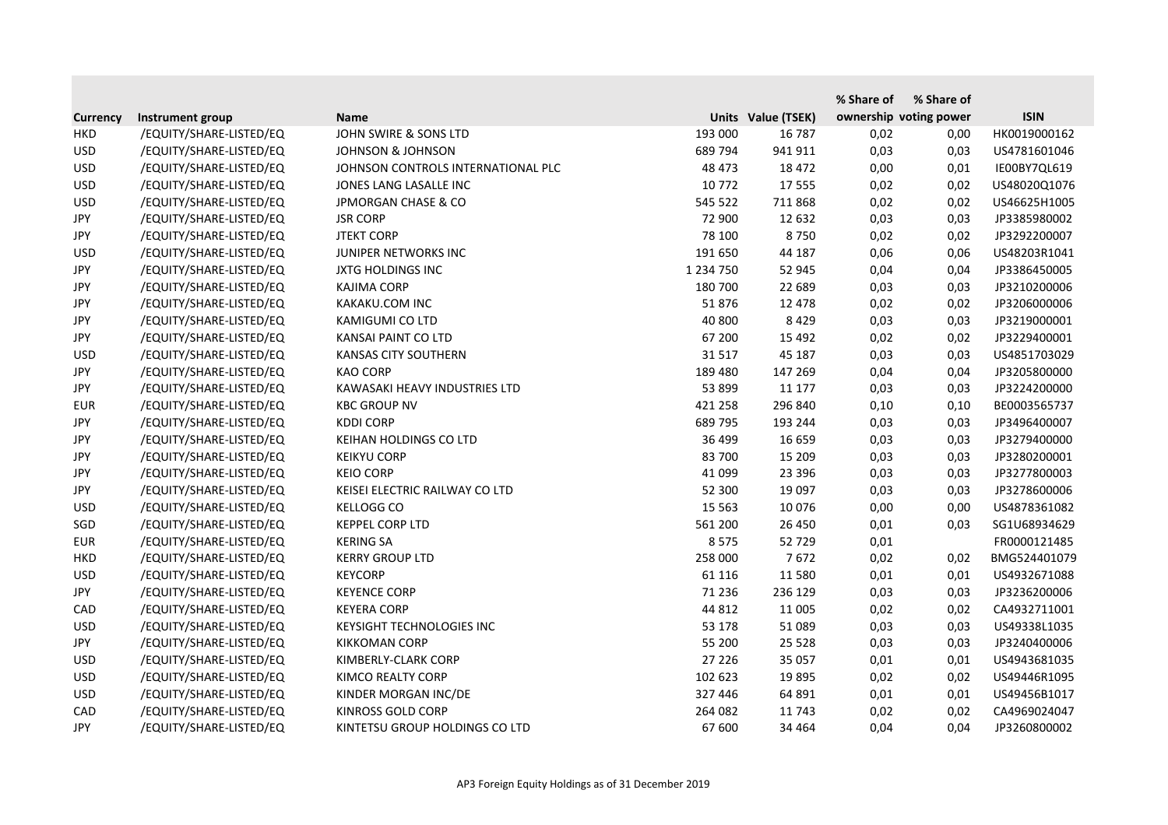|                 |                         |                                    |               |                    | % Share of | % Share of             |              |
|-----------------|-------------------------|------------------------------------|---------------|--------------------|------------|------------------------|--------------|
| <b>Currency</b> | Instrument group        | <b>Name</b>                        |               | Units Value (TSEK) |            | ownership voting power | <b>ISIN</b>  |
| <b>HKD</b>      | /EQUITY/SHARE-LISTED/EQ | JOHN SWIRE & SONS LTD              | 193 000       | 16 787             | 0,02       | 0,00                   | HK0019000162 |
| <b>USD</b>      | /EQUITY/SHARE-LISTED/EQ | <b>JOHNSON &amp; JOHNSON</b>       | 689 794       | 941 911            | 0,03       | 0,03                   | US4781601046 |
| <b>USD</b>      | /EQUITY/SHARE-LISTED/EQ | JOHNSON CONTROLS INTERNATIONAL PLC | 48 473        | 18 472             | 0,00       | 0,01                   | IE00BY7QL619 |
| <b>USD</b>      | /EQUITY/SHARE-LISTED/EQ | JONES LANG LASALLE INC             | 10 772        | 17 555             | 0,02       | 0,02                   | US48020Q1076 |
| <b>USD</b>      | /EQUITY/SHARE-LISTED/EQ | <b>JPMORGAN CHASE &amp; CO</b>     | 545 522       | 711 868            | 0,02       | 0,02                   | US46625H1005 |
| JPY             | /EQUITY/SHARE-LISTED/EQ | <b>JSR CORP</b>                    | 72 900        | 12 632             | 0,03       | 0,03                   | JP3385980002 |
| <b>JPY</b>      | /EQUITY/SHARE-LISTED/EQ | <b>JTEKT CORP</b>                  | 78 100        | 8750               | 0,02       | 0,02                   | JP3292200007 |
| <b>USD</b>      | /EQUITY/SHARE-LISTED/EQ | JUNIPER NETWORKS INC               | 191 650       | 44 187             | 0,06       | 0,06                   | US48203R1041 |
| JPY             | /EQUITY/SHARE-LISTED/EQ | <b>JXTG HOLDINGS INC</b>           | 1 2 3 4 7 5 0 | 52 945             | 0,04       | 0,04                   | JP3386450005 |
| <b>JPY</b>      | /EQUITY/SHARE-LISTED/EQ | <b>KAJIMA CORP</b>                 | 180 700       | 22 689             | 0,03       | 0,03                   | JP3210200006 |
| <b>JPY</b>      | /EQUITY/SHARE-LISTED/EQ | KAKAKU.COM INC                     | 51876         | 12 478             | 0,02       | 0,02                   | JP3206000006 |
| <b>JPY</b>      | /EQUITY/SHARE-LISTED/EQ | KAMIGUMI CO LTD                    | 40 800        | 8 4 2 9            | 0,03       | 0,03                   | JP3219000001 |
| JPY             | /EQUITY/SHARE-LISTED/EQ | KANSAI PAINT CO LTD                | 67 200        | 15 4 92            | 0,02       | 0,02                   | JP3229400001 |
| <b>USD</b>      | /EQUITY/SHARE-LISTED/EQ | <b>KANSAS CITY SOUTHERN</b>        | 31 517        | 45 187             | 0,03       | 0,03                   | US4851703029 |
| <b>JPY</b>      | /EQUITY/SHARE-LISTED/EQ | <b>KAO CORP</b>                    | 189 480       | 147 269            | 0,04       | 0,04                   | JP3205800000 |
| <b>JPY</b>      | /EQUITY/SHARE-LISTED/EQ | KAWASAKI HEAVY INDUSTRIES LTD      | 53 899        | 11 177             | 0,03       | 0,03                   | JP3224200000 |
| <b>EUR</b>      | /EQUITY/SHARE-LISTED/EQ | <b>KBC GROUP NV</b>                | 421 258       | 296 840            | 0,10       | 0,10                   | BE0003565737 |
| <b>JPY</b>      | /EQUITY/SHARE-LISTED/EQ | <b>KDDI CORP</b>                   | 689 795       | 193 244            | 0,03       | 0,03                   | JP3496400007 |
| <b>JPY</b>      | /EQUITY/SHARE-LISTED/EQ | KEIHAN HOLDINGS CO LTD             | 36 499        | 16 659             | 0,03       | 0,03                   | JP3279400000 |
| JPY             | /EQUITY/SHARE-LISTED/EQ | <b>KEIKYU CORP</b>                 | 83 700        | 15 209             | 0,03       | 0,03                   | JP3280200001 |
| <b>JPY</b>      | /EQUITY/SHARE-LISTED/EQ | <b>KEIO CORP</b>                   | 41 099        | 23 396             | 0,03       | 0,03                   | JP3277800003 |
| <b>JPY</b>      | /EQUITY/SHARE-LISTED/EQ | KEISEI ELECTRIC RAILWAY CO LTD     | 52 300        | 19 097             | 0,03       | 0,03                   | JP3278600006 |
| <b>USD</b>      | /EQUITY/SHARE-LISTED/EQ | <b>KELLOGG CO</b>                  | 15 5 63       | 10 0 76            | 0,00       | 0,00                   | US4878361082 |
| SGD             | /EQUITY/SHARE-LISTED/EQ | <b>KEPPEL CORP LTD</b>             | 561 200       | 26 450             | 0,01       | 0,03                   | SG1U68934629 |
| <b>EUR</b>      | /EQUITY/SHARE-LISTED/EQ | <b>KERING SA</b>                   | 8575          | 52 729             | 0,01       |                        | FR0000121485 |
| <b>HKD</b>      | /EQUITY/SHARE-LISTED/EQ | <b>KERRY GROUP LTD</b>             | 258 000       | 7672               | 0,02       | 0,02                   | BMG524401079 |
| <b>USD</b>      | /EQUITY/SHARE-LISTED/EQ | <b>KEYCORP</b>                     | 61 116        | 11 5 8 0           | 0,01       | 0,01                   | US4932671088 |
| JPY             | /EQUITY/SHARE-LISTED/EQ | <b>KEYENCE CORP</b>                | 71 236        | 236 129            | 0,03       | 0,03                   | JP3236200006 |
| CAD             | /EQUITY/SHARE-LISTED/EQ | <b>KEYERA CORP</b>                 | 44 812        | 11 005             | 0,02       | 0,02                   | CA4932711001 |
| <b>USD</b>      | /EQUITY/SHARE-LISTED/EQ | <b>KEYSIGHT TECHNOLOGIES INC</b>   | 53 178        | 51 089             | 0,03       | 0,03                   | US49338L1035 |
| JPY             | /EQUITY/SHARE-LISTED/EQ | <b>KIKKOMAN CORP</b>               | 55 200        | 25 5 28            | 0,03       | 0,03                   | JP3240400006 |
| <b>USD</b>      | /EQUITY/SHARE-LISTED/EQ | KIMBERLY-CLARK CORP                | 27 226        | 35 057             | 0,01       | 0,01                   | US4943681035 |
| <b>USD</b>      | /EQUITY/SHARE-LISTED/EQ | KIMCO REALTY CORP                  | 102 623       | 19895              | 0,02       | 0,02                   | US49446R1095 |
| <b>USD</b>      | /EQUITY/SHARE-LISTED/EQ | KINDER MORGAN INC/DE               | 327 446       | 64 891             | 0,01       | 0,01                   | US49456B1017 |
| CAD             | /EQUITY/SHARE-LISTED/EQ | KINROSS GOLD CORP                  | 264 082       | 11 743             | 0,02       | 0,02                   | CA4969024047 |
| JPY             | /EQUITY/SHARE-LISTED/EQ | KINTETSU GROUP HOLDINGS CO LTD     | 67 600        | 34 4 64            | 0,04       | 0,04                   | JP3260800002 |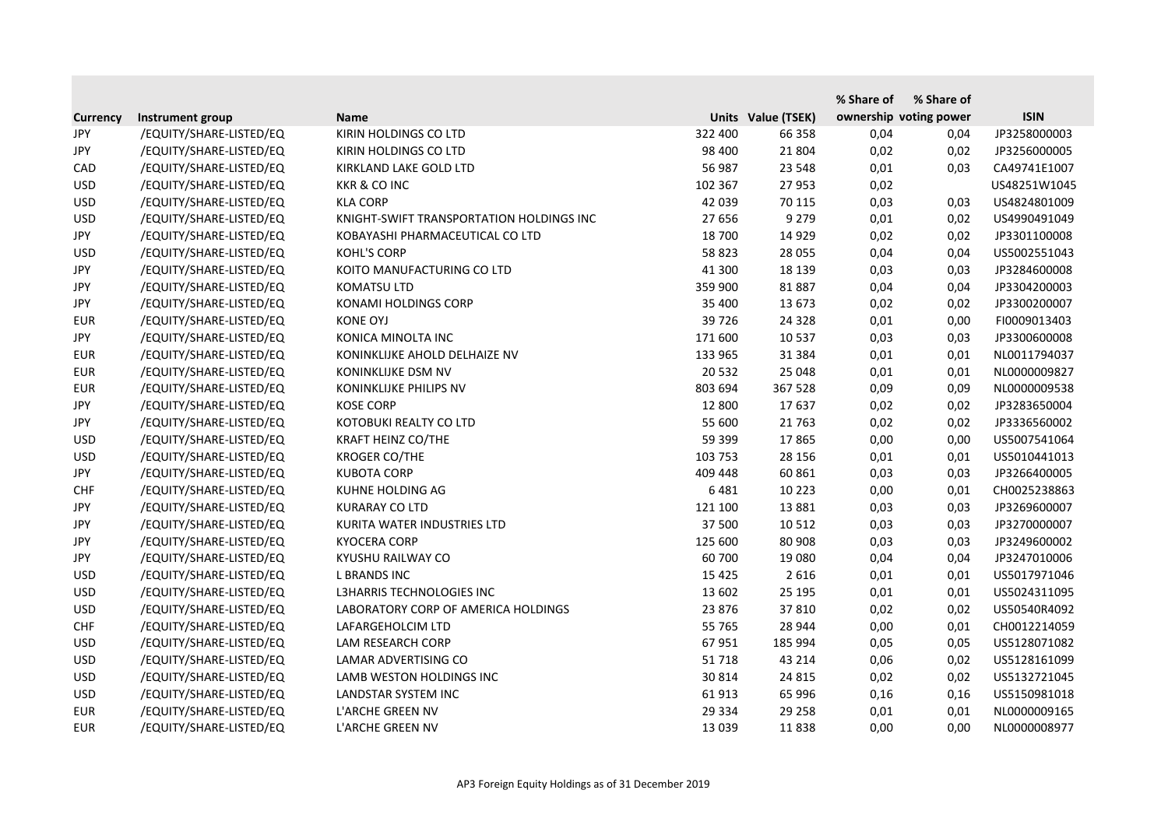|                 |                         |                                          |         |                    | % Share of             | % Share of |              |
|-----------------|-------------------------|------------------------------------------|---------|--------------------|------------------------|------------|--------------|
| <b>Currency</b> | Instrument group        | <b>Name</b>                              |         | Units Value (TSEK) | ownership voting power |            | <b>ISIN</b>  |
| JPY             | /EQUITY/SHARE-LISTED/EQ | KIRIN HOLDINGS CO LTD                    | 322 400 | 66 358             | 0,04                   | 0,04       | JP3258000003 |
| JPY             | /EQUITY/SHARE-LISTED/EQ | KIRIN HOLDINGS CO LTD                    | 98 400  | 21 804             | 0,02                   | 0,02       | JP3256000005 |
| CAD             | /EQUITY/SHARE-LISTED/EQ | KIRKLAND LAKE GOLD LTD                   | 56 987  | 23 548             | 0,01                   | 0,03       | CA49741E1007 |
| <b>USD</b>      | /EQUITY/SHARE-LISTED/EQ | <b>KKR &amp; CO INC</b>                  | 102 367 | 27 953             | 0,02                   |            | US48251W1045 |
| <b>USD</b>      | /EQUITY/SHARE-LISTED/EQ | <b>KLA CORP</b>                          | 42 039  | 70 115             | 0,03                   | 0,03       | US4824801009 |
| <b>USD</b>      | /EQUITY/SHARE-LISTED/EQ | KNIGHT-SWIFT TRANSPORTATION HOLDINGS INC | 27 656  | 9 2 7 9            | 0,01                   | 0,02       | US4990491049 |
| JPY             | /EQUITY/SHARE-LISTED/EQ | KOBAYASHI PHARMACEUTICAL CO LTD          | 18 700  | 14 9 29            | 0,02                   | 0,02       | JP3301100008 |
| <b>USD</b>      | /EQUITY/SHARE-LISTED/EQ | <b>KOHL'S CORP</b>                       | 58 823  | 28 0 55            | 0,04                   | 0,04       | US5002551043 |
| JPY             | /EQUITY/SHARE-LISTED/EQ | KOITO MANUFACTURING CO LTD               | 41 300  | 18 139             | 0,03                   | 0,03       | JP3284600008 |
| JPY             | /EQUITY/SHARE-LISTED/EQ | <b>KOMATSU LTD</b>                       | 359 900 | 81887              | 0,04                   | 0,04       | JP3304200003 |
| JPY             | /EQUITY/SHARE-LISTED/EQ | KONAMI HOLDINGS CORP                     | 35 400  | 13 673             | 0,02                   | 0,02       | JP3300200007 |
| <b>EUR</b>      | /EQUITY/SHARE-LISTED/EQ | <b>KONE OYJ</b>                          | 39 7 26 | 24 3 28            | 0,01                   | 0,00       | FI0009013403 |
| JPY             | /EQUITY/SHARE-LISTED/EQ | KONICA MINOLTA INC                       | 171 600 | 10 5 37            | 0,03                   | 0,03       | JP3300600008 |
| <b>EUR</b>      | /EQUITY/SHARE-LISTED/EQ | KONINKLIJKE AHOLD DELHAIZE NV            | 133 965 | 31 384             | 0,01                   | 0,01       | NL0011794037 |
| <b>EUR</b>      | /EQUITY/SHARE-LISTED/EQ | KONINKLIJKE DSM NV                       | 20 5 32 | 25 048             | 0,01                   | 0,01       | NL0000009827 |
| <b>EUR</b>      | /EQUITY/SHARE-LISTED/EQ | KONINKLIJKE PHILIPS NV                   | 803 694 | 367 528            | 0,09                   | 0,09       | NL0000009538 |
| JPY             | /EQUITY/SHARE-LISTED/EQ | <b>KOSE CORP</b>                         | 12 800  | 17637              | 0,02                   | 0,02       | JP3283650004 |
| <b>JPY</b>      | /EQUITY/SHARE-LISTED/EQ | KOTOBUKI REALTY CO LTD                   | 55 600  | 21 7 63            | 0,02                   | 0,02       | JP3336560002 |
| <b>USD</b>      | /EQUITY/SHARE-LISTED/EQ | KRAFT HEINZ CO/THE                       | 59 399  | 17865              | 0,00                   | 0,00       | US5007541064 |
| <b>USD</b>      | /EQUITY/SHARE-LISTED/EQ | <b>KROGER CO/THE</b>                     | 103 753 | 28 15 6            | 0,01                   | 0,01       | US5010441013 |
| JPY             | /EQUITY/SHARE-LISTED/EQ | <b>KUBOTA CORP</b>                       | 409 448 | 60 861             | 0,03                   | 0,03       | JP3266400005 |
| <b>CHF</b>      | /EQUITY/SHARE-LISTED/EQ | KUHNE HOLDING AG                         | 6481    | 10 2 23            | 0,00                   | 0,01       | CH0025238863 |
| JPY             | /EQUITY/SHARE-LISTED/EQ | <b>KURARAY CO LTD</b>                    | 121 100 | 13 8 8 1           | 0,03                   | 0,03       | JP3269600007 |
| <b>JPY</b>      | /EQUITY/SHARE-LISTED/EQ | KURITA WATER INDUSTRIES LTD              | 37 500  | 10 5 12            | 0,03                   | 0,03       | JP3270000007 |
| JPY             | /EQUITY/SHARE-LISTED/EQ | <b>KYOCERA CORP</b>                      | 125 600 | 80 908             | 0,03                   | 0,03       | JP3249600002 |
| JPY             | /EQUITY/SHARE-LISTED/EQ | KYUSHU RAILWAY CO                        | 60 700  | 19 080             | 0,04                   | 0,04       | JP3247010006 |
| <b>USD</b>      | /EQUITY/SHARE-LISTED/EQ | <b>L BRANDS INC</b>                      | 15 4 25 | 2 6 1 6            | 0,01                   | 0,01       | US5017971046 |
| <b>USD</b>      | /EQUITY/SHARE-LISTED/EQ | L3HARRIS TECHNOLOGIES INC                | 13 602  | 25 195             | 0,01                   | 0,01       | US5024311095 |
| <b>USD</b>      | /EQUITY/SHARE-LISTED/EQ | LABORATORY CORP OF AMERICA HOLDINGS      | 23 876  | 37 810             | 0,02                   | 0,02       | US50540R4092 |
| <b>CHF</b>      | /EQUITY/SHARE-LISTED/EQ | LAFARGEHOLCIM LTD                        | 55 765  | 28 944             | 0,00                   | 0,01       | CH0012214059 |
| <b>USD</b>      | /EQUITY/SHARE-LISTED/EQ | LAM RESEARCH CORP                        | 67 951  | 185 994            | 0,05                   | 0,05       | US5128071082 |
| <b>USD</b>      | /EQUITY/SHARE-LISTED/EQ | LAMAR ADVERTISING CO                     | 51718   | 43 214             | 0,06                   | 0,02       | US5128161099 |
| <b>USD</b>      | /EQUITY/SHARE-LISTED/EQ | LAMB WESTON HOLDINGS INC                 | 30 814  | 24 8 15            | 0,02                   | 0,02       | US5132721045 |
| <b>USD</b>      | /EQUITY/SHARE-LISTED/EQ | LANDSTAR SYSTEM INC                      | 61 913  | 65 996             | 0,16                   | 0,16       | US5150981018 |
| <b>EUR</b>      | /EQUITY/SHARE-LISTED/EQ | L'ARCHE GREEN NV                         | 29 3 34 | 29 258             | 0,01                   | 0,01       | NL0000009165 |
| <b>EUR</b>      | /EQUITY/SHARE-LISTED/EQ | L'ARCHE GREEN NV                         | 13 0 39 | 11838              | 0,00                   | 0,00       | NL0000008977 |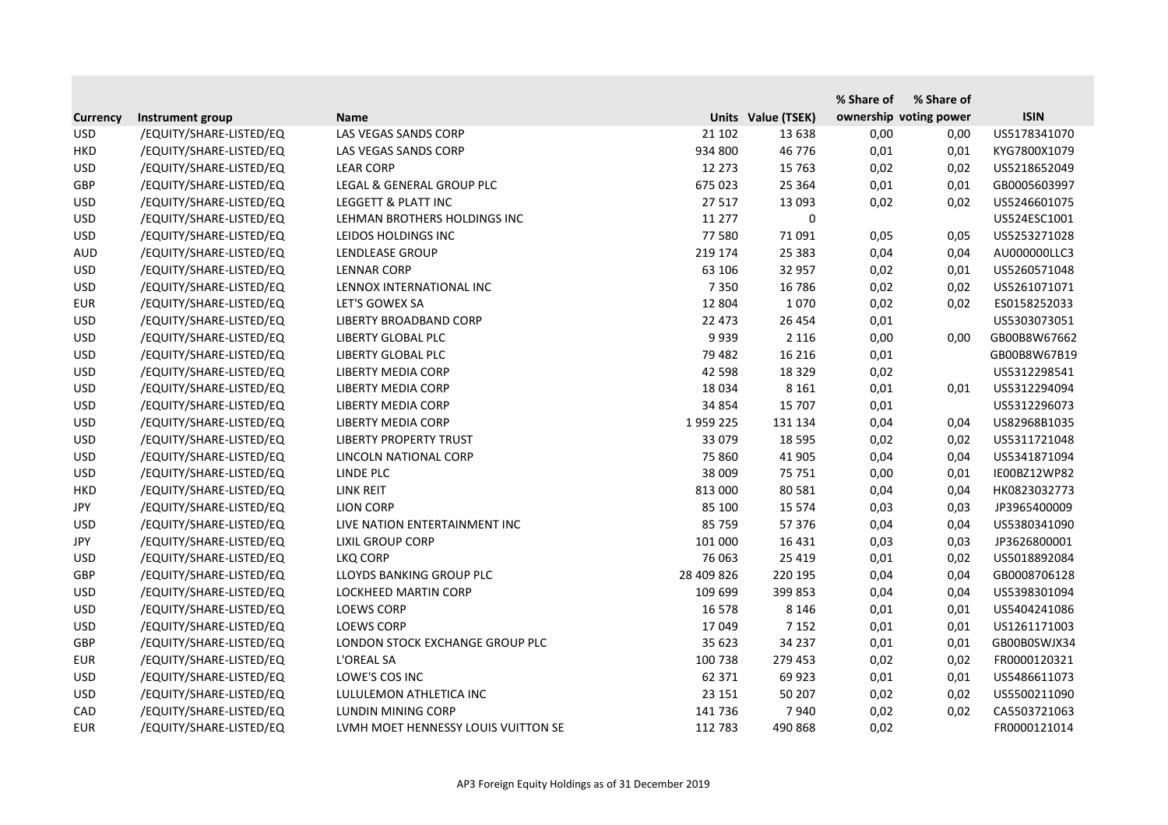|                 |                         |                                     |            |                    | % Share of | % Share of             |              |
|-----------------|-------------------------|-------------------------------------|------------|--------------------|------------|------------------------|--------------|
| <b>Currency</b> | Instrument group        | <b>Name</b>                         |            | Units Value (TSEK) |            | ownership voting power | <b>ISIN</b>  |
| <b>USD</b>      | /EQUITY/SHARE-LISTED/EQ | LAS VEGAS SANDS CORP                | 21 102     | 13 638             | 0,00       | 0,00                   | US5178341070 |
| <b>HKD</b>      | /EQUITY/SHARE-LISTED/EQ | LAS VEGAS SANDS CORP                | 934 800    | 46 776             | 0,01       | 0,01                   | KYG7800X1079 |
| <b>USD</b>      | /EQUITY/SHARE-LISTED/EQ | <b>LEAR CORP</b>                    | 12 273     | 15 7 63            | 0,02       | 0,02                   | US5218652049 |
| <b>GBP</b>      | /EQUITY/SHARE-LISTED/EQ | LEGAL & GENERAL GROUP PLC           | 675 023    | 25 3 64            | 0,01       | 0,01                   | GB0005603997 |
| <b>USD</b>      | /EQUITY/SHARE-LISTED/EQ | LEGGETT & PLATT INC                 | 27 517     | 13 093             | 0,02       | 0,02                   | US5246601075 |
| <b>USD</b>      | /EQUITY/SHARE-LISTED/EQ | LEHMAN BROTHERS HOLDINGS INC        | 11 277     | 0                  |            |                        | US524ESC1001 |
| <b>USD</b>      | /EQUITY/SHARE-LISTED/EQ | LEIDOS HOLDINGS INC                 | 77 580     | 71 091             | 0,05       | 0,05                   | US5253271028 |
| <b>AUD</b>      | /EQUITY/SHARE-LISTED/EQ | LENDLEASE GROUP                     | 219 174    | 25 3 8 3           | 0,04       | 0,04                   | AU000000LLC3 |
| <b>USD</b>      | /EQUITY/SHARE-LISTED/EQ | <b>LENNAR CORP</b>                  | 63 106     | 32 957             | 0,02       | 0,01                   | US5260571048 |
| <b>USD</b>      | /EQUITY/SHARE-LISTED/EQ | LENNOX INTERNATIONAL INC            | 7 3 5 0    | 16 786             | 0,02       | 0,02                   | US5261071071 |
| <b>EUR</b>      | /EQUITY/SHARE-LISTED/EQ | LET'S GOWEX SA                      | 12 804     | 1070               | 0,02       | 0,02                   | ES0158252033 |
| <b>USD</b>      | /EQUITY/SHARE-LISTED/EQ | LIBERTY BROADBAND CORP              | 22 473     | 26 4 54            | 0,01       |                        | US5303073051 |
| <b>USD</b>      | /EQUITY/SHARE-LISTED/EQ | LIBERTY GLOBAL PLC                  | 9939       | 2 1 1 6            | 0,00       | 0,00                   | GB00B8W67662 |
| <b>USD</b>      | /EQUITY/SHARE-LISTED/EQ | LIBERTY GLOBAL PLC                  | 79 482     | 16 216             | 0,01       |                        | GB00B8W67B19 |
| <b>USD</b>      | /EQUITY/SHARE-LISTED/EQ | <b>LIBERTY MEDIA CORP</b>           | 42 5 98    | 18 3 29            | 0,02       |                        | US5312298541 |
| <b>USD</b>      | /EQUITY/SHARE-LISTED/EQ | LIBERTY MEDIA CORP                  | 18 0 34    | 8 1 6 1            | 0,01       | 0,01                   | US5312294094 |
| <b>USD</b>      | /EQUITY/SHARE-LISTED/EQ | <b>LIBERTY MEDIA CORP</b>           | 34 854     | 15 707             | 0,01       |                        | US5312296073 |
| <b>USD</b>      | /EQUITY/SHARE-LISTED/EQ | <b>LIBERTY MEDIA CORP</b>           | 1959225    | 131 134            | 0,04       | 0,04                   | US82968B1035 |
| <b>USD</b>      | /EQUITY/SHARE-LISTED/EQ | <b>LIBERTY PROPERTY TRUST</b>       | 33 079     | 18 5 95            | 0,02       | 0,02                   | US5311721048 |
| <b>USD</b>      | /EQUITY/SHARE-LISTED/EQ | LINCOLN NATIONAL CORP               | 75 860     | 41 905             | 0,04       | 0,04                   | US5341871094 |
| <b>USD</b>      | /EQUITY/SHARE-LISTED/EQ | LINDE PLC                           | 38 009     | 75 751             | 0,00       | 0,01                   | IE00BZ12WP82 |
| <b>HKD</b>      | /EQUITY/SHARE-LISTED/EQ | <b>LINK REIT</b>                    | 813 000    | 80 581             | 0,04       | 0,04                   | HK0823032773 |
| JPY             | /EQUITY/SHARE-LISTED/EQ | <b>LION CORP</b>                    | 85 100     | 15 5 7 4           | 0,03       | 0,03                   | JP3965400009 |
| <b>USD</b>      | /EQUITY/SHARE-LISTED/EQ | LIVE NATION ENTERTAINMENT INC       | 85 759     | 57 376             | 0,04       | 0,04                   | US5380341090 |
| JPY             | /EQUITY/SHARE-LISTED/EQ | <b>LIXIL GROUP CORP</b>             | 101 000    | 16 4 31            | 0,03       | 0,03                   | JP3626800001 |
| <b>USD</b>      | /EQUITY/SHARE-LISTED/EQ | LKQ CORP                            | 76 063     | 25 4 19            | 0,01       | 0,02                   | US5018892084 |
| GBP             | /EQUITY/SHARE-LISTED/EQ | LLOYDS BANKING GROUP PLC            | 28 409 826 | 220 195            | 0,04       | 0,04                   | GB0008706128 |
| <b>USD</b>      | /EQUITY/SHARE-LISTED/EQ | LOCKHEED MARTIN CORP                | 109 699    | 399 853            | 0,04       | 0,04                   | US5398301094 |
| <b>USD</b>      | /EQUITY/SHARE-LISTED/EQ | <b>LOEWS CORP</b>                   | 16 578     | 8 1 4 6            | 0,01       | 0,01                   | US5404241086 |
| <b>USD</b>      | /EQUITY/SHARE-LISTED/EQ | <b>LOEWS CORP</b>                   | 17 049     | 7 1 5 2            | 0,01       | 0,01                   | US1261171003 |
| <b>GBP</b>      | /EQUITY/SHARE-LISTED/EQ | LONDON STOCK EXCHANGE GROUP PLC     | 35 623     | 34 237             | 0,01       | 0,01                   | GB00B0SWJX34 |
| <b>EUR</b>      | /EQUITY/SHARE-LISTED/EQ | L'OREAL SA                          | 100 738    | 279 453            | 0,02       | 0,02                   | FR0000120321 |
| <b>USD</b>      | /EQUITY/SHARE-LISTED/EQ | LOWE'S COS INC                      | 62 371     | 69 923             | 0,01       | 0,01                   | US5486611073 |
| <b>USD</b>      | /EQUITY/SHARE-LISTED/EQ | LULULEMON ATHLETICA INC             | 23 15 1    | 50 207             | 0,02       | 0,02                   | US5500211090 |
| CAD             | /EQUITY/SHARE-LISTED/EQ | LUNDIN MINING CORP                  | 141 736    | 7940               | 0,02       | 0,02                   | CA5503721063 |
| <b>EUR</b>      | /EQUITY/SHARE-LISTED/EQ | LVMH MOET HENNESSY LOUIS VUITTON SE | 112 783    | 490 868            | 0,02       |                        | FR0000121014 |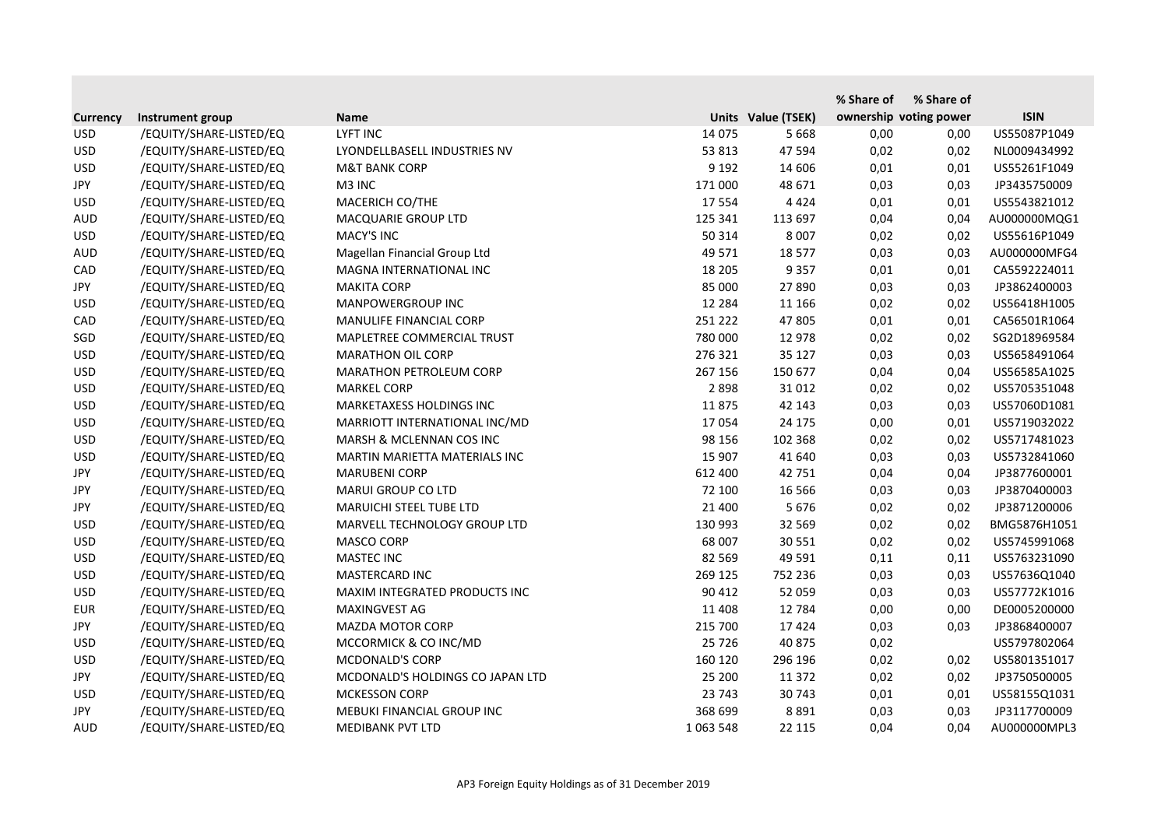|                 |                         |                                  |             |                    | % Share of | % Share of             |              |
|-----------------|-------------------------|----------------------------------|-------------|--------------------|------------|------------------------|--------------|
| <b>Currency</b> | Instrument group        | <b>Name</b>                      |             | Units Value (TSEK) |            | ownership voting power | <b>ISIN</b>  |
| <b>USD</b>      | /EQUITY/SHARE-LISTED/EQ | LYFT INC                         | 14 075      | 5 6 6 8            | 0,00       | 0,00                   | US55087P1049 |
| <b>USD</b>      | /EQUITY/SHARE-LISTED/EQ | LYONDELLBASELL INDUSTRIES NV     | 53 813      | 47 594             | 0,02       | 0,02                   | NL0009434992 |
| <b>USD</b>      | /EQUITY/SHARE-LISTED/EQ | <b>M&amp;T BANK CORP</b>         | 9 1 9 2     | 14 606             | 0,01       | 0,01                   | US55261F1049 |
| JPY             | /EQUITY/SHARE-LISTED/EQ | M3 INC                           | 171 000     | 48 671             | 0,03       | 0,03                   | JP3435750009 |
| <b>USD</b>      | /EQUITY/SHARE-LISTED/EQ | MACERICH CO/THE                  | 17 5 54     | 4 4 2 4            | 0,01       | 0,01                   | US5543821012 |
| <b>AUD</b>      | /EQUITY/SHARE-LISTED/EQ | <b>MACQUARIE GROUP LTD</b>       | 125 341     | 113 697            | 0,04       | 0,04                   | AU000000MQG1 |
| <b>USD</b>      | /EQUITY/SHARE-LISTED/EQ | <b>MACY'S INC</b>                | 50 314      | 8 0 0 7            | 0,02       | 0,02                   | US55616P1049 |
| <b>AUD</b>      | /EQUITY/SHARE-LISTED/EQ | Magellan Financial Group Ltd     | 49 571      | 18 577             | 0,03       | 0,03                   | AU000000MFG4 |
| CAD             | /EQUITY/SHARE-LISTED/EQ | MAGNA INTERNATIONAL INC          | 18 205      | 9 3 5 7            | 0,01       | 0,01                   | CA5592224011 |
| <b>JPY</b>      | /EQUITY/SHARE-LISTED/EQ | <b>MAKITA CORP</b>               | 85 000      | 27 890             | 0,03       | 0,03                   | JP3862400003 |
| <b>USD</b>      | /EQUITY/SHARE-LISTED/EQ | MANPOWERGROUP INC                | 12 2 8 4    | 11 166             | 0,02       | 0,02                   | US56418H1005 |
| CAD             | /EQUITY/SHARE-LISTED/EQ | MANULIFE FINANCIAL CORP          | 251 222     | 47 805             | 0,01       | 0,01                   | CA56501R1064 |
| SGD             | /EQUITY/SHARE-LISTED/EQ | MAPLETREE COMMERCIAL TRUST       | 780 000     | 12 978             | 0,02       | 0,02                   | SG2D18969584 |
| <b>USD</b>      | /EQUITY/SHARE-LISTED/EQ | <b>MARATHON OIL CORP</b>         | 276 321     | 35 127             | 0,03       | 0,03                   | US5658491064 |
| <b>USD</b>      | /EQUITY/SHARE-LISTED/EQ | <b>MARATHON PETROLEUM CORP</b>   | 267 156     | 150 677            | 0,04       | 0,04                   | US56585A1025 |
| <b>USD</b>      | /EQUITY/SHARE-LISTED/EQ | <b>MARKEL CORP</b>               | 2898        | 31 012             | 0,02       | 0,02                   | US5705351048 |
| <b>USD</b>      | /EQUITY/SHARE-LISTED/EQ | MARKETAXESS HOLDINGS INC         | 11875       | 42 143             | 0,03       | 0,03                   | US57060D1081 |
| <b>USD</b>      | /EQUITY/SHARE-LISTED/EQ | MARRIOTT INTERNATIONAL INC/MD    | 17054       | 24 175             | 0,00       | 0,01                   | US5719032022 |
| <b>USD</b>      | /EQUITY/SHARE-LISTED/EQ | MARSH & MCLENNAN COS INC         | 98 156      | 102 368            | 0,02       | 0,02                   | US5717481023 |
| <b>USD</b>      | /EQUITY/SHARE-LISTED/EQ | MARTIN MARIETTA MATERIALS INC    | 15 907      | 41 640             | 0,03       | 0,03                   | US5732841060 |
| <b>JPY</b>      | /EQUITY/SHARE-LISTED/EQ | <b>MARUBENI CORP</b>             | 612 400     | 42 751             | 0,04       | 0,04                   | JP3877600001 |
| JPY             | /EQUITY/SHARE-LISTED/EQ | <b>MARUI GROUP CO LTD</b>        | 72 100      | 16 5 66            | 0,03       | 0,03                   | JP3870400003 |
| JPY             | /EQUITY/SHARE-LISTED/EQ | <b>MARUICHI STEEL TUBE LTD</b>   | 21 400      | 5 6 7 6            | 0,02       | 0,02                   | JP3871200006 |
| <b>USD</b>      | /EQUITY/SHARE-LISTED/EQ | MARVELL TECHNOLOGY GROUP LTD     | 130 993     | 32 5 69            | 0,02       | 0,02                   | BMG5876H1051 |
| <b>USD</b>      | /EQUITY/SHARE-LISTED/EQ | <b>MASCO CORP</b>                | 68 007      | 30 551             | 0,02       | 0,02                   | US5745991068 |
| <b>USD</b>      | /EQUITY/SHARE-LISTED/EQ | <b>MASTEC INC</b>                | 82 5 69     | 49 591             | 0,11       | 0,11                   | US5763231090 |
| <b>USD</b>      | /EQUITY/SHARE-LISTED/EQ | <b>MASTERCARD INC</b>            | 269 125     | 752 236            | 0,03       | 0,03                   | US57636Q1040 |
| <b>USD</b>      | /EQUITY/SHARE-LISTED/EQ | MAXIM INTEGRATED PRODUCTS INC    | 90 412      | 52 059             | 0,03       | 0,03                   | US57772K1016 |
| <b>EUR</b>      | /EQUITY/SHARE-LISTED/EQ | MAXINGVEST AG                    | 11 408      | 12 784             | 0,00       | 0,00                   | DE0005200000 |
| <b>JPY</b>      | /EQUITY/SHARE-LISTED/EQ | <b>MAZDA MOTOR CORP</b>          | 215 700     | 17424              | 0,03       | 0,03                   | JP3868400007 |
| <b>USD</b>      | /EQUITY/SHARE-LISTED/EQ | MCCORMICK & CO INC/MD            | 25 7 26     | 40 875             | 0,02       |                        | US5797802064 |
| <b>USD</b>      | /EQUITY/SHARE-LISTED/EQ | <b>MCDONALD'S CORP</b>           | 160 120     | 296 196            | 0,02       | 0,02                   | US5801351017 |
| JPY             | /EQUITY/SHARE-LISTED/EQ | MCDONALD'S HOLDINGS CO JAPAN LTD | 25 200      | 11 372             | 0,02       | 0,02                   | JP3750500005 |
| <b>USD</b>      | /EQUITY/SHARE-LISTED/EQ | <b>MCKESSON CORP</b>             | 23 743      | 30 743             | 0,01       | 0,01                   | US58155Q1031 |
| JPY             | /EQUITY/SHARE-LISTED/EQ | MEBUKI FINANCIAL GROUP INC       | 368 699     | 8891               | 0,03       | 0,03                   | JP3117700009 |
| <b>AUD</b>      | /EQUITY/SHARE-LISTED/EQ | <b>MEDIBANK PVT LTD</b>          | 1 0 63 5 48 | 22 115             | 0,04       | 0,04                   | AU000000MPL3 |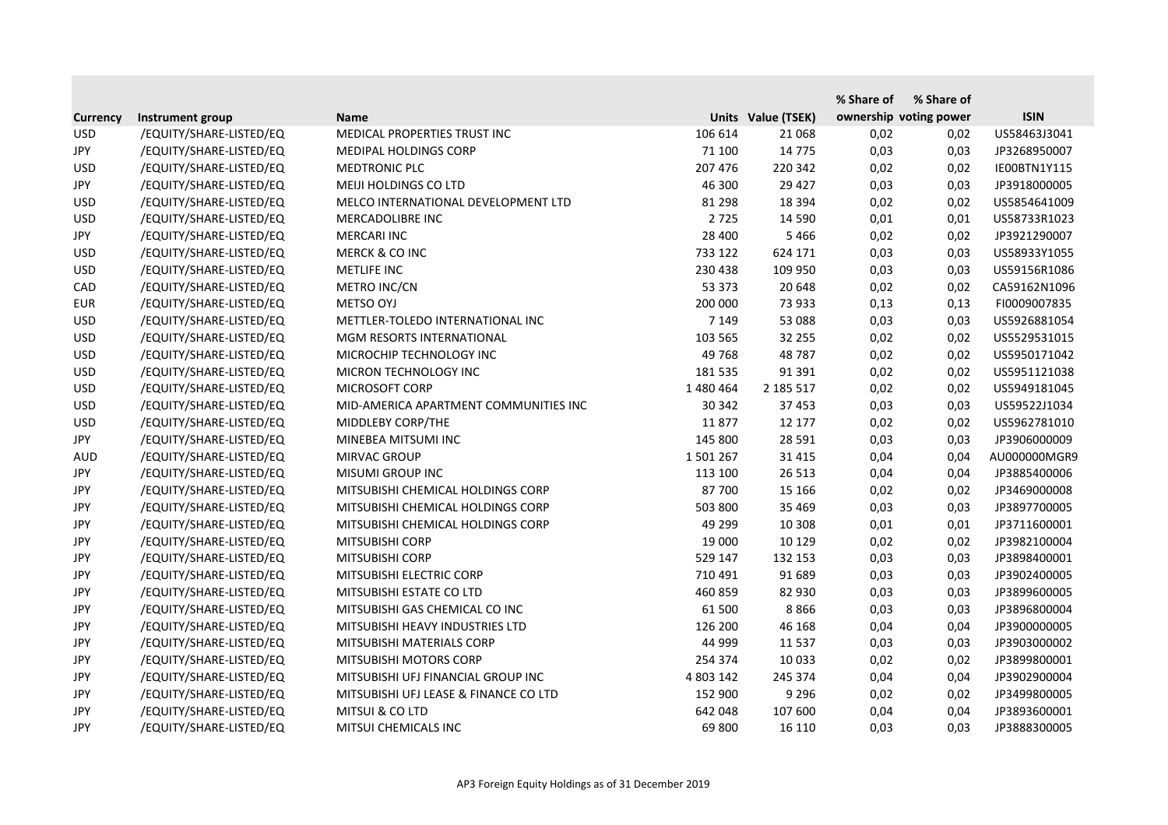|                 |                         |                                       |           |                    | % Share of             | % Share of |              |
|-----------------|-------------------------|---------------------------------------|-----------|--------------------|------------------------|------------|--------------|
| <b>Currency</b> | Instrument group        | <b>Name</b>                           |           | Units Value (TSEK) | ownership voting power |            | <b>ISIN</b>  |
| <b>USD</b>      | /EQUITY/SHARE-LISTED/EQ | MEDICAL PROPERTIES TRUST INC          | 106 614   | 21 0 68            | 0,02                   | 0,02       | US58463J3041 |
| JPY             | /EQUITY/SHARE-LISTED/EQ | <b>MEDIPAL HOLDINGS CORP</b>          | 71 100    | 14 7 7 5           | 0,03                   | 0,03       | JP3268950007 |
| <b>USD</b>      | /EQUITY/SHARE-LISTED/EQ | <b>MEDTRONIC PLC</b>                  | 207 476   | 220 342            | 0,02                   | 0,02       | IE00BTN1Y115 |
| JPY             | /EQUITY/SHARE-LISTED/EQ | MEIJI HOLDINGS CO LTD                 | 46 300    | 29 4 27            | 0,03                   | 0,03       | JP3918000005 |
| <b>USD</b>      | /EQUITY/SHARE-LISTED/EQ | MELCO INTERNATIONAL DEVELOPMENT LTD   | 81 298    | 18 3 94            | 0,02                   | 0,02       | US5854641009 |
| <b>USD</b>      | /EQUITY/SHARE-LISTED/EQ | MERCADOLIBRE INC                      | 2 7 2 5   | 14 5 90            | 0,01                   | 0,01       | US58733R1023 |
| JPY             | /EQUITY/SHARE-LISTED/EQ | <b>MERCARI INC</b>                    | 28 400    | 5466               | 0,02                   | 0,02       | JP3921290007 |
| <b>USD</b>      | /EQUITY/SHARE-LISTED/EQ | <b>MERCK &amp; CO INC</b>             | 733 122   | 624 171            | 0,03                   | 0,03       | US58933Y1055 |
| <b>USD</b>      | /EQUITY/SHARE-LISTED/EQ | <b>METLIFE INC</b>                    | 230 438   | 109 950            | 0,03                   | 0,03       | US59156R1086 |
| CAD             | /EQUITY/SHARE-LISTED/EQ | METRO INC/CN                          | 53 373    | 20 648             | 0,02                   | 0,02       | CA59162N1096 |
| <b>EUR</b>      | /EQUITY/SHARE-LISTED/EQ | METSO OYJ                             | 200 000   | 73 933             | 0,13                   | 0,13       | FI0009007835 |
| <b>USD</b>      | /EQUITY/SHARE-LISTED/EQ | METTLER-TOLEDO INTERNATIONAL INC      | 7 1 4 9   | 53 088             | 0,03                   | 0,03       | US5926881054 |
| <b>USD</b>      | /EQUITY/SHARE-LISTED/EQ | MGM RESORTS INTERNATIONAL             | 103 565   | 32 255             | 0,02                   | 0,02       | US5529531015 |
| <b>USD</b>      | /EQUITY/SHARE-LISTED/EQ | MICROCHIP TECHNOLOGY INC              | 49 768    | 48787              | 0,02                   | 0,02       | US5950171042 |
| <b>USD</b>      | /EQUITY/SHARE-LISTED/EQ | MICRON TECHNOLOGY INC                 | 181 535   | 91 391             | 0,02                   | 0,02       | US5951121038 |
| <b>USD</b>      | /EQUITY/SHARE-LISTED/EQ | <b>MICROSOFT CORP</b>                 | 1 480 464 | 2 185 517          | 0,02                   | 0,02       | US5949181045 |
| <b>USD</b>      | /EQUITY/SHARE-LISTED/EQ | MID-AMERICA APARTMENT COMMUNITIES INC | 30 342    | 37 453             | 0,03                   | 0,03       | US59522J1034 |
| <b>USD</b>      | /EQUITY/SHARE-LISTED/EQ | MIDDLEBY CORP/THE                     | 11877     | 12 177             | 0,02                   | 0,02       | US5962781010 |
| <b>JPY</b>      | /EQUITY/SHARE-LISTED/EQ | MINEBEA MITSUMI INC                   | 145 800   | 28 5 91            | 0,03                   | 0,03       | JP3906000009 |
| <b>AUD</b>      | /EQUITY/SHARE-LISTED/EQ | MIRVAC GROUP                          | 1 501 267 | 31 4 15            | 0,04                   | 0,04       | AU000000MGR9 |
| JPY             | /EQUITY/SHARE-LISTED/EQ | <b>MISUMI GROUP INC</b>               | 113 100   | 26 5 13            | 0,04                   | 0,04       | JP3885400006 |
| JPY             | /EQUITY/SHARE-LISTED/EQ | MITSUBISHI CHEMICAL HOLDINGS CORP     | 87 700    | 15 16 6            | 0,02                   | 0,02       | JP3469000008 |
| JPY             | /EQUITY/SHARE-LISTED/EQ | MITSUBISHI CHEMICAL HOLDINGS CORP     | 503 800   | 35 4 69            | 0,03                   | 0,03       | JP3897700005 |
| JPY             | /EQUITY/SHARE-LISTED/EQ | MITSUBISHI CHEMICAL HOLDINGS CORP     | 49 299    | 10 308             | 0,01                   | 0,01       | JP3711600001 |
| JPY             | /EQUITY/SHARE-LISTED/EQ | MITSUBISHI CORP                       | 19 000    | 10 1 29            | 0,02                   | 0,02       | JP3982100004 |
| JPY             | /EQUITY/SHARE-LISTED/EQ | MITSUBISHI CORP                       | 529 147   | 132 153            | 0,03                   | 0,03       | JP3898400001 |
| JPY             | /EQUITY/SHARE-LISTED/EQ | MITSUBISHI ELECTRIC CORP              | 710 491   | 91 689             | 0,03                   | 0,03       | JP3902400005 |
| JPY             | /EQUITY/SHARE-LISTED/EQ | MITSUBISHI ESTATE CO LTD              | 460 859   | 82 930             | 0,03                   | 0,03       | JP3899600005 |
| <b>JPY</b>      | /EQUITY/SHARE-LISTED/EQ | MITSUBISHI GAS CHEMICAL CO INC        | 61 500    | 8866               | 0,03                   | 0,03       | JP3896800004 |
| <b>JPY</b>      | /EQUITY/SHARE-LISTED/EQ | MITSUBISHI HEAVY INDUSTRIES LTD       | 126 200   | 46 168             | 0,04                   | 0,04       | JP3900000005 |
| JPY             | /EQUITY/SHARE-LISTED/EQ | MITSUBISHI MATERIALS CORP             | 44 999    | 11 5 37            | 0,03                   | 0,03       | JP3903000002 |
| JPY             | /EQUITY/SHARE-LISTED/EQ | MITSUBISHI MOTORS CORP                | 254 374   | 10 033             | 0,02                   | 0,02       | JP3899800001 |
| JPY             | /EQUITY/SHARE-LISTED/EQ | MITSUBISHI UFJ FINANCIAL GROUP INC    | 4 803 142 | 245 374            | 0,04                   | 0,04       | JP3902900004 |
| JPY             | /EQUITY/SHARE-LISTED/EQ | MITSUBISHI UFJ LEASE & FINANCE CO LTD | 152 900   | 9 2 9 6            | 0,02                   | 0,02       | JP3499800005 |
| JPY             | /EQUITY/SHARE-LISTED/EQ | MITSUI & CO LTD                       | 642 048   | 107 600            | 0,04                   | 0,04       | JP3893600001 |
| JPY             | /EQUITY/SHARE-LISTED/EQ | MITSUI CHEMICALS INC                  | 69 800    | 16 110             | 0,03                   | 0,03       | JP3888300005 |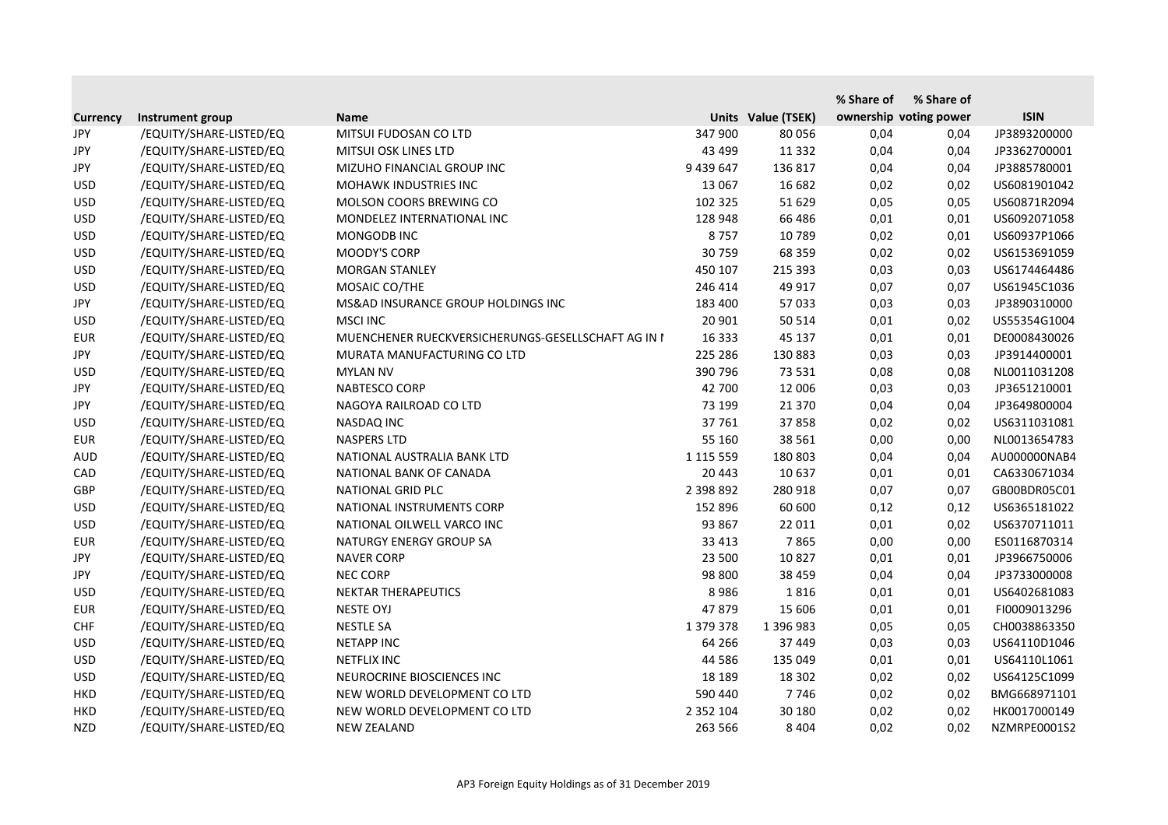|                 |                         |                                                    |               |                    | % Share of | % Share of             |              |
|-----------------|-------------------------|----------------------------------------------------|---------------|--------------------|------------|------------------------|--------------|
| <b>Currency</b> | Instrument group        | <b>Name</b>                                        |               | Units Value (TSEK) |            | ownership voting power | <b>ISIN</b>  |
| JPY             | /EQUITY/SHARE-LISTED/EQ | MITSUI FUDOSAN CO LTD                              | 347 900       | 80 056             | 0,04       | 0,04                   | JP3893200000 |
| <b>JPY</b>      | /EQUITY/SHARE-LISTED/EQ | MITSUI OSK LINES LTD                               | 43 499        | 11 3 32            | 0,04       | 0,04                   | JP3362700001 |
| JPY             | /EQUITY/SHARE-LISTED/EQ | MIZUHO FINANCIAL GROUP INC                         | 9 439 647     | 136 817            | 0,04       | 0,04                   | JP3885780001 |
| <b>USD</b>      | /EQUITY/SHARE-LISTED/EQ | MOHAWK INDUSTRIES INC                              | 13 067        | 16 682             | 0,02       | 0,02                   | US6081901042 |
| <b>USD</b>      | /EQUITY/SHARE-LISTED/EQ | MOLSON COORS BREWING CO                            | 102 325       | 51 629             | 0,05       | 0,05                   | US60871R2094 |
| <b>USD</b>      | /EQUITY/SHARE-LISTED/EQ | MONDELEZ INTERNATIONAL INC                         | 128 948       | 66 48 6            | 0,01       | 0,01                   | US6092071058 |
| <b>USD</b>      | /EQUITY/SHARE-LISTED/EQ | MONGODB INC                                        | 8757          | 10 789             | 0,02       | 0,01                   | US60937P1066 |
| <b>USD</b>      | /EQUITY/SHARE-LISTED/EQ | MOODY'S CORP                                       | 30759         | 68 359             | 0,02       | 0,02                   | US6153691059 |
| <b>USD</b>      | /EQUITY/SHARE-LISTED/EQ | <b>MORGAN STANLEY</b>                              | 450 107       | 215 393            | 0,03       | 0,03                   | US6174464486 |
| <b>USD</b>      | /EQUITY/SHARE-LISTED/EQ | MOSAIC CO/THE                                      | 246 414       | 49 917             | 0,07       | 0,07                   | US61945C1036 |
| <b>JPY</b>      | /EQUITY/SHARE-LISTED/EQ | MS&AD INSURANCE GROUP HOLDINGS INC                 | 183 400       | 57 033             | 0,03       | 0,03                   | JP3890310000 |
| <b>USD</b>      | /EQUITY/SHARE-LISTED/EQ | <b>MSCI INC</b>                                    | 20 901        | 50 514             | 0,01       | 0,02                   | US55354G1004 |
| <b>EUR</b>      | /EQUITY/SHARE-LISTED/EQ | MUENCHENER RUECKVERSICHERUNGS-GESELLSCHAFT AG IN I | 16 3 33       | 45 137             | 0,01       | 0,01                   | DE0008430026 |
| <b>JPY</b>      | /EQUITY/SHARE-LISTED/EQ | MURATA MANUFACTURING CO LTD                        | 225 286       | 130 883            | 0,03       | 0,03                   | JP3914400001 |
| <b>USD</b>      | /EQUITY/SHARE-LISTED/EQ | <b>MYLAN NV</b>                                    | 390 796       | 73 531             | 0,08       | 0,08                   | NL0011031208 |
| JPY             | /EQUITY/SHARE-LISTED/EQ | NABTESCO CORP                                      | 42 700        | 12 006             | 0,03       | 0,03                   | JP3651210001 |
| <b>JPY</b>      | /EQUITY/SHARE-LISTED/EQ | NAGOYA RAILROAD CO LTD                             | 73 199        | 21 370             | 0,04       | 0,04                   | JP3649800004 |
| <b>USD</b>      | /EQUITY/SHARE-LISTED/EQ | <b>NASDAQ INC</b>                                  | 37 761        | 37858              | 0,02       | 0,02                   | US6311031081 |
| <b>EUR</b>      | /EQUITY/SHARE-LISTED/EQ | <b>NASPERS LTD</b>                                 | 55 160        | 38 5 61            | 0,00       | 0,00                   | NL0013654783 |
| <b>AUD</b>      | /EQUITY/SHARE-LISTED/EQ | NATIONAL AUSTRALIA BANK LTD                        | 1 115 559     | 180 803            | 0,04       | 0,04                   | AU000000NAB4 |
| CAD             | /EQUITY/SHARE-LISTED/EQ | NATIONAL BANK OF CANADA                            | 20 443        | 10 637             | 0,01       | 0,01                   | CA6330671034 |
| <b>GBP</b>      | /EQUITY/SHARE-LISTED/EQ | NATIONAL GRID PLC                                  | 2 398 892     | 280 918            | 0,07       | 0,07                   | GB00BDR05C01 |
| <b>USD</b>      | /EQUITY/SHARE-LISTED/EQ | NATIONAL INSTRUMENTS CORP                          | 152 896       | 60 600             | 0,12       | 0,12                   | US6365181022 |
| <b>USD</b>      | /EQUITY/SHARE-LISTED/EQ | NATIONAL OILWELL VARCO INC                         | 93 867        | 22 011             | 0,01       | 0,02                   | US6370711011 |
| <b>EUR</b>      | /EQUITY/SHARE-LISTED/EQ | NATURGY ENERGY GROUP SA                            | 33 413        | 7865               | 0,00       | 0,00                   | ES0116870314 |
| <b>JPY</b>      | /EQUITY/SHARE-LISTED/EQ | <b>NAVER CORP</b>                                  | 23 500        | 10 827             | 0,01       | 0,01                   | JP3966750006 |
| JPY             | /EQUITY/SHARE-LISTED/EQ | <b>NEC CORP</b>                                    | 98 800        | 38 459             | 0,04       | 0,04                   | JP3733000008 |
| <b>USD</b>      | /EQUITY/SHARE-LISTED/EQ | NEKTAR THERAPEUTICS                                | 8986          | 1816               | 0,01       | 0,01                   | US6402681083 |
| <b>EUR</b>      | /EQUITY/SHARE-LISTED/EQ | <b>NESTE OYJ</b>                                   | 47879         | 15 606             | 0,01       | 0,01                   | FI0009013296 |
| <b>CHF</b>      | /EQUITY/SHARE-LISTED/EQ | <b>NESTLE SA</b>                                   | 1 379 378     | 1 396 983          | 0,05       | 0,05                   | CH0038863350 |
| <b>USD</b>      | /EQUITY/SHARE-LISTED/EQ | <b>NETAPP INC</b>                                  | 64 266        | 37 449             | 0,03       | 0,03                   | US64110D1046 |
| <b>USD</b>      | /EQUITY/SHARE-LISTED/EQ | <b>NETFLIX INC</b>                                 | 44 5 86       | 135 049            | 0,01       | 0,01                   | US64110L1061 |
| <b>USD</b>      | /EQUITY/SHARE-LISTED/EQ | NEUROCRINE BIOSCIENCES INC                         | 18 18 9       | 18 302             | 0,02       | 0,02                   | US64125C1099 |
| <b>HKD</b>      | /EQUITY/SHARE-LISTED/EQ | NEW WORLD DEVELOPMENT CO LTD                       | 590 440       | 7746               | 0,02       | 0,02                   | BMG668971101 |
| <b>HKD</b>      | /EQUITY/SHARE-LISTED/EQ | NEW WORLD DEVELOPMENT CO LTD                       | 2 3 5 2 1 0 4 | 30 180             | 0,02       | 0,02                   | HK0017000149 |
| <b>NZD</b>      | /EQUITY/SHARE-LISTED/EQ | <b>NEW ZEALAND</b>                                 | 263 566       | 8 4 0 4            | 0,02       | 0,02                   | NZMRPE0001S2 |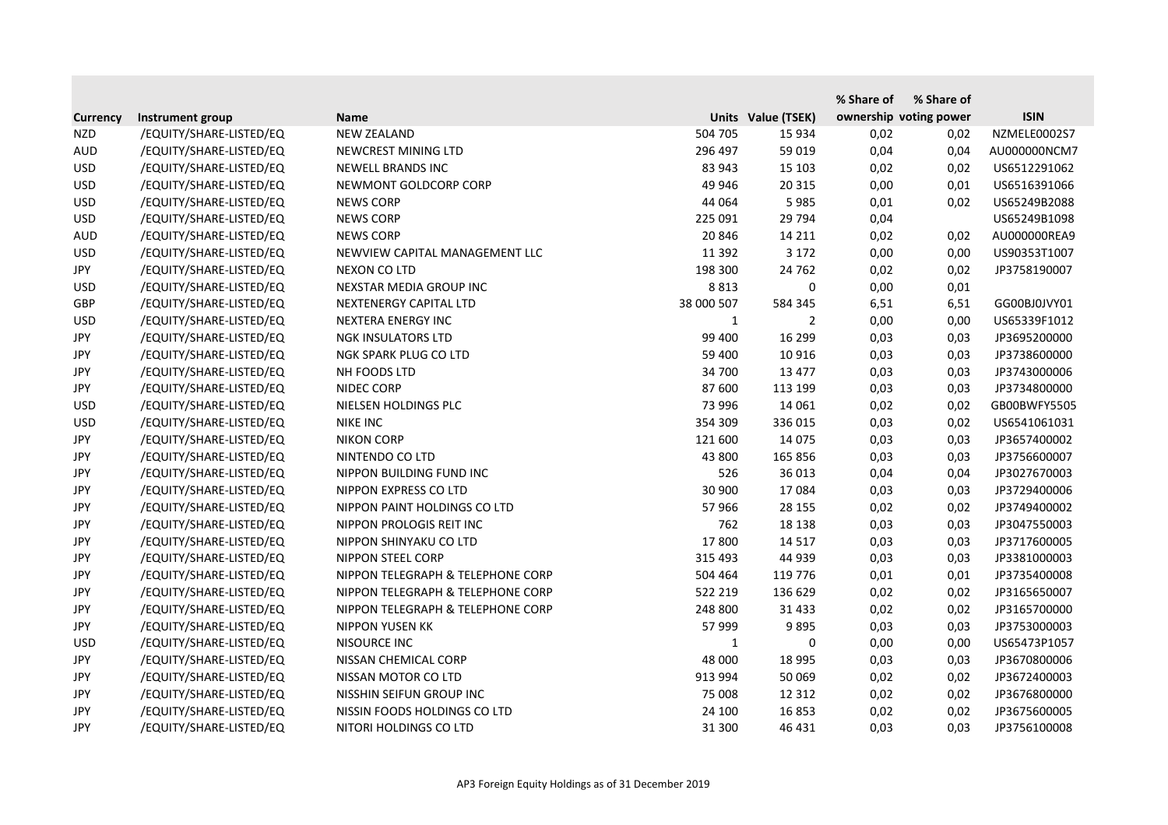|                 |                         |                                   |              |                    | % Share of | % Share of             |              |
|-----------------|-------------------------|-----------------------------------|--------------|--------------------|------------|------------------------|--------------|
| <b>Currency</b> | Instrument group        | <b>Name</b>                       |              | Units Value (TSEK) |            | ownership voting power | <b>ISIN</b>  |
| <b>NZD</b>      | /EQUITY/SHARE-LISTED/EQ | <b>NEW ZEALAND</b>                | 504 705      | 15 9 34            | 0,02       | 0,02                   | NZMELE0002S7 |
| <b>AUD</b>      | /EQUITY/SHARE-LISTED/EQ | NEWCREST MINING LTD               | 296 497      | 59 019             | 0,04       | 0,04                   | AU000000NCM7 |
| <b>USD</b>      | /EQUITY/SHARE-LISTED/EQ | <b>NEWELL BRANDS INC</b>          | 83 943       | 15 103             | 0,02       | 0,02                   | US6512291062 |
| <b>USD</b>      | /EQUITY/SHARE-LISTED/EQ | NEWMONT GOLDCORP CORP             | 49 946       | 20 315             | 0,00       | 0,01                   | US6516391066 |
| <b>USD</b>      | /EQUITY/SHARE-LISTED/EQ | <b>NEWS CORP</b>                  | 44 064       | 5985               | 0,01       | 0,02                   | US65249B2088 |
| <b>USD</b>      | /EQUITY/SHARE-LISTED/EQ | <b>NEWS CORP</b>                  | 225 091      | 29 7 94            | 0,04       |                        | US65249B1098 |
| <b>AUD</b>      | /EQUITY/SHARE-LISTED/EQ | <b>NEWS CORP</b>                  | 20 846       | 14 2 11            | 0,02       | 0,02                   | AU000000REA9 |
| <b>USD</b>      | /EQUITY/SHARE-LISTED/EQ | NEWVIEW CAPITAL MANAGEMENT LLC    | 11 3 92      | 3 1 7 2            | 0,00       | 0,00                   | US90353T1007 |
| <b>JPY</b>      | /EQUITY/SHARE-LISTED/EQ | NEXON CO LTD                      | 198 300      | 24 762             | 0,02       | 0,02                   | JP3758190007 |
| <b>USD</b>      | /EQUITY/SHARE-LISTED/EQ | NEXSTAR MEDIA GROUP INC           | 8813         | $\mathbf 0$        | 0,00       | 0,01                   |              |
| GBP             | /EQUITY/SHARE-LISTED/EQ | NEXTENERGY CAPITAL LTD            | 38 000 507   | 584 345            | 6,51       | 6,51                   | GG00BJ0JVY01 |
| <b>USD</b>      | /EQUITY/SHARE-LISTED/EQ | <b>NEXTERA ENERGY INC</b>         | $\mathbf{1}$ | $\overline{2}$     | 0,00       | 0,00                   | US65339F1012 |
| JPY             | /EQUITY/SHARE-LISTED/EQ | <b>NGK INSULATORS LTD</b>         | 99 400       | 16 299             | 0,03       | 0,03                   | JP3695200000 |
| <b>JPY</b>      | /EQUITY/SHARE-LISTED/EQ | NGK SPARK PLUG CO LTD             | 59 400       | 10 9 16            | 0,03       | 0,03                   | JP3738600000 |
| JPY             | /EQUITY/SHARE-LISTED/EQ | NH FOODS LTD                      | 34 700       | 13 477             | 0,03       | 0,03                   | JP3743000006 |
| JPY             | /EQUITY/SHARE-LISTED/EQ | NIDEC CORP                        | 87 600       | 113 199            | 0,03       | 0,03                   | JP3734800000 |
| <b>USD</b>      | /EQUITY/SHARE-LISTED/EQ | NIELSEN HOLDINGS PLC              | 73 996       | 14 061             | 0,02       | 0,02                   | GB00BWFY5505 |
| <b>USD</b>      | /EQUITY/SHARE-LISTED/EQ | <b>NIKE INC</b>                   | 354 309      | 336 015            | 0,03       | 0,02                   | US6541061031 |
| <b>JPY</b>      | /EQUITY/SHARE-LISTED/EQ | <b>NIKON CORP</b>                 | 121 600      | 14 0 75            | 0,03       | 0,03                   | JP3657400002 |
| JPY             | /EQUITY/SHARE-LISTED/EQ | NINTENDO CO LTD                   | 43 800       | 165 856            | 0,03       | 0,03                   | JP3756600007 |
| <b>JPY</b>      | /EQUITY/SHARE-LISTED/EQ | NIPPON BUILDING FUND INC          | 526          | 36 013             | 0,04       | 0,04                   | JP3027670003 |
| JPY             | /EQUITY/SHARE-LISTED/EQ | NIPPON EXPRESS CO LTD             | 30 900       | 17084              | 0,03       | 0,03                   | JP3729400006 |
| <b>JPY</b>      | /EQUITY/SHARE-LISTED/EQ | NIPPON PAINT HOLDINGS CO LTD      | 57966        | 28 155             | 0,02       | 0,02                   | JP3749400002 |
| <b>JPY</b>      | /EQUITY/SHARE-LISTED/EQ | NIPPON PROLOGIS REIT INC          | 762          | 18 138             | 0,03       | 0,03                   | JP3047550003 |
| JPY             | /EQUITY/SHARE-LISTED/EQ | NIPPON SHINYAKU CO LTD            | 17800        | 14 5 17            | 0,03       | 0,03                   | JP3717600005 |
| <b>JPY</b>      | /EQUITY/SHARE-LISTED/EQ | <b>NIPPON STEEL CORP</b>          | 315 493      | 44 939             | 0,03       | 0,03                   | JP3381000003 |
| JPY             | /EQUITY/SHARE-LISTED/EQ | NIPPON TELEGRAPH & TELEPHONE CORP | 504 464      | 119 776            | 0,01       | 0,01                   | JP3735400008 |
| <b>JPY</b>      | /EQUITY/SHARE-LISTED/EQ | NIPPON TELEGRAPH & TELEPHONE CORP | 522 219      | 136 629            | 0,02       | 0,02                   | JP3165650007 |
| <b>JPY</b>      | /EQUITY/SHARE-LISTED/EQ | NIPPON TELEGRAPH & TELEPHONE CORP | 248 800      | 31 4 33            | 0,02       | 0,02                   | JP3165700000 |
| JPY             | /EQUITY/SHARE-LISTED/EQ | NIPPON YUSEN KK                   | 57 999       | 9895               | 0,03       | 0,03                   | JP3753000003 |
| <b>USD</b>      | /EQUITY/SHARE-LISTED/EQ | NISOURCE INC                      | 1            | 0                  | 0,00       | 0,00                   | US65473P1057 |
| JPY             | /EQUITY/SHARE-LISTED/EQ | NISSAN CHEMICAL CORP              | 48 000       | 18 9 95            | 0,03       | 0,03                   | JP3670800006 |
| JPY             | /EQUITY/SHARE-LISTED/EQ | NISSAN MOTOR CO LTD               | 913 994      | 50 069             | 0,02       | 0,02                   | JP3672400003 |
| JPY             | /EQUITY/SHARE-LISTED/EQ | NISSHIN SEIFUN GROUP INC          | 75 008       | 12 3 12            | 0,02       | 0,02                   | JP3676800000 |
| JPY             | /EQUITY/SHARE-LISTED/EQ | NISSIN FOODS HOLDINGS CO LTD      | 24 100       | 16853              | 0,02       | 0,02                   | JP3675600005 |
| JPY             | /EQUITY/SHARE-LISTED/EQ | NITORI HOLDINGS CO LTD            | 31 300       | 46 431             | 0,03       | 0,03                   | JP3756100008 |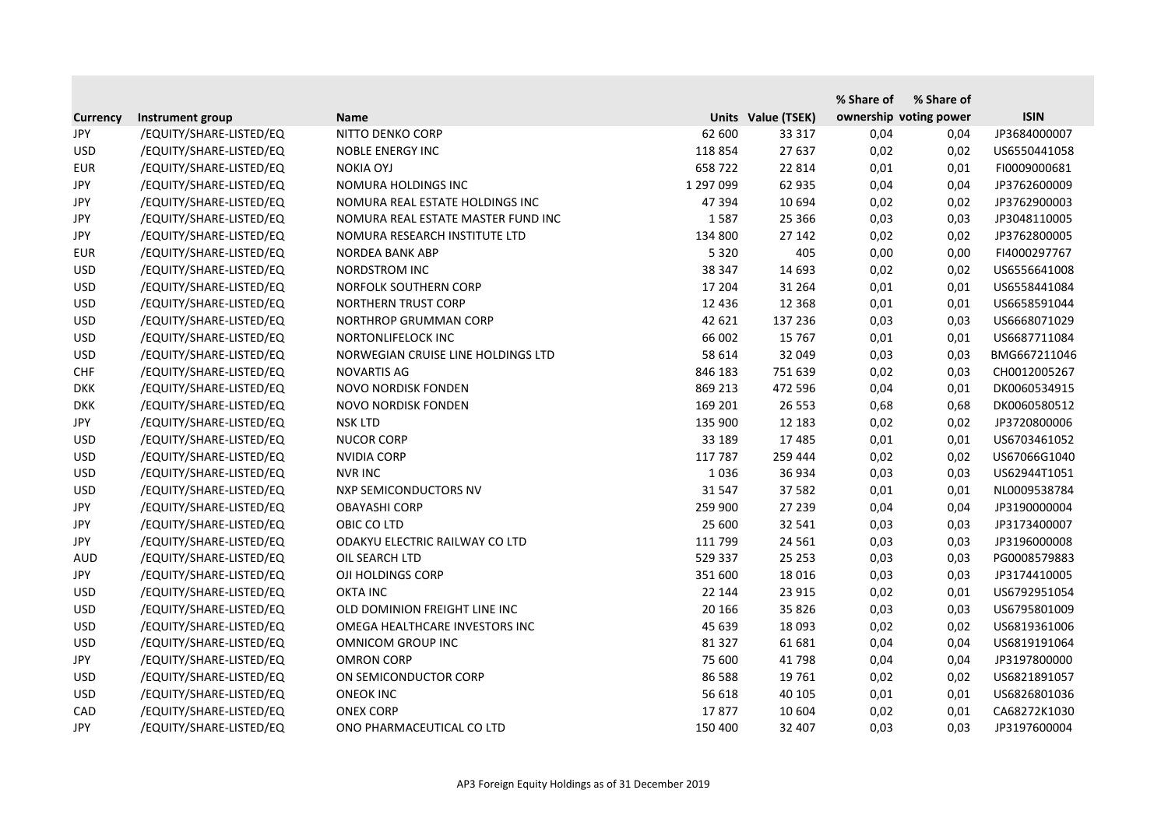|                 |                         |                                    |           |                    | % Share of | % Share of             |              |
|-----------------|-------------------------|------------------------------------|-----------|--------------------|------------|------------------------|--------------|
| <b>Currency</b> | Instrument group        | <b>Name</b>                        |           | Units Value (TSEK) |            | ownership voting power | <b>ISIN</b>  |
| JPY             | /EQUITY/SHARE-LISTED/EQ | NITTO DENKO CORP                   | 62 600    | 33 317             | 0,04       | 0,04                   | JP3684000007 |
| <b>USD</b>      | /EQUITY/SHARE-LISTED/EQ | <b>NOBLE ENERGY INC</b>            | 118 854   | 27 637             | 0,02       | 0,02                   | US6550441058 |
| <b>EUR</b>      | /EQUITY/SHARE-LISTED/EQ | <b>NOKIA OYJ</b>                   | 658722    | 22 8 14            | 0,01       | 0,01                   | FI0009000681 |
| <b>JPY</b>      | /EQUITY/SHARE-LISTED/EQ | NOMURA HOLDINGS INC                | 1 297 099 | 62 935             | 0,04       | 0,04                   | JP3762600009 |
| JPY             | /EQUITY/SHARE-LISTED/EQ | NOMURA REAL ESTATE HOLDINGS INC    | 47 394    | 10 694             | 0,02       | 0,02                   | JP3762900003 |
| <b>JPY</b>      | /EQUITY/SHARE-LISTED/EQ | NOMURA REAL ESTATE MASTER FUND INC | 1587      | 25 3 66            | 0,03       | 0,03                   | JP3048110005 |
| <b>JPY</b>      | /EQUITY/SHARE-LISTED/EQ | NOMURA RESEARCH INSTITUTE LTD      | 134 800   | 27 142             | 0,02       | 0,02                   | JP3762800005 |
| <b>EUR</b>      | /EQUITY/SHARE-LISTED/EQ | NORDEA BANK ABP                    | 5 3 2 0   | 405                | 0,00       | 0,00                   | FI4000297767 |
| <b>USD</b>      | /EQUITY/SHARE-LISTED/EQ | NORDSTROM INC                      | 38 347    | 14 693             | 0,02       | 0,02                   | US6556641008 |
| <b>USD</b>      | /EQUITY/SHARE-LISTED/EQ | NORFOLK SOUTHERN CORP              | 17 204    | 31 264             | 0,01       | 0,01                   | US6558441084 |
| <b>USD</b>      | /EQUITY/SHARE-LISTED/EQ | <b>NORTHERN TRUST CORP</b>         | 12 4 36   | 12 3 68            | 0,01       | 0,01                   | US6658591044 |
| <b>USD</b>      | /EQUITY/SHARE-LISTED/EQ | <b>NORTHROP GRUMMAN CORP</b>       | 42 621    | 137 236            | 0,03       | 0,03                   | US6668071029 |
| <b>USD</b>      | /EQUITY/SHARE-LISTED/EQ | NORTONLIFELOCK INC                 | 66 002    | 15 7 67            | 0,01       | 0,01                   | US6687711084 |
| <b>USD</b>      | /EQUITY/SHARE-LISTED/EQ | NORWEGIAN CRUISE LINE HOLDINGS LTD | 58 614    | 32 049             | 0,03       | 0,03                   | BMG667211046 |
| <b>CHF</b>      | /EQUITY/SHARE-LISTED/EQ | <b>NOVARTIS AG</b>                 | 846 183   | 751 639            | 0,02       | 0,03                   | CH0012005267 |
| <b>DKK</b>      | /EQUITY/SHARE-LISTED/EQ | NOVO NORDISK FONDEN                | 869 213   | 472 596            | 0,04       | 0,01                   | DK0060534915 |
| <b>DKK</b>      | /EQUITY/SHARE-LISTED/EQ | <b>NOVO NORDISK FONDEN</b>         | 169 201   | 26 5 53            | 0,68       | 0,68                   | DK0060580512 |
| JPY             | /EQUITY/SHARE-LISTED/EQ | <b>NSK LTD</b>                     | 135 900   | 12 183             | 0,02       | 0,02                   | JP3720800006 |
| <b>USD</b>      | /EQUITY/SHARE-LISTED/EQ | <b>NUCOR CORP</b>                  | 33 189    | 17485              | 0,01       | 0,01                   | US6703461052 |
| <b>USD</b>      | /EQUITY/SHARE-LISTED/EQ | <b>NVIDIA CORP</b>                 | 117 787   | 259 444            | 0,02       | 0,02                   | US67066G1040 |
| <b>USD</b>      | /EQUITY/SHARE-LISTED/EQ | <b>NVR INC</b>                     | 1036      | 36 934             | 0,03       | 0,03                   | US62944T1051 |
| <b>USD</b>      | /EQUITY/SHARE-LISTED/EQ | NXP SEMICONDUCTORS NV              | 31 547    | 37 582             | 0,01       | 0,01                   | NL0009538784 |
| JPY             | /EQUITY/SHARE-LISTED/EQ | <b>OBAYASHI CORP</b>               | 259 900   | 27 239             | 0,04       | 0,04                   | JP3190000004 |
| JPY             | /EQUITY/SHARE-LISTED/EQ | OBIC CO LTD                        | 25 600    | 32 541             | 0,03       | 0,03                   | JP3173400007 |
| JPY             | /EQUITY/SHARE-LISTED/EQ | ODAKYU ELECTRIC RAILWAY CO LTD     | 111 799   | 24 5 61            | 0,03       | 0,03                   | JP3196000008 |
| <b>AUD</b>      | /EQUITY/SHARE-LISTED/EQ | OIL SEARCH LTD                     | 529 337   | 25 2 5 3           | 0,03       | 0,03                   | PG0008579883 |
| <b>JPY</b>      | /EQUITY/SHARE-LISTED/EQ | OJI HOLDINGS CORP                  | 351 600   | 18 0 16            | 0,03       | 0,03                   | JP3174410005 |
| <b>USD</b>      | /EQUITY/SHARE-LISTED/EQ | <b>OKTA INC</b>                    | 22 144    | 23 915             | 0,02       | 0,01                   | US6792951054 |
| <b>USD</b>      | /EQUITY/SHARE-LISTED/EQ | OLD DOMINION FREIGHT LINE INC      | 20 16 6   | 35 826             | 0,03       | 0,03                   | US6795801009 |
| <b>USD</b>      | /EQUITY/SHARE-LISTED/EQ | OMEGA HEALTHCARE INVESTORS INC     | 45 639    | 18 093             | 0,02       | 0,02                   | US6819361006 |
| <b>USD</b>      | /EQUITY/SHARE-LISTED/EQ | <b>OMNICOM GROUP INC</b>           | 81 327    | 61 681             | 0,04       | 0,04                   | US6819191064 |
| JPY             | /EQUITY/SHARE-LISTED/EQ | <b>OMRON CORP</b>                  | 75 600    | 41 798             | 0,04       | 0,04                   | JP3197800000 |
| <b>USD</b>      | /EQUITY/SHARE-LISTED/EQ | ON SEMICONDUCTOR CORP              | 86 5 88   | 19 761             | 0,02       | 0,02                   | US6821891057 |
| <b>USD</b>      | /EQUITY/SHARE-LISTED/EQ | <b>ONEOK INC</b>                   | 56 618    | 40 105             | 0,01       | 0,01                   | US6826801036 |
| CAD             | /EQUITY/SHARE-LISTED/EQ | <b>ONEX CORP</b>                   | 17877     | 10 604             | 0,02       | 0,01                   | CA68272K1030 |
| JPY             | /EQUITY/SHARE-LISTED/EQ | ONO PHARMACEUTICAL CO LTD          | 150 400   | 32 407             | 0,03       | 0,03                   | JP3197600004 |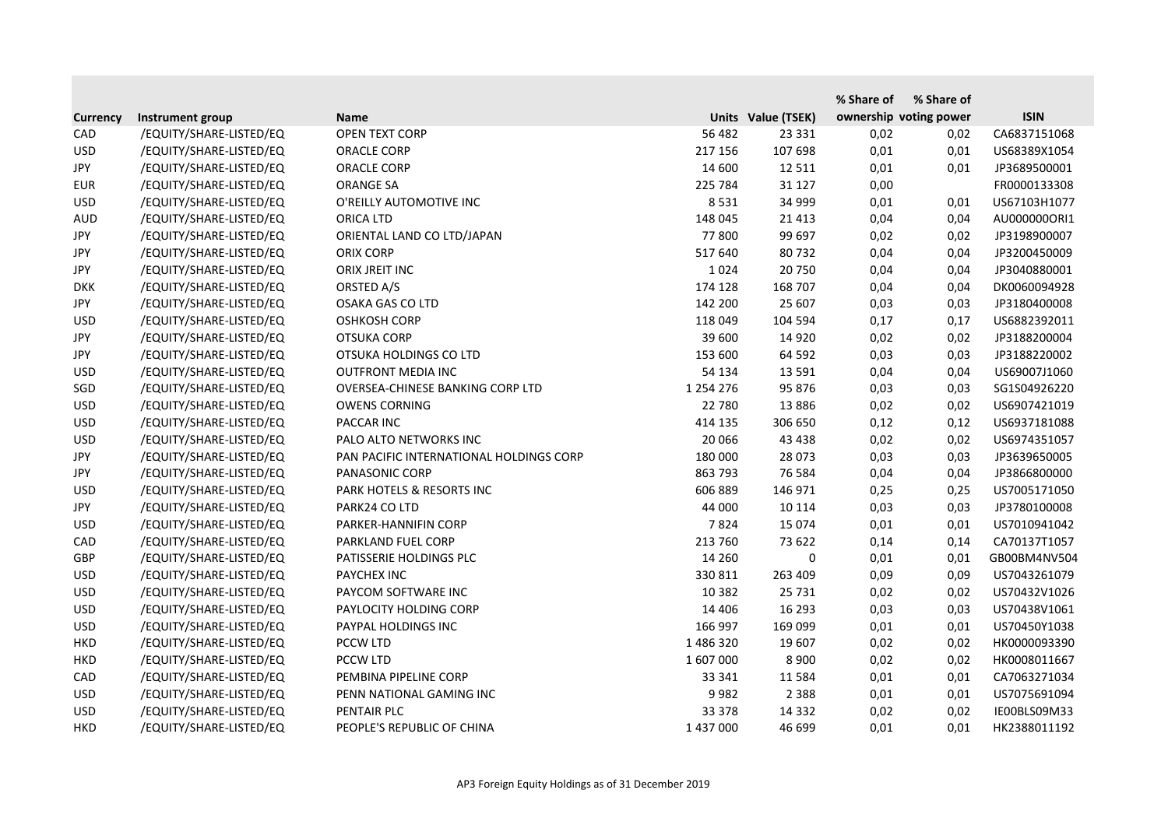|                 |                         |                                         |               |                    | % Share of | % Share of             |              |
|-----------------|-------------------------|-----------------------------------------|---------------|--------------------|------------|------------------------|--------------|
| <b>Currency</b> | Instrument group        | <b>Name</b>                             |               | Units Value (TSEK) |            | ownership voting power | <b>ISIN</b>  |
| CAD             | /EQUITY/SHARE-LISTED/EQ | <b>OPEN TEXT CORP</b>                   | 56 482        | 23 3 3 1           | 0,02       | 0,02                   | CA6837151068 |
| <b>USD</b>      | /EQUITY/SHARE-LISTED/EQ | <b>ORACLE CORP</b>                      | 217 156       | 107 698            | 0,01       | 0,01                   | US68389X1054 |
| JPY             | /EQUITY/SHARE-LISTED/EQ | <b>ORACLE CORP</b>                      | 14 600        | 12 5 11            | 0,01       | 0,01                   | JP3689500001 |
| <b>EUR</b>      | /EQUITY/SHARE-LISTED/EQ | <b>ORANGE SA</b>                        | 225 784       | 31 1 27            | 0,00       |                        | FR0000133308 |
| <b>USD</b>      | /EQUITY/SHARE-LISTED/EQ | O'REILLY AUTOMOTIVE INC                 | 8531          | 34 999             | 0,01       | 0,01                   | US67103H1077 |
| <b>AUD</b>      | /EQUITY/SHARE-LISTED/EQ | <b>ORICA LTD</b>                        | 148 045       | 21 4 13            | 0,04       | 0,04                   | AU0000000RI1 |
| JPY             | /EQUITY/SHARE-LISTED/EQ | ORIENTAL LAND CO LTD/JAPAN              | 77800         | 99 697             | 0,02       | 0,02                   | JP3198900007 |
| JPY             | /EQUITY/SHARE-LISTED/EQ | <b>ORIX CORP</b>                        | 517 640       | 80732              | 0,04       | 0,04                   | JP3200450009 |
| <b>JPY</b>      | /EQUITY/SHARE-LISTED/EQ | ORIX JREIT INC                          | 1024          | 20 750             | 0,04       | 0,04                   | JP3040880001 |
| <b>DKK</b>      | /EQUITY/SHARE-LISTED/EQ | ORSTED A/S                              | 174 128       | 168 707            | 0,04       | 0,04                   | DK0060094928 |
| JPY             | /EQUITY/SHARE-LISTED/EQ | <b>OSAKA GAS CO LTD</b>                 | 142 200       | 25 607             | 0,03       | 0,03                   | JP3180400008 |
| <b>USD</b>      | /EQUITY/SHARE-LISTED/EQ | <b>OSHKOSH CORP</b>                     | 118 049       | 104 594            | 0,17       | 0,17                   | US6882392011 |
| JPY             | /EQUITY/SHARE-LISTED/EQ | <b>OTSUKA CORP</b>                      | 39 600        | 14 9 20            | 0,02       | 0,02                   | JP3188200004 |
| <b>JPY</b>      | /EQUITY/SHARE-LISTED/EQ | OTSUKA HOLDINGS CO LTD                  | 153 600       | 64 592             | 0,03       | 0,03                   | JP3188220002 |
| <b>USD</b>      | /EQUITY/SHARE-LISTED/EQ | <b>OUTFRONT MEDIA INC</b>               | 54 134        | 13 5 91            | 0,04       | 0,04                   | US69007J1060 |
| SGD             | /EQUITY/SHARE-LISTED/EQ | OVERSEA-CHINESE BANKING CORP LTD        | 1 2 5 4 2 7 6 | 95 876             | 0,03       | 0,03                   | SG1S04926220 |
| <b>USD</b>      | /EQUITY/SHARE-LISTED/EQ | <b>OWENS CORNING</b>                    | 22 780        | 13 8 86            | 0,02       | 0,02                   | US6907421019 |
| <b>USD</b>      | /EQUITY/SHARE-LISTED/EQ | <b>PACCAR INC</b>                       | 414 135       | 306 650            | 0,12       | 0,12                   | US6937181088 |
| <b>USD</b>      | /EQUITY/SHARE-LISTED/EQ | PALO ALTO NETWORKS INC                  | 20 066        | 43 4 38            | 0,02       | 0,02                   | US6974351057 |
| JPY             | /EQUITY/SHARE-LISTED/EQ | PAN PACIFIC INTERNATIONAL HOLDINGS CORP | 180 000       | 28 0 73            | 0,03       | 0,03                   | JP3639650005 |
| JPY             | /EQUITY/SHARE-LISTED/EQ | PANASONIC CORP                          | 863 793       | 76 584             | 0,04       | 0,04                   | JP3866800000 |
| <b>USD</b>      | /EQUITY/SHARE-LISTED/EQ | PARK HOTELS & RESORTS INC               | 606 889       | 146 971            | 0,25       | 0,25                   | US7005171050 |
| JPY             | /EQUITY/SHARE-LISTED/EQ | PARK24 CO LTD                           | 44 000        | 10 114             | 0,03       | 0,03                   | JP3780100008 |
| <b>USD</b>      | /EQUITY/SHARE-LISTED/EQ | PARKER-HANNIFIN CORP                    | 7824          | 15 0 74            | 0,01       | 0,01                   | US7010941042 |
| CAD             | /EQUITY/SHARE-LISTED/EQ | PARKLAND FUEL CORP                      | 213 760       | 73 622             | 0,14       | 0,14                   | CA70137T1057 |
| <b>GBP</b>      | /EQUITY/SHARE-LISTED/EQ | PATISSERIE HOLDINGS PLC                 | 14 260        | 0                  | 0,01       | 0,01                   | GB00BM4NV504 |
| <b>USD</b>      | /EQUITY/SHARE-LISTED/EQ | PAYCHEX INC                             | 330 811       | 263 409            | 0,09       | 0,09                   | US7043261079 |
| <b>USD</b>      | /EQUITY/SHARE-LISTED/EQ | PAYCOM SOFTWARE INC                     | 10 3 82       | 25 7 31            | 0,02       | 0,02                   | US70432V1026 |
| <b>USD</b>      | /EQUITY/SHARE-LISTED/EQ | PAYLOCITY HOLDING CORP                  | 14 4 06       | 16 293             | 0,03       | 0,03                   | US70438V1061 |
| <b>USD</b>      | /EQUITY/SHARE-LISTED/EQ | PAYPAL HOLDINGS INC                     | 166 997       | 169 099            | 0,01       | 0,01                   | US70450Y1038 |
| <b>HKD</b>      | /EQUITY/SHARE-LISTED/EQ | PCCW LTD                                | 1 486 320     | 19 607             | 0,02       | 0,02                   | HK0000093390 |
| <b>HKD</b>      | /EQUITY/SHARE-LISTED/EQ | PCCW LTD                                | 1 607 000     | 8 9 0 0            | 0,02       | 0,02                   | HK0008011667 |
| CAD             | /EQUITY/SHARE-LISTED/EQ | PEMBINA PIPELINE CORP                   | 33 341        | 11 5 8 4           | 0,01       | 0,01                   | CA7063271034 |
| <b>USD</b>      | /EQUITY/SHARE-LISTED/EQ | PENN NATIONAL GAMING INC                | 9982          | 2 3 8 8            | 0,01       | 0,01                   | US7075691094 |
| <b>USD</b>      | /EQUITY/SHARE-LISTED/EQ | PENTAIR PLC                             | 33 378        | 14 3 32            | 0,02       | 0,02                   | IE00BLS09M33 |
| <b>HKD</b>      | /EQUITY/SHARE-LISTED/EQ | PEOPLE'S REPUBLIC OF CHINA              | 1 437 000     | 46 699             | 0,01       | 0,01                   | HK2388011192 |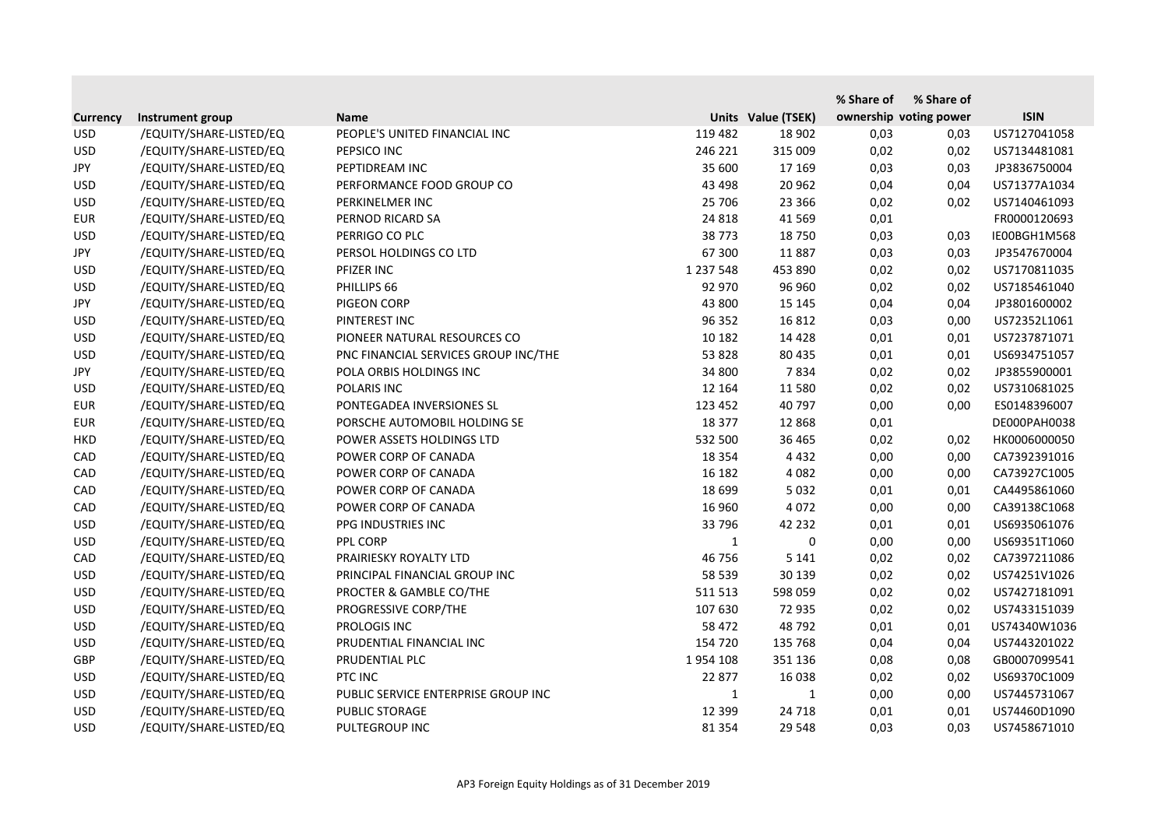|                 |                         |                                      |               |                    | % Share of | % Share of             |              |
|-----------------|-------------------------|--------------------------------------|---------------|--------------------|------------|------------------------|--------------|
| <b>Currency</b> | Instrument group        | <b>Name</b>                          |               | Units Value (TSEK) |            | ownership voting power | <b>ISIN</b>  |
| <b>USD</b>      | /EQUITY/SHARE-LISTED/EQ | PEOPLE'S UNITED FINANCIAL INC        | 119 482       | 18 902             | 0,03       | 0,03                   | US7127041058 |
| <b>USD</b>      | /EQUITY/SHARE-LISTED/EQ | PEPSICO INC                          | 246 221       | 315 009            | 0,02       | 0,02                   | US7134481081 |
| JPY             | /EQUITY/SHARE-LISTED/EQ | PEPTIDREAM INC                       | 35 600        | 17 169             | 0,03       | 0,03                   | JP3836750004 |
| <b>USD</b>      | /EQUITY/SHARE-LISTED/EQ | PERFORMANCE FOOD GROUP CO            | 43 4 98       | 20 962             | 0,04       | 0,04                   | US71377A1034 |
| <b>USD</b>      | /EQUITY/SHARE-LISTED/EQ | PERKINELMER INC                      | 25 706        | 23 3 66            | 0,02       | 0,02                   | US7140461093 |
| <b>EUR</b>      | /EQUITY/SHARE-LISTED/EQ | PERNOD RICARD SA                     | 24 8 18       | 41 5 69            | 0,01       |                        | FR0000120693 |
| <b>USD</b>      | /EQUITY/SHARE-LISTED/EQ | PERRIGO CO PLC                       | 38773         | 18 750             | 0,03       | 0,03                   | IE00BGH1M568 |
| JPY             | /EQUITY/SHARE-LISTED/EQ | PERSOL HOLDINGS CO LTD               | 67 300        | 11887              | 0,03       | 0,03                   | JP3547670004 |
| <b>USD</b>      | /EQUITY/SHARE-LISTED/EQ | PFIZER INC                           | 1 2 3 7 5 4 8 | 453 890            | 0,02       | 0,02                   | US7170811035 |
| <b>USD</b>      | /EQUITY/SHARE-LISTED/EQ | PHILLIPS 66                          | 92 970        | 96 960             | 0,02       | 0,02                   | US7185461040 |
| JPY             | /EQUITY/SHARE-LISTED/EQ | PIGEON CORP                          | 43 800        | 15 145             | 0,04       | 0,04                   | JP3801600002 |
| <b>USD</b>      | /EQUITY/SHARE-LISTED/EQ | PINTEREST INC                        | 96 352        | 16 812             | 0,03       | 0,00                   | US72352L1061 |
| <b>USD</b>      | /EQUITY/SHARE-LISTED/EQ | PIONEER NATURAL RESOURCES CO         | 10 182        | 14 4 28            | 0,01       | 0,01                   | US7237871071 |
| <b>USD</b>      | /EQUITY/SHARE-LISTED/EQ | PNC FINANCIAL SERVICES GROUP INC/THE | 53 828        | 80 435             | 0,01       | 0,01                   | US6934751057 |
| JPY             | /EQUITY/SHARE-LISTED/EQ | POLA ORBIS HOLDINGS INC              | 34 800        | 7834               | 0,02       | 0,02                   | JP3855900001 |
| <b>USD</b>      | /EQUITY/SHARE-LISTED/EQ | POLARIS INC                          | 12 164        | 11 580             | 0,02       | 0,02                   | US7310681025 |
| <b>EUR</b>      | /EQUITY/SHARE-LISTED/EQ | PONTEGADEA INVERSIONES SL            | 123 452       | 40 797             | 0,00       | 0,00                   | ES0148396007 |
| <b>EUR</b>      | /EQUITY/SHARE-LISTED/EQ | PORSCHE AUTOMOBIL HOLDING SE         | 18 377        | 12 8 68            | 0,01       |                        | DE000PAH0038 |
| <b>HKD</b>      | /EQUITY/SHARE-LISTED/EQ | POWER ASSETS HOLDINGS LTD            | 532 500       | 36 465             | 0,02       | 0,02                   | HK0006000050 |
| CAD             | /EQUITY/SHARE-LISTED/EQ | POWER CORP OF CANADA                 | 18 3 5 4      | 4 4 3 2            | 0,00       | 0,00                   | CA7392391016 |
| CAD             | /EQUITY/SHARE-LISTED/EQ | POWER CORP OF CANADA                 | 16 182        | 4 0 8 2            | 0,00       | 0,00                   | CA73927C1005 |
| CAD             | /EQUITY/SHARE-LISTED/EQ | POWER CORP OF CANADA                 | 18 699        | 5 0 3 2            | 0,01       | 0,01                   | CA4495861060 |
| CAD             | /EQUITY/SHARE-LISTED/EQ | POWER CORP OF CANADA                 | 16 960        | 4 0 7 2            | 0,00       | 0,00                   | CA39138C1068 |
| <b>USD</b>      | /EQUITY/SHARE-LISTED/EQ | PPG INDUSTRIES INC                   | 33 796        | 42 2 32            | 0,01       | 0,01                   | US6935061076 |
| <b>USD</b>      | /EQUITY/SHARE-LISTED/EQ | PPL CORP                             | $\mathbf{1}$  | 0                  | 0,00       | 0,00                   | US69351T1060 |
| CAD             | /EQUITY/SHARE-LISTED/EQ | PRAIRIESKY ROYALTY LTD               | 46 756        | 5 1 4 1            | 0,02       | 0,02                   | CA7397211086 |
| <b>USD</b>      | /EQUITY/SHARE-LISTED/EQ | PRINCIPAL FINANCIAL GROUP INC        | 58 539        | 30 139             | 0,02       | 0,02                   | US74251V1026 |
| <b>USD</b>      | /EQUITY/SHARE-LISTED/EQ | PROCTER & GAMBLE CO/THE              | 511 513       | 598 059            | 0,02       | 0,02                   | US7427181091 |
| <b>USD</b>      | /EQUITY/SHARE-LISTED/EQ | PROGRESSIVE CORP/THE                 | 107 630       | 72 935             | 0,02       | 0,02                   | US7433151039 |
| <b>USD</b>      | /EQUITY/SHARE-LISTED/EQ | PROLOGIS INC                         | 58 472        | 48792              | 0,01       | 0,01                   | US74340W1036 |
| <b>USD</b>      | /EQUITY/SHARE-LISTED/EQ | PRUDENTIAL FINANCIAL INC             | 154 720       | 135 768            | 0,04       | 0,04                   | US7443201022 |
| <b>GBP</b>      | /EQUITY/SHARE-LISTED/EQ | PRUDENTIAL PLC                       | 1954 108      | 351 136            | 0,08       | 0,08                   | GB0007099541 |
| <b>USD</b>      | /EQUITY/SHARE-LISTED/EQ | PTC INC                              | 22 877        | 16 038             | 0,02       | 0,02                   | US69370C1009 |
| <b>USD</b>      | /EQUITY/SHARE-LISTED/EQ | PUBLIC SERVICE ENTERPRISE GROUP INC  | $\mathbf{1}$  | 1                  | 0,00       | 0,00                   | US7445731067 |
| <b>USD</b>      | /EQUITY/SHARE-LISTED/EQ | PUBLIC STORAGE                       | 12 3 9 9      | 24 7 18            | 0,01       | 0,01                   | US74460D1090 |
| <b>USD</b>      | /EQUITY/SHARE-LISTED/EQ | PULTEGROUP INC                       | 81 3 54       | 29 548             | 0,03       | 0,03                   | US7458671010 |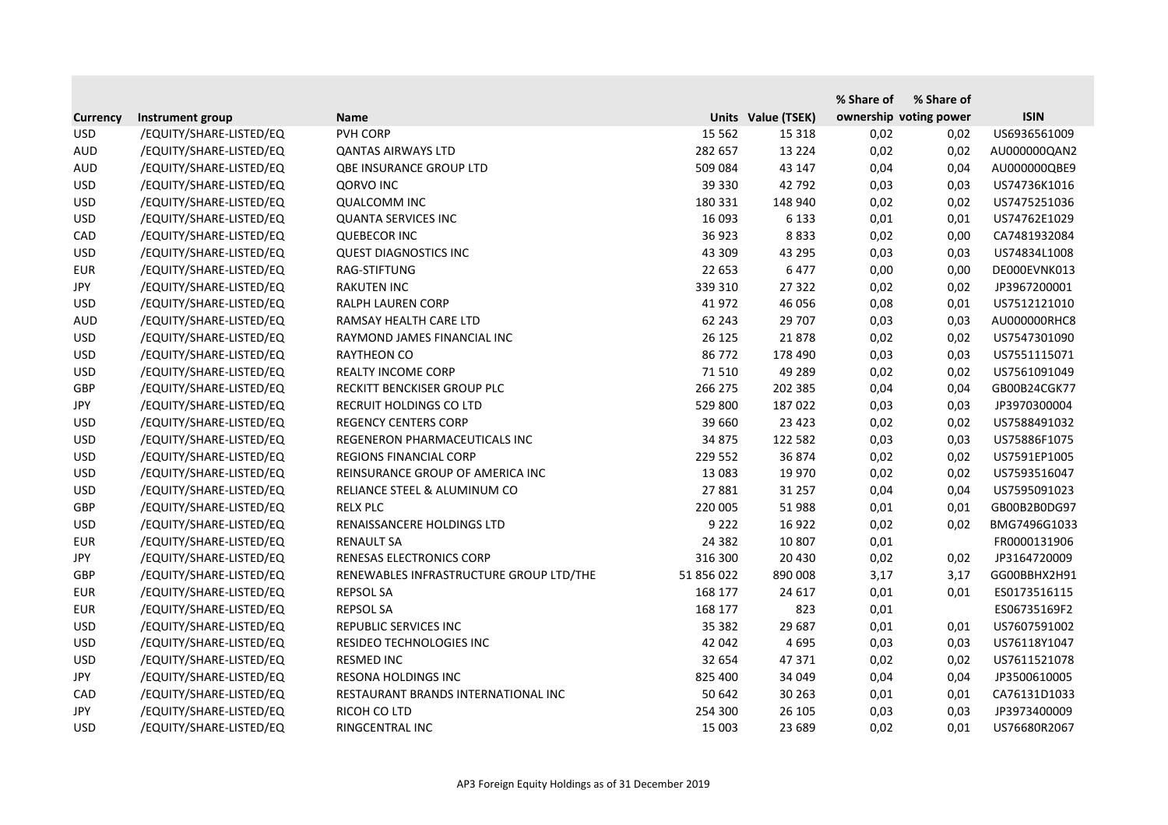|                 |                         |                                         |            |                    | % Share of | % Share of             |              |
|-----------------|-------------------------|-----------------------------------------|------------|--------------------|------------|------------------------|--------------|
| <b>Currency</b> | Instrument group        | <b>Name</b>                             |            | Units Value (TSEK) |            | ownership voting power | <b>ISIN</b>  |
| <b>USD</b>      | /EQUITY/SHARE-LISTED/EQ | PVH CORP                                | 15 5 62    | 15 3 18            | 0,02       | 0,02                   | US6936561009 |
| <b>AUD</b>      | /EQUITY/SHARE-LISTED/EQ | <b>QANTAS AIRWAYS LTD</b>               | 282 657    | 13 2 2 4           | 0,02       | 0,02                   | AU000000QAN2 |
| <b>AUD</b>      | /EQUITY/SHARE-LISTED/EQ | <b>QBE INSURANCE GROUP LTD</b>          | 509 084    | 43 147             | 0,04       | 0,04                   | AU000000QBE9 |
| <b>USD</b>      | /EQUITY/SHARE-LISTED/EQ | <b>QORVO INC</b>                        | 39 330     | 42 792             | 0,03       | 0,03                   | US74736K1016 |
| <b>USD</b>      | /EQUITY/SHARE-LISTED/EQ | <b>QUALCOMM INC</b>                     | 180 331    | 148 940            | 0,02       | 0,02                   | US7475251036 |
| <b>USD</b>      | /EQUITY/SHARE-LISTED/EQ | <b>QUANTA SERVICES INC</b>              | 16 093     | 6 1 3 3            | 0,01       | 0,01                   | US74762E1029 |
| CAD             | /EQUITY/SHARE-LISTED/EQ | <b>QUEBECOR INC</b>                     | 36 923     | 8833               | 0,02       | 0,00                   | CA7481932084 |
| <b>USD</b>      | /EQUITY/SHARE-LISTED/EQ | <b>QUEST DIAGNOSTICS INC</b>            | 43 309     | 43 295             | 0,03       | 0,03                   | US74834L1008 |
| <b>EUR</b>      | /EQUITY/SHARE-LISTED/EQ | RAG-STIFTUNG                            | 22 653     | 6477               | 0,00       | 0,00                   | DE000EVNK013 |
| JPY             | /EQUITY/SHARE-LISTED/EQ | <b>RAKUTEN INC</b>                      | 339 310    | 27 322             | 0,02       | 0,02                   | JP3967200001 |
| <b>USD</b>      | /EQUITY/SHARE-LISTED/EQ | <b>RALPH LAUREN CORP</b>                | 41 972     | 46 056             | 0,08       | 0,01                   | US7512121010 |
| <b>AUD</b>      | /EQUITY/SHARE-LISTED/EQ | RAMSAY HEALTH CARE LTD                  | 62 243     | 29 707             | 0,03       | 0,03                   | AU000000RHC8 |
| <b>USD</b>      | /EQUITY/SHARE-LISTED/EQ | RAYMOND JAMES FINANCIAL INC             | 26 125     | 21878              | 0,02       | 0,02                   | US7547301090 |
| <b>USD</b>      | /EQUITY/SHARE-LISTED/EQ | <b>RAYTHEON CO</b>                      | 86 772     | 178 490            | 0,03       | 0,03                   | US7551115071 |
| <b>USD</b>      | /EQUITY/SHARE-LISTED/EQ | <b>REALTY INCOME CORP</b>               | 71510      | 49 289             | 0,02       | 0,02                   | US7561091049 |
| GBP             | /EQUITY/SHARE-LISTED/EQ | RECKITT BENCKISER GROUP PLC             | 266 275    | 202 385            | 0,04       | 0,04                   | GB00B24CGK77 |
| <b>JPY</b>      | /EQUITY/SHARE-LISTED/EQ | RECRUIT HOLDINGS CO LTD                 | 529 800    | 187 022            | 0,03       | 0,03                   | JP3970300004 |
| <b>USD</b>      | /EQUITY/SHARE-LISTED/EQ | <b>REGENCY CENTERS CORP</b>             | 39 660     | 23 4 23            | 0,02       | 0,02                   | US7588491032 |
| <b>USD</b>      | /EQUITY/SHARE-LISTED/EQ | REGENERON PHARMACEUTICALS INC           | 34 875     | 122 582            | 0,03       | 0,03                   | US75886F1075 |
| <b>USD</b>      | /EQUITY/SHARE-LISTED/EQ | <b>REGIONS FINANCIAL CORP</b>           | 229 552    | 36 874             | 0,02       | 0,02                   | US7591EP1005 |
| <b>USD</b>      | /EQUITY/SHARE-LISTED/EQ | REINSURANCE GROUP OF AMERICA INC        | 13 083     | 19 970             | 0,02       | 0,02                   | US7593516047 |
| <b>USD</b>      | /EQUITY/SHARE-LISTED/EQ | RELIANCE STEEL & ALUMINUM CO            | 27881      | 31 257             | 0,04       | 0,04                   | US7595091023 |
| <b>GBP</b>      | /EQUITY/SHARE-LISTED/EQ | <b>RELX PLC</b>                         | 220 005    | 51 988             | 0,01       | 0,01                   | GB00B2B0DG97 |
| <b>USD</b>      | /EQUITY/SHARE-LISTED/EQ | RENAISSANCERE HOLDINGS LTD              | 9 2 2 2    | 16 9 22            | 0,02       | 0,02                   | BMG7496G1033 |
| <b>EUR</b>      | /EQUITY/SHARE-LISTED/EQ | <b>RENAULT SA</b>                       | 24 3 8 2   | 10 807             | 0,01       |                        | FR0000131906 |
| JPY             | /EQUITY/SHARE-LISTED/EQ | RENESAS ELECTRONICS CORP                | 316 300    | 20 4 30            | 0,02       | 0,02                   | JP3164720009 |
| GBP             | /EQUITY/SHARE-LISTED/EQ | RENEWABLES INFRASTRUCTURE GROUP LTD/THE | 51 856 022 | 890 008            | 3,17       | 3,17                   | GG00BBHX2H91 |
| <b>EUR</b>      | /EQUITY/SHARE-LISTED/EQ | <b>REPSOL SA</b>                        | 168 177    | 24 617             | 0,01       | 0,01                   | ES0173516115 |
| <b>EUR</b>      | /EQUITY/SHARE-LISTED/EQ | <b>REPSOL SA</b>                        | 168 177    | 823                | 0,01       |                        | ES06735169F2 |
| <b>USD</b>      | /EQUITY/SHARE-LISTED/EQ | REPUBLIC SERVICES INC                   | 35 382     | 29 687             | 0,01       | 0,01                   | US7607591002 |
| <b>USD</b>      | /EQUITY/SHARE-LISTED/EQ | RESIDEO TECHNOLOGIES INC                | 42 042     | 4 6 9 5            | 0,03       | 0,03                   | US76118Y1047 |
| <b>USD</b>      | /EQUITY/SHARE-LISTED/EQ | <b>RESMED INC</b>                       | 32 654     | 47 371             | 0,02       | 0,02                   | US7611521078 |
| JPY             | /EQUITY/SHARE-LISTED/EQ | RESONA HOLDINGS INC                     | 825 400    | 34 049             | 0,04       | 0,04                   | JP3500610005 |
| CAD             | /EQUITY/SHARE-LISTED/EQ | RESTAURANT BRANDS INTERNATIONAL INC     | 50 642     | 30 263             | 0,01       | 0,01                   | CA76131D1033 |
| JPY             | /EQUITY/SHARE-LISTED/EQ | RICOH CO LTD                            | 254 300    | 26 105             | 0,03       | 0,03                   | JP3973400009 |
| <b>USD</b>      | /EQUITY/SHARE-LISTED/EQ | RINGCENTRAL INC                         | 15 003     | 23 689             | 0,02       | 0,01                   | US76680R2067 |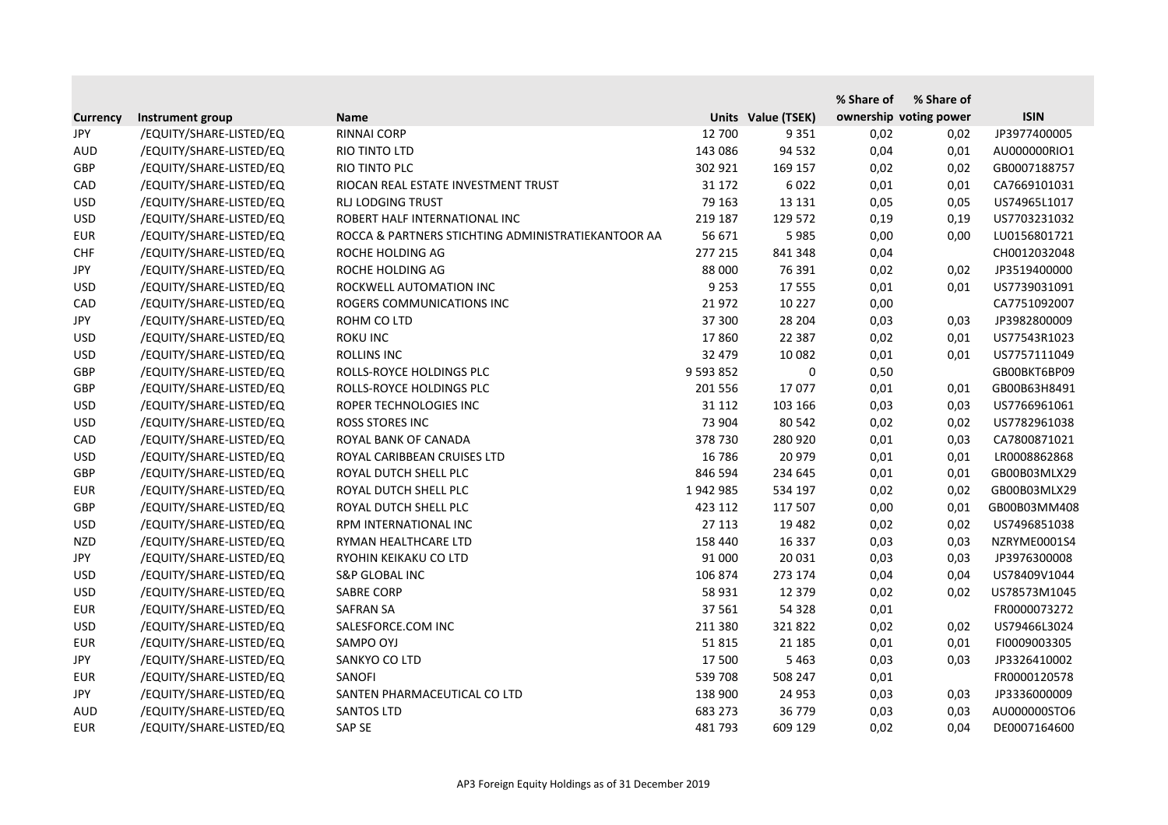|                 |                         |                                                    |               |                    | % Share of | % Share of             |              |
|-----------------|-------------------------|----------------------------------------------------|---------------|--------------------|------------|------------------------|--------------|
| <b>Currency</b> | Instrument group        | <b>Name</b>                                        |               | Units Value (TSEK) |            | ownership voting power | <b>ISIN</b>  |
| JPY             | /EQUITY/SHARE-LISTED/EQ | <b>RINNAI CORP</b>                                 | 12 700        | 9 3 5 1            | 0,02       | 0,02                   | JP3977400005 |
| <b>AUD</b>      | /EQUITY/SHARE-LISTED/EQ | RIO TINTO LTD                                      | 143 086       | 94 532             | 0,04       | 0,01                   | AU000000RIO1 |
| GBP             | /EQUITY/SHARE-LISTED/EQ | RIO TINTO PLC                                      | 302 921       | 169 157            | 0,02       | 0,02                   | GB0007188757 |
| CAD             | /EQUITY/SHARE-LISTED/EQ | RIOCAN REAL ESTATE INVESTMENT TRUST                | 31 172        | 6022               | 0,01       | 0,01                   | CA7669101031 |
| <b>USD</b>      | /EQUITY/SHARE-LISTED/EQ | <b>RLJ LODGING TRUST</b>                           | 79 163        | 13 13 1            | 0,05       | 0,05                   | US74965L1017 |
| <b>USD</b>      | /EQUITY/SHARE-LISTED/EQ | ROBERT HALF INTERNATIONAL INC                      | 219 187       | 129 572            | 0,19       | 0,19                   | US7703231032 |
| <b>EUR</b>      | /EQUITY/SHARE-LISTED/EQ | ROCCA & PARTNERS STICHTING ADMINISTRATIEKANTOOR AA | 56 671        | 5985               | 0,00       | 0,00                   | LU0156801721 |
| <b>CHF</b>      | /EQUITY/SHARE-LISTED/EQ | ROCHE HOLDING AG                                   | 277 215       | 841 348            | 0,04       |                        | CH0012032048 |
| JPY             | /EQUITY/SHARE-LISTED/EQ | ROCHE HOLDING AG                                   | 88 000        | 76 391             | 0,02       | 0,02                   | JP3519400000 |
| <b>USD</b>      | /EQUITY/SHARE-LISTED/EQ | ROCKWELL AUTOMATION INC                            | 9 2 5 3       | 17 555             | 0,01       | 0,01                   | US7739031091 |
| CAD             | /EQUITY/SHARE-LISTED/EQ | ROGERS COMMUNICATIONS INC                          | 21 972        | 10 227             | 0,00       |                        | CA7751092007 |
| JPY             | /EQUITY/SHARE-LISTED/EQ | ROHM CO LTD                                        | 37 300        | 28 204             | 0,03       | 0,03                   | JP3982800009 |
| <b>USD</b>      | /EQUITY/SHARE-LISTED/EQ | <b>ROKU INC</b>                                    | 17860         | 22 3 8 7           | 0,02       | 0,01                   | US77543R1023 |
| <b>USD</b>      | /EQUITY/SHARE-LISTED/EQ | <b>ROLLINS INC</b>                                 | 32 479        | 10 082             | 0,01       | 0,01                   | US7757111049 |
| GBP             | /EQUITY/SHARE-LISTED/EQ | ROLLS-ROYCE HOLDINGS PLC                           | 9 5 9 3 8 5 2 | 0                  | 0,50       |                        | GB00BKT6BP09 |
| <b>GBP</b>      | /EQUITY/SHARE-LISTED/EQ | ROLLS-ROYCE HOLDINGS PLC                           | 201 556       | 17077              | 0,01       | 0,01                   | GB00B63H8491 |
| <b>USD</b>      | /EQUITY/SHARE-LISTED/EQ | ROPER TECHNOLOGIES INC                             | 31 112        | 103 166            | 0,03       | 0,03                   | US7766961061 |
| <b>USD</b>      | /EQUITY/SHARE-LISTED/EQ | ROSS STORES INC                                    | 73 904        | 80 542             | 0,02       | 0,02                   | US7782961038 |
| CAD             | /EQUITY/SHARE-LISTED/EQ | ROYAL BANK OF CANADA                               | 378 730       | 280 920            | 0,01       | 0,03                   | CA7800871021 |
| <b>USD</b>      | /EQUITY/SHARE-LISTED/EQ | ROYAL CARIBBEAN CRUISES LTD                        | 16 786        | 20 979             | 0,01       | 0,01                   | LR0008862868 |
| <b>GBP</b>      | /EQUITY/SHARE-LISTED/EQ | ROYAL DUTCH SHELL PLC                              | 846 594       | 234 645            | 0,01       | 0,01                   | GB00B03MLX29 |
| <b>EUR</b>      | /EQUITY/SHARE-LISTED/EQ | ROYAL DUTCH SHELL PLC                              | 1942985       | 534 197            | 0,02       | 0,02                   | GB00B03MLX29 |
| <b>GBP</b>      | /EQUITY/SHARE-LISTED/EQ | ROYAL DUTCH SHELL PLC                              | 423 112       | 117 507            | 0,00       | 0,01                   | GB00B03MM408 |
| <b>USD</b>      | /EQUITY/SHARE-LISTED/EQ | RPM INTERNATIONAL INC                              | 27 113        | 19 4 82            | 0,02       | 0,02                   | US7496851038 |
| <b>NZD</b>      | /EQUITY/SHARE-LISTED/EQ | RYMAN HEALTHCARE LTD                               | 158 440       | 16 3 37            | 0,03       | 0,03                   | NZRYME0001S4 |
| JPY             | /EQUITY/SHARE-LISTED/EQ | RYOHIN KEIKAKU CO LTD                              | 91 000        | 20 031             | 0,03       | 0,03                   | JP3976300008 |
| <b>USD</b>      | /EQUITY/SHARE-LISTED/EQ | <b>S&amp;P GLOBAL INC</b>                          | 106 874       | 273 174            | 0,04       | 0,04                   | US78409V1044 |
| <b>USD</b>      | /EQUITY/SHARE-LISTED/EQ | <b>SABRE CORP</b>                                  | 58 931        | 12 379             | 0,02       | 0,02                   | US78573M1045 |
| <b>EUR</b>      | /EQUITY/SHARE-LISTED/EQ | <b>SAFRAN SA</b>                                   | 37 561        | 54 328             | 0,01       |                        | FR0000073272 |
| <b>USD</b>      | /EQUITY/SHARE-LISTED/EQ | SALESFORCE.COM INC                                 | 211 380       | 321822             | 0,02       | 0,02                   | US79466L3024 |
| <b>EUR</b>      | /EQUITY/SHARE-LISTED/EQ | SAMPO OYJ                                          | 51 815        | 21 185             | 0,01       | 0,01                   | FI0009003305 |
| JPY             | /EQUITY/SHARE-LISTED/EQ | SANKYO CO LTD                                      | 17 500        | 5 4 6 3            | 0,03       | 0,03                   | JP3326410002 |
| <b>EUR</b>      | /EQUITY/SHARE-LISTED/EQ | SANOFI                                             | 539 708       | 508 247            | 0,01       |                        | FR0000120578 |
| JPY             | /EQUITY/SHARE-LISTED/EQ | SANTEN PHARMACEUTICAL CO LTD                       | 138 900       | 24 9 53            | 0,03       | 0,03                   | JP3336000009 |
| AUD             | /EQUITY/SHARE-LISTED/EQ | <b>SANTOS LTD</b>                                  | 683 273       | 36 779             | 0,03       | 0,03                   | AU000000STO6 |
| <b>EUR</b>      | /EQUITY/SHARE-LISTED/EQ | SAP SE                                             | 481793        | 609 129            | 0,02       | 0,04                   | DE0007164600 |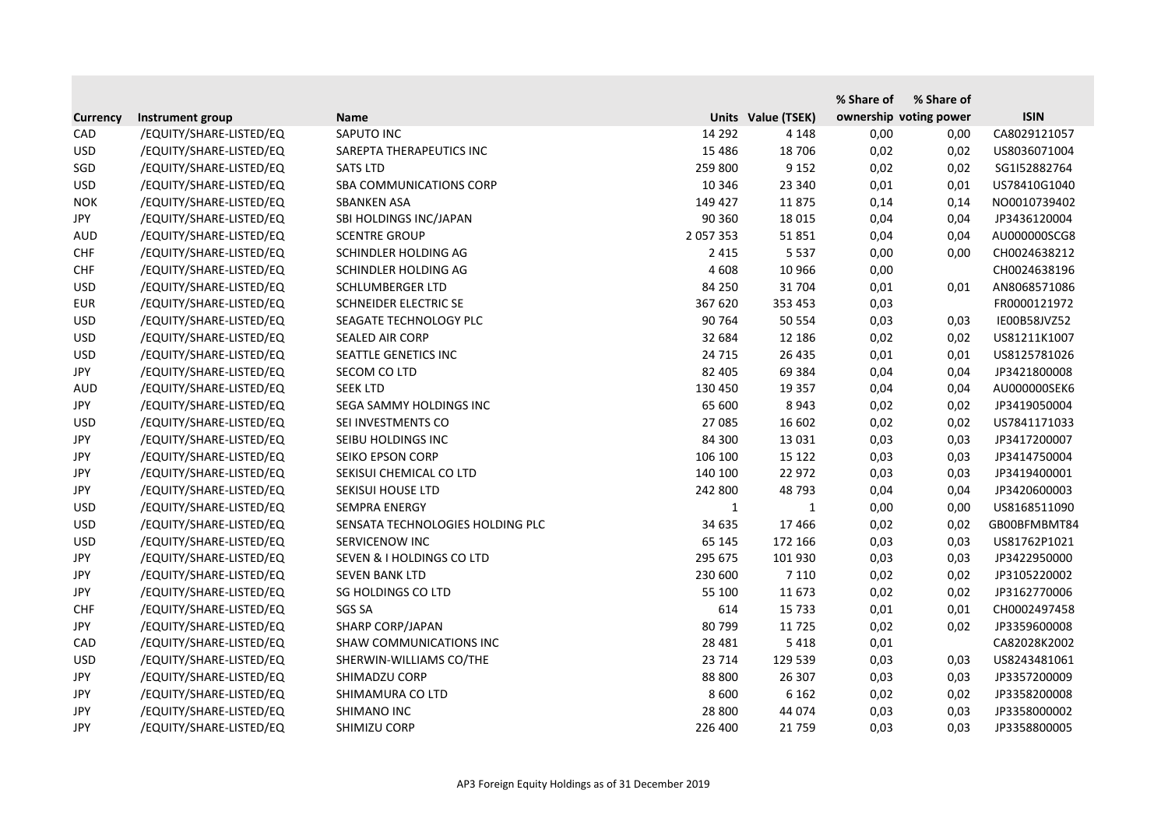|                 |                         |                                  |               |                    | % Share of             | % Share of |              |
|-----------------|-------------------------|----------------------------------|---------------|--------------------|------------------------|------------|--------------|
| <b>Currency</b> | Instrument group        | <b>Name</b>                      |               | Units Value (TSEK) | ownership voting power |            | <b>ISIN</b>  |
| CAD             | /EQUITY/SHARE-LISTED/EQ | SAPUTO INC                       | 14 292        | 4 1 4 8            | 0,00                   | 0,00       | CA8029121057 |
| <b>USD</b>      | /EQUITY/SHARE-LISTED/EQ | SAREPTA THERAPEUTICS INC         | 15 4 8 6      | 18 706             | 0,02                   | 0,02       | US8036071004 |
| SGD             | /EQUITY/SHARE-LISTED/EQ | <b>SATS LTD</b>                  | 259 800       | 9 1 5 2            | 0,02                   | 0,02       | SG1I52882764 |
| <b>USD</b>      | /EQUITY/SHARE-LISTED/EQ | <b>SBA COMMUNICATIONS CORP</b>   | 10 346        | 23 340             | 0,01                   | 0,01       | US78410G1040 |
| <b>NOK</b>      | /EQUITY/SHARE-LISTED/EQ | <b>SBANKEN ASA</b>               | 149 427       | 11875              | 0,14                   | 0,14       | NO0010739402 |
| JPY             | /EQUITY/SHARE-LISTED/EQ | SBI HOLDINGS INC/JAPAN           | 90 360        | 18 0 15            | 0,04                   | 0,04       | JP3436120004 |
| <b>AUD</b>      | /EQUITY/SHARE-LISTED/EQ | <b>SCENTRE GROUP</b>             | 2 0 5 7 3 5 3 | 51851              | 0,04                   | 0,04       | AU000000SCG8 |
| <b>CHF</b>      | /EQUITY/SHARE-LISTED/EQ | SCHINDLER HOLDING AG             | 2 4 1 5       | 5 5 3 7            | 0,00                   | 0,00       | CH0024638212 |
| <b>CHF</b>      | /EQUITY/SHARE-LISTED/EQ | SCHINDLER HOLDING AG             | 4 6 0 8       | 10 966             | 0,00                   |            | CH0024638196 |
| <b>USD</b>      | /EQUITY/SHARE-LISTED/EQ | SCHLUMBERGER LTD                 | 84 250        | 31 704             | 0,01                   | 0,01       | AN8068571086 |
| <b>EUR</b>      | /EQUITY/SHARE-LISTED/EQ | <b>SCHNEIDER ELECTRIC SE</b>     | 367 620       | 353 453            | 0,03                   |            | FR0000121972 |
| <b>USD</b>      | /EQUITY/SHARE-LISTED/EQ | SEAGATE TECHNOLOGY PLC           | 90 764        | 50 554             | 0,03                   | 0,03       | IE00B58JVZ52 |
| <b>USD</b>      | /EQUITY/SHARE-LISTED/EQ | <b>SEALED AIR CORP</b>           | 32 684        | 12 18 6            | 0,02                   | 0,02       | US81211K1007 |
| <b>USD</b>      | /EQUITY/SHARE-LISTED/EQ | SEATTLE GENETICS INC             | 24 7 15       | 26 4 35            | 0,01                   | 0,01       | US8125781026 |
| JPY             | /EQUITY/SHARE-LISTED/EQ | SECOM CO LTD                     | 82 405        | 69 3 84            | 0,04                   | 0,04       | JP3421800008 |
| <b>AUD</b>      | /EQUITY/SHARE-LISTED/EQ | <b>SEEK LTD</b>                  | 130 450       | 19 3 5 7           | 0,04                   | 0,04       | AU000000SEK6 |
| <b>JPY</b>      | /EQUITY/SHARE-LISTED/EQ | SEGA SAMMY HOLDINGS INC          | 65 600        | 8943               | 0,02                   | 0,02       | JP3419050004 |
| <b>USD</b>      | /EQUITY/SHARE-LISTED/EQ | SEI INVESTMENTS CO               | 27 085        | 16 602             | 0,02                   | 0,02       | US7841171033 |
| <b>JPY</b>      | /EQUITY/SHARE-LISTED/EQ | SEIBU HOLDINGS INC               | 84 300        | 13 0 31            | 0,03                   | 0,03       | JP3417200007 |
| JPY             | /EQUITY/SHARE-LISTED/EQ | SEIKO EPSON CORP                 | 106 100       | 15 122             | 0,03                   | 0,03       | JP3414750004 |
| <b>JPY</b>      | /EQUITY/SHARE-LISTED/EQ | SEKISUI CHEMICAL CO LTD          | 140 100       | 22 972             | 0,03                   | 0,03       | JP3419400001 |
| <b>JPY</b>      | /EQUITY/SHARE-LISTED/EQ | <b>SEKISUI HOUSE LTD</b>         | 242 800       | 48 793             | 0,04                   | 0,04       | JP3420600003 |
| <b>USD</b>      | /EQUITY/SHARE-LISTED/EQ | <b>SEMPRA ENERGY</b>             | 1             | 1                  | 0,00                   | 0,00       | US8168511090 |
| <b>USD</b>      | /EQUITY/SHARE-LISTED/EQ | SENSATA TECHNOLOGIES HOLDING PLC | 34 635        | 17466              | 0,02                   | 0,02       | GB00BFMBMT84 |
| <b>USD</b>      | /EQUITY/SHARE-LISTED/EQ | SERVICENOW INC                   | 65 145        | 172 166            | 0,03                   | 0,03       | US81762P1021 |
| JPY             | /EQUITY/SHARE-LISTED/EQ | SEVEN & I HOLDINGS CO LTD        | 295 675       | 101 930            | 0,03                   | 0,03       | JP3422950000 |
| <b>JPY</b>      | /EQUITY/SHARE-LISTED/EQ | <b>SEVEN BANK LTD</b>            | 230 600       | 7 1 1 0            | 0,02                   | 0,02       | JP3105220002 |
| <b>JPY</b>      | /EQUITY/SHARE-LISTED/EQ | SG HOLDINGS CO LTD               | 55 100        | 11 673             | 0,02                   | 0,02       | JP3162770006 |
| <b>CHF</b>      | /EQUITY/SHARE-LISTED/EQ | <b>SGS SA</b>                    | 614           | 15 7 33            | 0,01                   | 0,01       | CH0002497458 |
| <b>JPY</b>      | /EQUITY/SHARE-LISTED/EQ | <b>SHARP CORP/JAPAN</b>          | 80 799        | 11 7 25            | 0,02                   | 0,02       | JP3359600008 |
| CAD             | /EQUITY/SHARE-LISTED/EQ | SHAW COMMUNICATIONS INC          | 28 4 8 1      | 5418               | 0,01                   |            | CA82028K2002 |
| <b>USD</b>      | /EQUITY/SHARE-LISTED/EQ | SHERWIN-WILLIAMS CO/THE          | 23 714        | 129 539            | 0,03                   | 0,03       | US8243481061 |
| JPY             | /EQUITY/SHARE-LISTED/EQ | SHIMADZU CORP                    | 88 800        | 26 307             | 0,03                   | 0,03       | JP3357200009 |
| JPY             | /EQUITY/SHARE-LISTED/EQ | SHIMAMURA CO LTD                 | 8 6 0 0       | 6 1 6 2            | 0,02                   | 0,02       | JP3358200008 |
| JPY             | /EQUITY/SHARE-LISTED/EQ | SHIMANO INC                      | 28 800        | 44 074             | 0,03                   | 0,03       | JP3358000002 |
| JPY             | /EQUITY/SHARE-LISTED/EQ | SHIMIZU CORP                     | 226 400       | 21 7 5 9           | 0,03                   | 0,03       | JP3358800005 |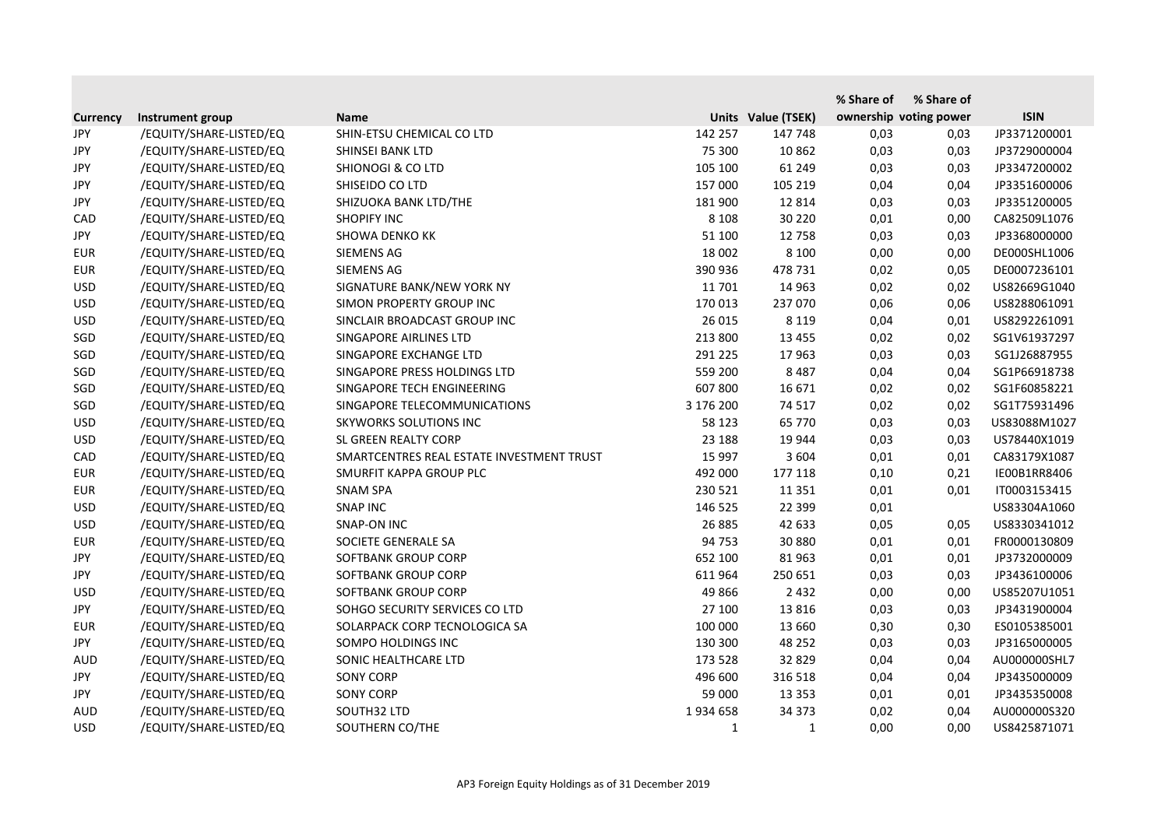|                 |                         |                                           |              |                    | % Share of             | % Share of |              |
|-----------------|-------------------------|-------------------------------------------|--------------|--------------------|------------------------|------------|--------------|
| <b>Currency</b> | Instrument group        | <b>Name</b>                               |              | Units Value (TSEK) | ownership voting power |            | <b>ISIN</b>  |
| JPY             | /EQUITY/SHARE-LISTED/EQ | SHIN-ETSU CHEMICAL CO LTD                 | 142 257      | 147 748            | 0,03                   | 0,03       | JP3371200001 |
| <b>JPY</b>      | /EQUITY/SHARE-LISTED/EQ | SHINSEI BANK LTD                          | 75 300       | 10 862             | 0,03                   | 0,03       | JP3729000004 |
| JPY             | /EQUITY/SHARE-LISTED/EQ | <b>SHIONOGI &amp; CO LTD</b>              | 105 100      | 61 249             | 0,03                   | 0,03       | JP3347200002 |
| <b>JPY</b>      | /EQUITY/SHARE-LISTED/EQ | SHISEIDO CO LTD                           | 157 000      | 105 219            | 0,04                   | 0,04       | JP3351600006 |
| JPY             | /EQUITY/SHARE-LISTED/EQ | SHIZUOKA BANK LTD/THE                     | 181 900      | 12 8 14            | 0,03                   | 0,03       | JP3351200005 |
| CAD             | /EQUITY/SHARE-LISTED/EQ | <b>SHOPIFY INC</b>                        | 8 1 0 8      | 30 2 20            | 0,01                   | 0,00       | CA82509L1076 |
| JPY             | /EQUITY/SHARE-LISTED/EQ | <b>SHOWA DENKO KK</b>                     | 51 100       | 12 758             | 0,03                   | 0,03       | JP3368000000 |
| <b>EUR</b>      | /EQUITY/SHARE-LISTED/EQ | SIEMENS AG                                | 18 002       | 8 1 0 0            | 0,00                   | 0,00       | DE000SHL1006 |
| <b>EUR</b>      | /EQUITY/SHARE-LISTED/EQ | SIEMENS AG                                | 390 936      | 478 731            | 0,02                   | 0,05       | DE0007236101 |
| <b>USD</b>      | /EQUITY/SHARE-LISTED/EQ | SIGNATURE BANK/NEW YORK NY                | 11 701       | 14 9 63            | 0,02                   | 0,02       | US82669G1040 |
| <b>USD</b>      | /EQUITY/SHARE-LISTED/EQ | SIMON PROPERTY GROUP INC                  | 170 013      | 237 070            | 0,06                   | 0,06       | US8288061091 |
| <b>USD</b>      | /EQUITY/SHARE-LISTED/EQ | SINCLAIR BROADCAST GROUP INC              | 26 015       | 8 1 1 9            | 0,04                   | 0,01       | US8292261091 |
| SGD             | /EQUITY/SHARE-LISTED/EQ | SINGAPORE AIRLINES LTD                    | 213 800      | 13 4 55            | 0,02                   | 0,02       | SG1V61937297 |
| SGD             | /EQUITY/SHARE-LISTED/EQ | SINGAPORE EXCHANGE LTD                    | 291 225      | 17 963             | 0,03                   | 0,03       | SG1J26887955 |
| SGD             | /EQUITY/SHARE-LISTED/EQ | SINGAPORE PRESS HOLDINGS LTD              | 559 200      | 8 4 8 7            | 0,04                   | 0,04       | SG1P66918738 |
| SGD             | /EQUITY/SHARE-LISTED/EQ | SINGAPORE TECH ENGINEERING                | 607 800      | 16 671             | 0,02                   | 0,02       | SG1F60858221 |
| SGD             | /EQUITY/SHARE-LISTED/EQ | SINGAPORE TELECOMMUNICATIONS              | 3 176 200    | 74 517             | 0,02                   | 0,02       | SG1T75931496 |
| <b>USD</b>      | /EQUITY/SHARE-LISTED/EQ | <b>SKYWORKS SOLUTIONS INC</b>             | 58 123       | 65 770             | 0,03                   | 0,03       | US83088M1027 |
| <b>USD</b>      | /EQUITY/SHARE-LISTED/EQ | SL GREEN REALTY CORP                      | 23 188       | 19 944             | 0,03                   | 0,03       | US78440X1019 |
| CAD             | /EQUITY/SHARE-LISTED/EQ | SMARTCENTRES REAL ESTATE INVESTMENT TRUST | 15 997       | 3 6 0 4            | 0,01                   | 0,01       | CA83179X1087 |
| <b>EUR</b>      | /EQUITY/SHARE-LISTED/EQ | SMURFIT KAPPA GROUP PLC                   | 492 000      | 177 118            | 0,10                   | 0,21       | IE00B1RR8406 |
| <b>EUR</b>      | /EQUITY/SHARE-LISTED/EQ | <b>SNAM SPA</b>                           | 230 521      | 11 3 5 1           | 0,01                   | 0,01       | IT0003153415 |
| <b>USD</b>      | /EQUITY/SHARE-LISTED/EQ | <b>SNAP INC</b>                           | 146 525      | 22 3 9 9           | 0,01                   |            | US83304A1060 |
| <b>USD</b>      | /EQUITY/SHARE-LISTED/EQ | <b>SNAP-ON INC</b>                        | 26 885       | 42 633             | 0,05                   | 0,05       | US8330341012 |
| <b>EUR</b>      | /EQUITY/SHARE-LISTED/EQ | SOCIETE GENERALE SA                       | 94 753       | 30 880             | 0,01                   | 0,01       | FR0000130809 |
| <b>JPY</b>      | /EQUITY/SHARE-LISTED/EQ | SOFTBANK GROUP CORP                       | 652 100      | 81 963             | 0,01                   | 0,01       | JP3732000009 |
| JPY             | /EQUITY/SHARE-LISTED/EQ | SOFTBANK GROUP CORP                       | 611 964      | 250 651            | 0,03                   | 0,03       | JP3436100006 |
| <b>USD</b>      | /EQUITY/SHARE-LISTED/EQ | SOFTBANK GROUP CORP                       | 49 866       | 2 4 3 2            | 0,00                   | 0,00       | US85207U1051 |
| JPY             | /EQUITY/SHARE-LISTED/EQ | SOHGO SECURITY SERVICES CO LTD            | 27 100       | 13 8 16            | 0,03                   | 0,03       | JP3431900004 |
| <b>EUR</b>      | /EQUITY/SHARE-LISTED/EQ | SOLARPACK CORP TECNOLOGICA SA             | 100 000      | 13 660             | 0,30                   | 0,30       | ES0105385001 |
| JPY             | /EQUITY/SHARE-LISTED/EQ | SOMPO HOLDINGS INC                        | 130 300      | 48 25 2            | 0,03                   | 0,03       | JP3165000005 |
| <b>AUD</b>      | /EQUITY/SHARE-LISTED/EQ | SONIC HEALTHCARE LTD                      | 173 528      | 32 829             | 0,04                   | 0,04       | AU000000SHL7 |
| JPY             | /EQUITY/SHARE-LISTED/EQ | <b>SONY CORP</b>                          | 496 600      | 316 518            | 0,04                   | 0,04       | JP3435000009 |
| JPY             | /EQUITY/SHARE-LISTED/EQ | <b>SONY CORP</b>                          | 59 000       | 13 3 5 3           | 0,01                   | 0,01       | JP3435350008 |
| <b>AUD</b>      | /EQUITY/SHARE-LISTED/EQ | SOUTH32 LTD                               | 1934 658     | 34 373             | 0,02                   | 0,04       | AU000000S320 |
| <b>USD</b>      | /EQUITY/SHARE-LISTED/EQ | SOUTHERN CO/THE                           | $\mathbf{1}$ | $\mathbf{1}$       | 0,00                   | 0,00       | US8425871071 |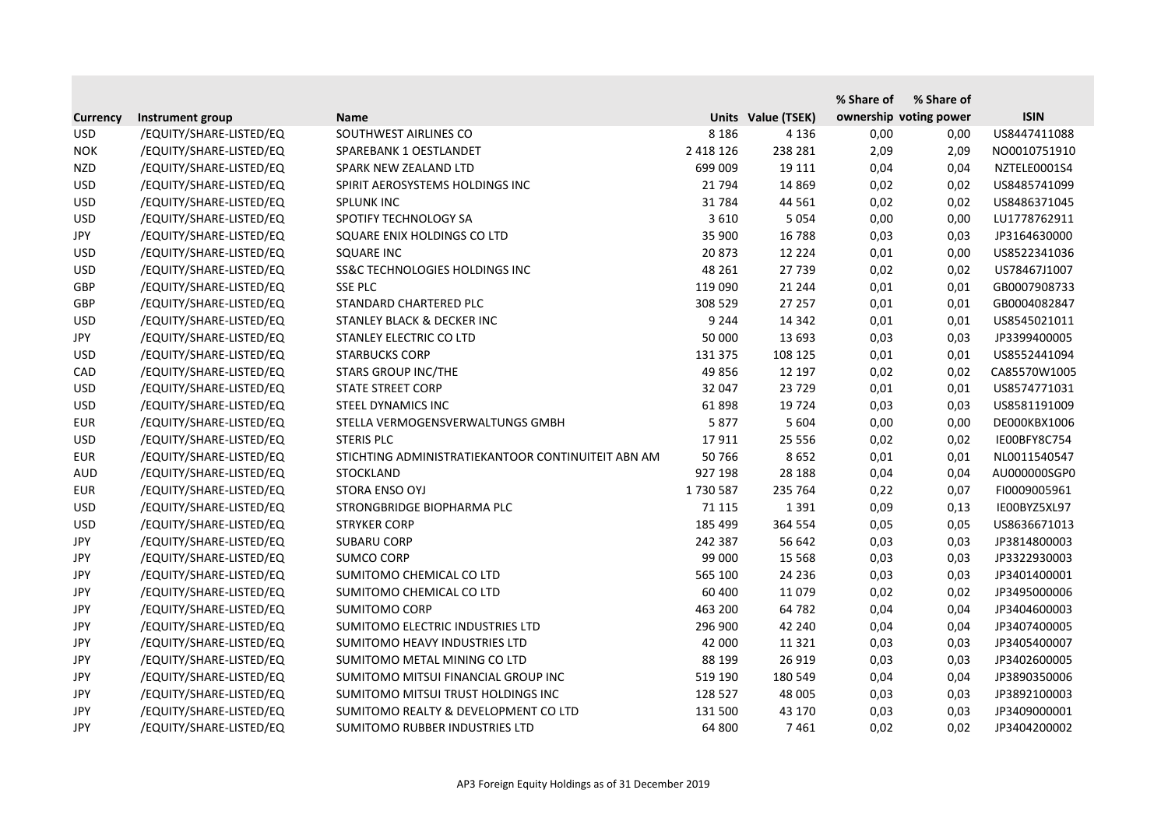|                 |                         |                                                    |               |                    | % Share of | % Share of             |              |
|-----------------|-------------------------|----------------------------------------------------|---------------|--------------------|------------|------------------------|--------------|
| <b>Currency</b> | Instrument group        | <b>Name</b>                                        |               | Units Value (TSEK) |            | ownership voting power | <b>ISIN</b>  |
| <b>USD</b>      | /EQUITY/SHARE-LISTED/EQ | SOUTHWEST AIRLINES CO                              | 8 1 8 6       | 4 1 3 6            | 0,00       | 0,00                   | US8447411088 |
| <b>NOK</b>      | /EQUITY/SHARE-LISTED/EQ | SPAREBANK 1 OESTLANDET                             | 2 4 1 8 1 2 6 | 238 281            | 2,09       | 2,09                   | NO0010751910 |
| <b>NZD</b>      | /EQUITY/SHARE-LISTED/EQ | SPARK NEW ZEALAND LTD                              | 699 009       | 19 111             | 0,04       | 0,04                   | NZTELE0001S4 |
| <b>USD</b>      | /EQUITY/SHARE-LISTED/EQ | SPIRIT AEROSYSTEMS HOLDINGS INC                    | 21 7 94       | 14 8 69            | 0,02       | 0,02                   | US8485741099 |
| <b>USD</b>      | /EQUITY/SHARE-LISTED/EQ | <b>SPLUNK INC</b>                                  | 31784         | 44 5 61            | 0,02       | 0,02                   | US8486371045 |
| <b>USD</b>      | /EQUITY/SHARE-LISTED/EQ | SPOTIFY TECHNOLOGY SA                              | 3 6 1 0       | 5 0 5 4            | 0,00       | 0,00                   | LU1778762911 |
| <b>JPY</b>      | /EQUITY/SHARE-LISTED/EQ | SQUARE ENIX HOLDINGS CO LTD                        | 35 900        | 16 788             | 0,03       | 0,03                   | JP3164630000 |
| <b>USD</b>      | /EQUITY/SHARE-LISTED/EQ | <b>SQUARE INC</b>                                  | 20 873        | 12 2 2 4           | 0,01       | 0,00                   | US8522341036 |
| <b>USD</b>      | /EQUITY/SHARE-LISTED/EQ | SS&C TECHNOLOGIES HOLDINGS INC                     | 48 261        | 27 739             | 0,02       | 0,02                   | US78467J1007 |
| GBP             | /EQUITY/SHARE-LISTED/EQ | <b>SSE PLC</b>                                     | 119 090       | 21 244             | 0,01       | 0,01                   | GB0007908733 |
| GBP             | /EQUITY/SHARE-LISTED/EQ | STANDARD CHARTERED PLC                             | 308 529       | 27 257             | 0,01       | 0,01                   | GB0004082847 |
| <b>USD</b>      | /EQUITY/SHARE-LISTED/EQ | <b>STANLEY BLACK &amp; DECKER INC</b>              | 9 2 4 4       | 14 342             | 0,01       | 0,01                   | US8545021011 |
| JPY             | /EQUITY/SHARE-LISTED/EQ | STANLEY ELECTRIC CO LTD                            | 50 000        | 13 693             | 0,03       | 0,03                   | JP3399400005 |
| <b>USD</b>      | /EQUITY/SHARE-LISTED/EQ | <b>STARBUCKS CORP</b>                              | 131 375       | 108 125            | 0,01       | 0,01                   | US8552441094 |
| CAD             | /EQUITY/SHARE-LISTED/EQ | <b>STARS GROUP INC/THE</b>                         | 49 856        | 12 197             | 0,02       | 0,02                   | CA85570W1005 |
| <b>USD</b>      | /EQUITY/SHARE-LISTED/EQ | <b>STATE STREET CORP</b>                           | 32 047        | 23 7 29            | 0,01       | 0,01                   | US8574771031 |
| <b>USD</b>      | /EQUITY/SHARE-LISTED/EQ | STEEL DYNAMICS INC                                 | 61898         | 19 7 24            | 0,03       | 0,03                   | US8581191009 |
| <b>EUR</b>      | /EQUITY/SHARE-LISTED/EQ | STELLA VERMOGENSVERWALTUNGS GMBH                   | 5877          | 5 6 0 4            | 0,00       | 0,00                   | DE000KBX1006 |
| <b>USD</b>      | /EQUITY/SHARE-LISTED/EQ | <b>STERIS PLC</b>                                  | 17911         | 25 5 5 6           | 0,02       | 0,02                   | IE00BFY8C754 |
| <b>EUR</b>      | /EQUITY/SHARE-LISTED/EQ | STICHTING ADMINISTRATIEKANTOOR CONTINUITEIT ABN AM | 50 766        | 8652               | 0,01       | 0,01                   | NL0011540547 |
| <b>AUD</b>      | /EQUITY/SHARE-LISTED/EQ | <b>STOCKLAND</b>                                   | 927 198       | 28 188             | 0,04       | 0,04                   | AU000000SGP0 |
| <b>EUR</b>      | /EQUITY/SHARE-LISTED/EQ | STORA ENSO OYJ                                     | 1730587       | 235 764            | 0,22       | 0,07                   | FI0009005961 |
| <b>USD</b>      | /EQUITY/SHARE-LISTED/EQ | STRONGBRIDGE BIOPHARMA PLC                         | 71 115        | 1 3 9 1            | 0,09       | 0,13                   | IE00BYZ5XL97 |
| <b>USD</b>      | /EQUITY/SHARE-LISTED/EQ | <b>STRYKER CORP</b>                                | 185 499       | 364 554            | 0,05       | 0,05                   | US8636671013 |
| <b>JPY</b>      | /EQUITY/SHARE-LISTED/EQ | <b>SUBARU CORP</b>                                 | 242 387       | 56 642             | 0,03       | 0,03                   | JP3814800003 |
| JPY             | /EQUITY/SHARE-LISTED/EQ | <b>SUMCO CORP</b>                                  | 99 000        | 15 5 68            | 0,03       | 0,03                   | JP3322930003 |
| <b>JPY</b>      | /EQUITY/SHARE-LISTED/EQ | SUMITOMO CHEMICAL CO LTD                           | 565 100       | 24 2 36            | 0,03       | 0,03                   | JP3401400001 |
| <b>JPY</b>      | /EQUITY/SHARE-LISTED/EQ | SUMITOMO CHEMICAL CO LTD                           | 60 400        | 11 0 79            | 0,02       | 0,02                   | JP3495000006 |
| JPY             | /EQUITY/SHARE-LISTED/EQ | <b>SUMITOMO CORP</b>                               | 463 200       | 64 782             | 0,04       | 0,04                   | JP3404600003 |
| <b>JPY</b>      | /EQUITY/SHARE-LISTED/EQ | SUMITOMO ELECTRIC INDUSTRIES LTD                   | 296 900       | 42 240             | 0,04       | 0,04                   | JP3407400005 |
| JPY             | /EQUITY/SHARE-LISTED/EQ | SUMITOMO HEAVY INDUSTRIES LTD                      | 42 000        | 11 3 2 1           | 0,03       | 0,03                   | JP3405400007 |
| JPY             | /EQUITY/SHARE-LISTED/EQ | SUMITOMO METAL MINING CO LTD                       | 88 199        | 26 919             | 0,03       | 0,03                   | JP3402600005 |
| JPY             | /EQUITY/SHARE-LISTED/EQ | SUMITOMO MITSUI FINANCIAL GROUP INC                | 519 190       | 180 549            | 0,04       | 0,04                   | JP3890350006 |
| JPY             | /EQUITY/SHARE-LISTED/EQ | SUMITOMO MITSUI TRUST HOLDINGS INC                 | 128 527       | 48 005             | 0,03       | 0,03                   | JP3892100003 |
| JPY             | /EQUITY/SHARE-LISTED/EQ | SUMITOMO REALTY & DEVELOPMENT CO LTD               | 131 500       | 43 170             | 0,03       | 0,03                   | JP3409000001 |
| JPY             | /EQUITY/SHARE-LISTED/EQ | SUMITOMO RUBBER INDUSTRIES LTD                     | 64 800        | 7461               | 0,02       | 0,02                   | JP3404200002 |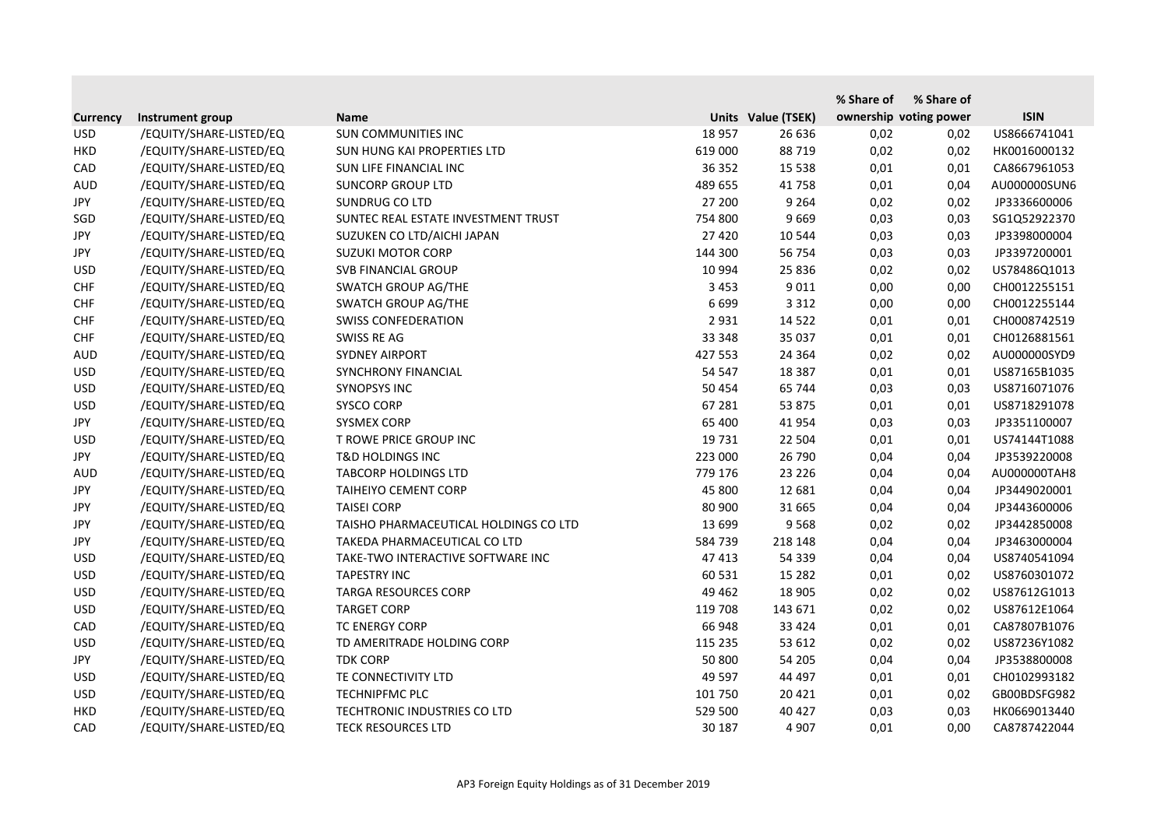|                 |                         |                                       |         |                    | % Share of | % Share of             |              |
|-----------------|-------------------------|---------------------------------------|---------|--------------------|------------|------------------------|--------------|
| <b>Currency</b> | Instrument group        | <b>Name</b>                           |         | Units Value (TSEK) |            | ownership voting power | <b>ISIN</b>  |
| <b>USD</b>      | /EQUITY/SHARE-LISTED/EQ | SUN COMMUNITIES INC                   | 18 9 57 | 26 636             | 0,02       | 0,02                   | US8666741041 |
| <b>HKD</b>      | /EQUITY/SHARE-LISTED/EQ | SUN HUNG KAI PROPERTIES LTD           | 619 000 | 88 719             | 0,02       | 0,02                   | HK0016000132 |
| CAD             | /EQUITY/SHARE-LISTED/EQ | SUN LIFE FINANCIAL INC                | 36 352  | 15 5 38            | 0,01       | 0,01                   | CA8667961053 |
| <b>AUD</b>      | /EQUITY/SHARE-LISTED/EQ | <b>SUNCORP GROUP LTD</b>              | 489 655 | 41758              | 0,01       | 0,04                   | AU000000SUN6 |
| JPY             | /EQUITY/SHARE-LISTED/EQ | <b>SUNDRUG CO LTD</b>                 | 27 200  | 9 2 6 4            | 0,02       | 0,02                   | JP3336600006 |
| SGD             | /EQUITY/SHARE-LISTED/EQ | SUNTEC REAL ESTATE INVESTMENT TRUST   | 754 800 | 9 6 6 9            | 0,03       | 0,03                   | SG1Q52922370 |
| <b>JPY</b>      | /EQUITY/SHARE-LISTED/EQ | SUZUKEN CO LTD/AICHI JAPAN            | 27 4 20 | 10 544             | 0,03       | 0,03                   | JP3398000004 |
| JPY             | /EQUITY/SHARE-LISTED/EQ | <b>SUZUKI MOTOR CORP</b>              | 144 300 | 56 754             | 0,03       | 0,03                   | JP3397200001 |
| <b>USD</b>      | /EQUITY/SHARE-LISTED/EQ | SVB FINANCIAL GROUP                   | 10 994  | 25 8 36            | 0,02       | 0,02                   | US78486Q1013 |
| <b>CHF</b>      | /EQUITY/SHARE-LISTED/EQ | SWATCH GROUP AG/THE                   | 3 4 5 3 | 9 0 1 1            | 0,00       | 0,00                   | CH0012255151 |
| <b>CHF</b>      | /EQUITY/SHARE-LISTED/EQ | SWATCH GROUP AG/THE                   | 6 6 9 9 | 3 3 1 2            | 0,00       | 0,00                   | CH0012255144 |
| <b>CHF</b>      | /EQUITY/SHARE-LISTED/EQ | <b>SWISS CONFEDERATION</b>            | 2 9 3 1 | 14 5 22            | 0,01       | 0,01                   | CH0008742519 |
| <b>CHF</b>      | /EQUITY/SHARE-LISTED/EQ | SWISS RE AG                           | 33 348  | 35 037             | 0,01       | 0,01                   | CH0126881561 |
| <b>AUD</b>      | /EQUITY/SHARE-LISTED/EQ | <b>SYDNEY AIRPORT</b>                 | 427 553 | 24 3 64            | 0,02       | 0,02                   | AU000000SYD9 |
| <b>USD</b>      | /EQUITY/SHARE-LISTED/EQ | <b>SYNCHRONY FINANCIAL</b>            | 54 547  | 18 3 8 7           | 0,01       | 0,01                   | US87165B1035 |
| <b>USD</b>      | /EQUITY/SHARE-LISTED/EQ | <b>SYNOPSYS INC</b>                   | 50 454  | 65 744             | 0,03       | 0,03                   | US8716071076 |
| <b>USD</b>      | /EQUITY/SHARE-LISTED/EQ | <b>SYSCO CORP</b>                     | 67 281  | 53 875             | 0,01       | 0,01                   | US8718291078 |
| JPY             | /EQUITY/SHARE-LISTED/EQ | <b>SYSMEX CORP</b>                    | 65 400  | 41 9 54            | 0,03       | 0,03                   | JP3351100007 |
| <b>USD</b>      | /EQUITY/SHARE-LISTED/EQ | T ROWE PRICE GROUP INC                | 19 731  | 22 504             | 0,01       | 0,01                   | US74144T1088 |
| JPY             | /EQUITY/SHARE-LISTED/EQ | <b>T&amp;D HOLDINGS INC</b>           | 223 000 | 26 790             | 0,04       | 0,04                   | JP3539220008 |
| <b>AUD</b>      | /EQUITY/SHARE-LISTED/EQ | <b>TABCORP HOLDINGS LTD</b>           | 779 176 | 23 2 26            | 0,04       | 0,04                   | AU000000TAH8 |
| JPY             | /EQUITY/SHARE-LISTED/EQ | <b>TAIHEIYO CEMENT CORP</b>           | 45 800  | 12 681             | 0,04       | 0,04                   | JP3449020001 |
| <b>JPY</b>      | /EQUITY/SHARE-LISTED/EQ | <b>TAISEI CORP</b>                    | 80 900  | 31 665             | 0,04       | 0,04                   | JP3443600006 |
| <b>JPY</b>      | /EQUITY/SHARE-LISTED/EQ | TAISHO PHARMACEUTICAL HOLDINGS CO LTD | 13 699  | 9568               | 0,02       | 0,02                   | JP3442850008 |
| JPY             | /EQUITY/SHARE-LISTED/EQ | TAKEDA PHARMACEUTICAL CO LTD          | 584 739 | 218 148            | 0,04       | 0,04                   | JP3463000004 |
| <b>USD</b>      | /EQUITY/SHARE-LISTED/EQ | TAKE-TWO INTERACTIVE SOFTWARE INC     | 47 413  | 54 339             | 0,04       | 0,04                   | US8740541094 |
| <b>USD</b>      | /EQUITY/SHARE-LISTED/EQ | <b>TAPESTRY INC</b>                   | 60 531  | 15 2 8 2           | 0,01       | 0,02                   | US8760301072 |
| <b>USD</b>      | /EQUITY/SHARE-LISTED/EQ | <b>TARGA RESOURCES CORP</b>           | 49 4 62 | 18 905             | 0,02       | 0,02                   | US87612G1013 |
| <b>USD</b>      | /EQUITY/SHARE-LISTED/EQ | <b>TARGET CORP</b>                    | 119 708 | 143 671            | 0,02       | 0,02                   | US87612E1064 |
| CAD             | /EQUITY/SHARE-LISTED/EQ | <b>TC ENERGY CORP</b>                 | 66 948  | 33 4 24            | 0,01       | 0,01                   | CA87807B1076 |
| <b>USD</b>      | /EQUITY/SHARE-LISTED/EQ | TD AMERITRADE HOLDING CORP            | 115 235 | 53 612             | 0,02       | 0,02                   | US87236Y1082 |
| JPY             | /EQUITY/SHARE-LISTED/EQ | <b>TDK CORP</b>                       | 50 800  | 54 205             | 0,04       | 0,04                   | JP3538800008 |
| <b>USD</b>      | /EQUITY/SHARE-LISTED/EQ | TE CONNECTIVITY LTD                   | 49 597  | 44 497             | 0,01       | 0,01                   | CH0102993182 |
| <b>USD</b>      | /EQUITY/SHARE-LISTED/EQ | <b>TECHNIPFMC PLC</b>                 | 101 750 | 20 4 21            | 0,01       | 0,02                   | GB00BDSFG982 |
| <b>HKD</b>      | /EQUITY/SHARE-LISTED/EQ | TECHTRONIC INDUSTRIES CO LTD          | 529 500 | 40 427             | 0,03       | 0,03                   | HK0669013440 |
| CAD             | /EQUITY/SHARE-LISTED/EQ | TECK RESOURCES LTD                    | 30 187  | 4 9 0 7            | 0,01       | 0,00                   | CA8787422044 |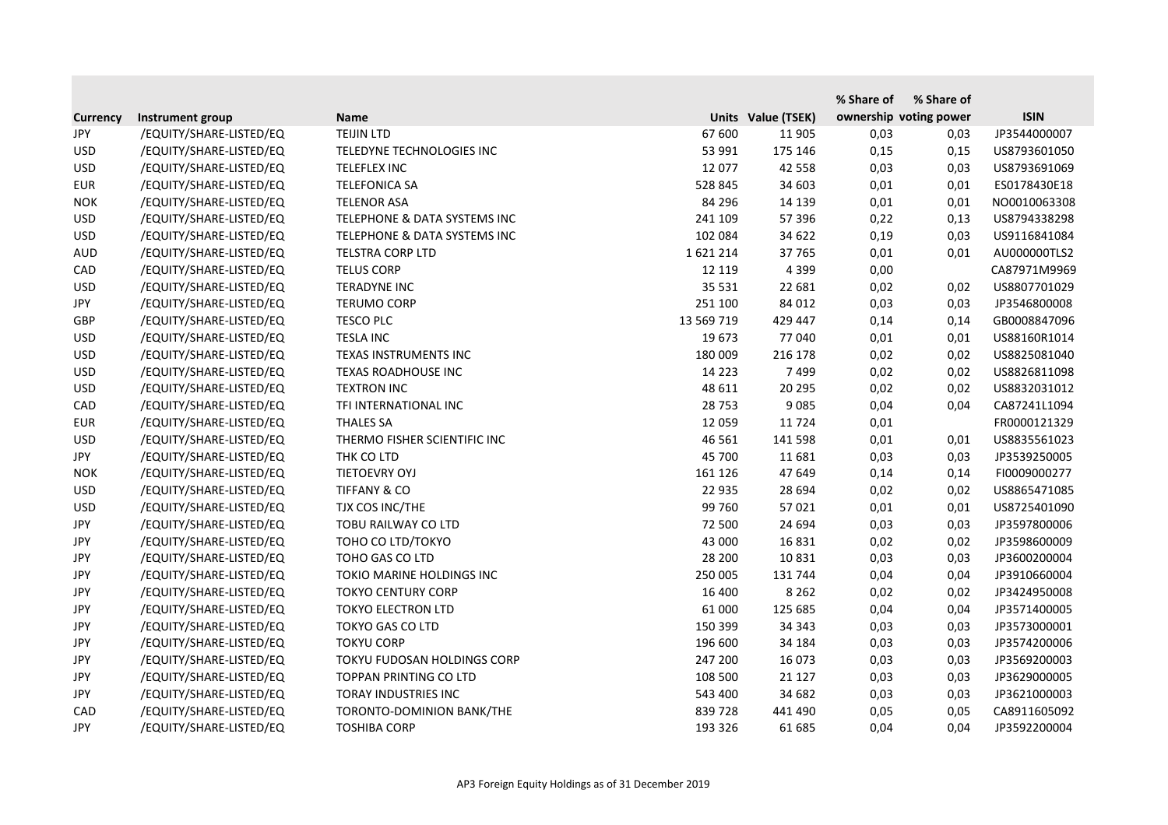|                 |                         |                              |            |                    | % Share of | % Share of             |              |
|-----------------|-------------------------|------------------------------|------------|--------------------|------------|------------------------|--------------|
| <b>Currency</b> | Instrument group        | <b>Name</b>                  |            | Units Value (TSEK) |            | ownership voting power | <b>ISIN</b>  |
| JPY             | /EQUITY/SHARE-LISTED/EQ | <b>TEIJIN LTD</b>            | 67 600     | 11 905             | 0,03       | 0,03                   | JP3544000007 |
| <b>USD</b>      | /EQUITY/SHARE-LISTED/EQ | TELEDYNE TECHNOLOGIES INC    | 53 991     | 175 146            | 0,15       | 0,15                   | US8793601050 |
| <b>USD</b>      | /EQUITY/SHARE-LISTED/EQ | TELEFLEX INC                 | 12 077     | 42 558             | 0,03       | 0,03                   | US8793691069 |
| <b>EUR</b>      | /EQUITY/SHARE-LISTED/EQ | <b>TELEFONICA SA</b>         | 528 845    | 34 603             | 0,01       | 0,01                   | ES0178430E18 |
| <b>NOK</b>      | /EQUITY/SHARE-LISTED/EQ | <b>TELENOR ASA</b>           | 84 296     | 14 139             | 0,01       | 0,01                   | NO0010063308 |
| <b>USD</b>      | /EQUITY/SHARE-LISTED/EQ | TELEPHONE & DATA SYSTEMS INC | 241 109    | 57 396             | 0,22       | 0,13                   | US8794338298 |
| <b>USD</b>      | /EQUITY/SHARE-LISTED/EQ | TELEPHONE & DATA SYSTEMS INC | 102 084    | 34 622             | 0,19       | 0,03                   | US9116841084 |
| <b>AUD</b>      | /EQUITY/SHARE-LISTED/EQ | <b>TELSTRA CORP LTD</b>      | 1621214    | 37 765             | 0,01       | 0,01                   | AU000000TLS2 |
| CAD             | /EQUITY/SHARE-LISTED/EQ | <b>TELUS CORP</b>            | 12 119     | 4 3 9 9            | 0,00       |                        | CA87971M9969 |
| <b>USD</b>      | /EQUITY/SHARE-LISTED/EQ | <b>TERADYNE INC</b>          | 35 5 31    | 22 681             | 0,02       | 0,02                   | US8807701029 |
| <b>JPY</b>      | /EQUITY/SHARE-LISTED/EQ | <b>TERUMO CORP</b>           | 251 100    | 84 012             | 0,03       | 0,03                   | JP3546800008 |
| GBP             | /EQUITY/SHARE-LISTED/EQ | <b>TESCO PLC</b>             | 13 569 719 | 429 447            | 0,14       | 0,14                   | GB0008847096 |
| <b>USD</b>      | /EQUITY/SHARE-LISTED/EQ | <b>TESLA INC</b>             | 19 673     | 77 040             | 0,01       | 0,01                   | US88160R1014 |
| <b>USD</b>      | /EQUITY/SHARE-LISTED/EQ | TEXAS INSTRUMENTS INC        | 180 009    | 216 178            | 0,02       | 0,02                   | US8825081040 |
| <b>USD</b>      | /EQUITY/SHARE-LISTED/EQ | TEXAS ROADHOUSE INC          | 14 2 23    | 7499               | 0,02       | 0,02                   | US8826811098 |
| <b>USD</b>      | /EQUITY/SHARE-LISTED/EQ | <b>TEXTRON INC</b>           | 48 611     | 20 29 5            | 0,02       | 0,02                   | US8832031012 |
| CAD             | /EQUITY/SHARE-LISTED/EQ | TFI INTERNATIONAL INC        | 28 7 53    | 9085               | 0,04       | 0,04                   | CA87241L1094 |
| <b>EUR</b>      | /EQUITY/SHARE-LISTED/EQ | <b>THALES SA</b>             | 12 0 59    | 11 7 24            | 0,01       |                        | FR0000121329 |
| <b>USD</b>      | /EQUITY/SHARE-LISTED/EQ | THERMO FISHER SCIENTIFIC INC | 46 5 61    | 141 598            | 0,01       | 0,01                   | US8835561023 |
| JPY             | /EQUITY/SHARE-LISTED/EQ | THK CO LTD                   | 45 700     | 11 681             | 0,03       | 0,03                   | JP3539250005 |
| <b>NOK</b>      | /EQUITY/SHARE-LISTED/EQ | TIETOEVRY OYJ                | 161 126    | 47 649             | 0,14       | 0,14                   | FI0009000277 |
| <b>USD</b>      | /EQUITY/SHARE-LISTED/EQ | <b>TIFFANY &amp; CO</b>      | 22 935     | 28 6 94            | 0,02       | 0,02                   | US8865471085 |
| <b>USD</b>      | /EQUITY/SHARE-LISTED/EQ | TJX COS INC/THE              | 99 760     | 57 021             | 0,01       | 0,01                   | US8725401090 |
| <b>JPY</b>      | /EQUITY/SHARE-LISTED/EQ | TOBU RAILWAY CO LTD          | 72 500     | 24 694             | 0,03       | 0,03                   | JP3597800006 |
| JPY             | /EQUITY/SHARE-LISTED/EQ | TOHO CO LTD/TOKYO            | 43 000     | 16831              | 0,02       | 0,02                   | JP3598600009 |
| JPY             | /EQUITY/SHARE-LISTED/EQ | TOHO GAS CO LTD              | 28 200     | 10 8 31            | 0,03       | 0,03                   | JP3600200004 |
| <b>JPY</b>      | /EQUITY/SHARE-LISTED/EQ | TOKIO MARINE HOLDINGS INC    | 250 005    | 131 744            | 0,04       | 0,04                   | JP3910660004 |
| <b>JPY</b>      | /EQUITY/SHARE-LISTED/EQ | <b>TOKYO CENTURY CORP</b>    | 16 400     | 8 2 6 2            | 0,02       | 0,02                   | JP3424950008 |
| JPY             | /EQUITY/SHARE-LISTED/EQ | <b>TOKYO ELECTRON LTD</b>    | 61 000     | 125 685            | 0,04       | 0,04                   | JP3571400005 |
| <b>JPY</b>      | /EQUITY/SHARE-LISTED/EQ | <b>TOKYO GAS CO LTD</b>      | 150 399    | 34 34 3            | 0,03       | 0,03                   | JP3573000001 |
| <b>JPY</b>      | /EQUITY/SHARE-LISTED/EQ | <b>TOKYU CORP</b>            | 196 600    | 34 184             | 0,03       | 0,03                   | JP3574200006 |
| JPY             | /EQUITY/SHARE-LISTED/EQ | TOKYU FUDOSAN HOLDINGS CORP  | 247 200    | 16 073             | 0,03       | 0,03                   | JP3569200003 |
| JPY             | /EQUITY/SHARE-LISTED/EQ | TOPPAN PRINTING CO LTD       | 108 500    | 21 1 27            | 0,03       | 0,03                   | JP3629000005 |
| JPY             | /EQUITY/SHARE-LISTED/EQ | TORAY INDUSTRIES INC         | 543 400    | 34 682             | 0,03       | 0,03                   | JP3621000003 |
| CAD             | /EQUITY/SHARE-LISTED/EQ | TORONTO-DOMINION BANK/THE    | 839728     | 441 490            | 0,05       | 0,05                   | CA8911605092 |
| JPY             | /EQUITY/SHARE-LISTED/EQ | <b>TOSHIBA CORP</b>          | 193 326    | 61 685             | 0,04       | 0,04                   | JP3592200004 |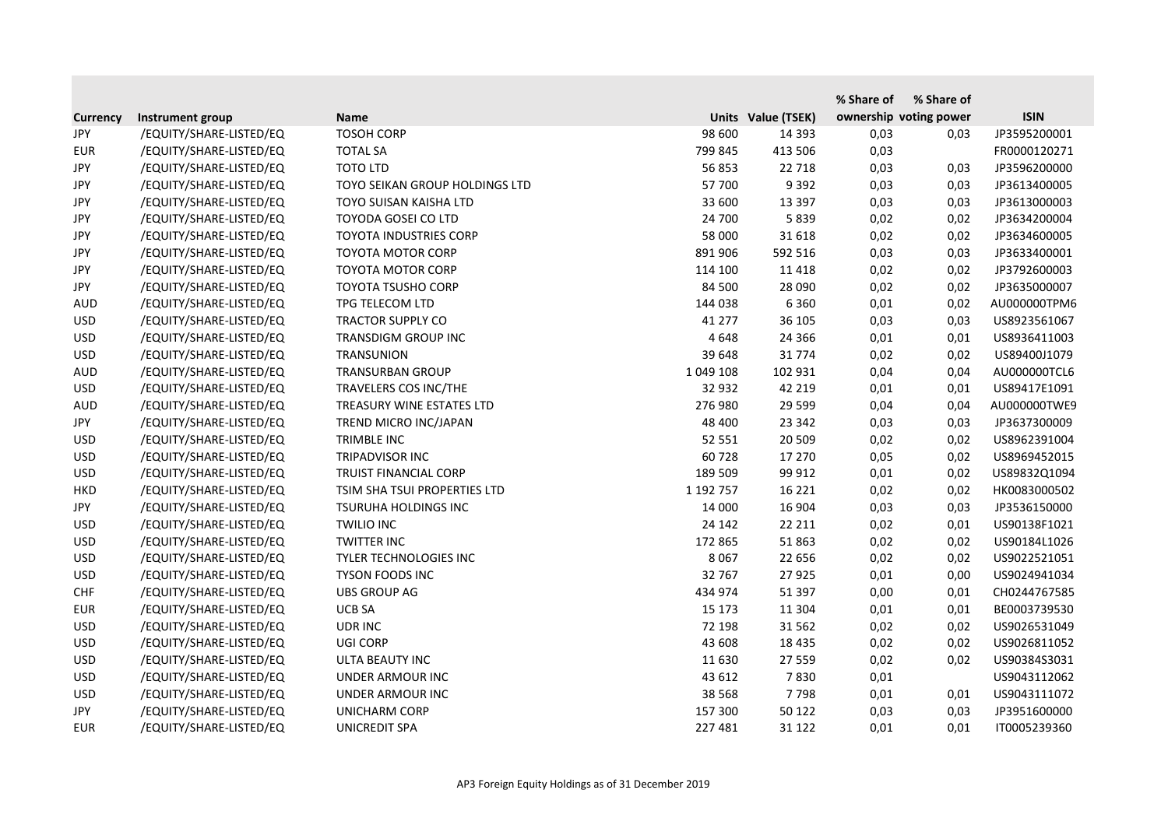|                 |                         |                                |           |                    | % Share of | % Share of             |              |
|-----------------|-------------------------|--------------------------------|-----------|--------------------|------------|------------------------|--------------|
| <b>Currency</b> | Instrument group        | <b>Name</b>                    |           | Units Value (TSEK) |            | ownership voting power | <b>ISIN</b>  |
| JPY             | /EQUITY/SHARE-LISTED/EQ | <b>TOSOH CORP</b>              | 98 600    | 14 3 9 3           | 0,03       | 0,03                   | JP3595200001 |
| <b>EUR</b>      | /EQUITY/SHARE-LISTED/EQ | <b>TOTAL SA</b>                | 799 845   | 413 506            | 0,03       |                        | FR0000120271 |
| <b>JPY</b>      | /EQUITY/SHARE-LISTED/EQ | <b>TOTO LTD</b>                | 56853     | 22 7 18            | 0,03       | 0,03                   | JP3596200000 |
| <b>JPY</b>      | /EQUITY/SHARE-LISTED/EQ | TOYO SEIKAN GROUP HOLDINGS LTD | 57 700    | 9 3 9 2            | 0,03       | 0,03                   | JP3613400005 |
| <b>JPY</b>      | /EQUITY/SHARE-LISTED/EQ | TOYO SUISAN KAISHA LTD         | 33 600    | 13 3 9 7           | 0,03       | 0,03                   | JP3613000003 |
| <b>JPY</b>      | /EQUITY/SHARE-LISTED/EQ | TOYODA GOSEI CO LTD            | 24 700    | 5839               | 0,02       | 0,02                   | JP3634200004 |
| <b>JPY</b>      | /EQUITY/SHARE-LISTED/EQ | <b>TOYOTA INDUSTRIES CORP</b>  | 58 000    | 31 618             | 0,02       | 0,02                   | JP3634600005 |
| JPY             | /EQUITY/SHARE-LISTED/EQ | <b>TOYOTA MOTOR CORP</b>       | 891 906   | 592 516            | 0,03       | 0,03                   | JP3633400001 |
| <b>JPY</b>      | /EQUITY/SHARE-LISTED/EQ | <b>TOYOTA MOTOR CORP</b>       | 114 100   | 11 4 18            | 0,02       | 0,02                   | JP3792600003 |
| <b>JPY</b>      | /EQUITY/SHARE-LISTED/EQ | <b>TOYOTA TSUSHO CORP</b>      | 84 500    | 28 090             | 0,02       | 0,02                   | JP3635000007 |
| <b>AUD</b>      | /EQUITY/SHARE-LISTED/EQ | TPG TELECOM LTD                | 144 038   | 6 3 6 0            | 0,01       | 0,02                   | AU000000TPM6 |
| <b>USD</b>      | /EQUITY/SHARE-LISTED/EQ | <b>TRACTOR SUPPLY CO</b>       | 41 277    | 36 105             | 0,03       | 0,03                   | US8923561067 |
| <b>USD</b>      | /EQUITY/SHARE-LISTED/EQ | TRANSDIGM GROUP INC            | 4648      | 24 3 66            | 0,01       | 0,01                   | US8936411003 |
| <b>USD</b>      | /EQUITY/SHARE-LISTED/EQ | TRANSUNION                     | 39 648    | 31 774             | 0,02       | 0,02                   | US89400J1079 |
| <b>AUD</b>      | /EQUITY/SHARE-LISTED/EQ | <b>TRANSURBAN GROUP</b>        | 1 049 108 | 102 931            | 0,04       | 0,04                   | AU000000TCL6 |
| <b>USD</b>      | /EQUITY/SHARE-LISTED/EQ | TRAVELERS COS INC/THE          | 32 932    | 42 219             | 0,01       | 0,01                   | US89417E1091 |
| <b>AUD</b>      | /EQUITY/SHARE-LISTED/EQ | TREASURY WINE ESTATES LTD      | 276 980   | 29 5 99            | 0,04       | 0,04                   | AU000000TWE9 |
| JPY             | /EQUITY/SHARE-LISTED/EQ | TREND MICRO INC/JAPAN          | 48 400    | 23 342             | 0,03       | 0,03                   | JP3637300009 |
| <b>USD</b>      | /EQUITY/SHARE-LISTED/EQ | <b>TRIMBLE INC</b>             | 52 551    | 20 509             | 0,02       | 0,02                   | US8962391004 |
| <b>USD</b>      | /EQUITY/SHARE-LISTED/EQ | TRIPADVISOR INC                | 60728     | 17 270             | 0,05       | 0,02                   | US8969452015 |
| <b>USD</b>      | /EQUITY/SHARE-LISTED/EQ | TRUIST FINANCIAL CORP          | 189 509   | 99 912             | 0,01       | 0,02                   | US89832Q1094 |
| <b>HKD</b>      | /EQUITY/SHARE-LISTED/EQ | TSIM SHA TSUI PROPERTIES LTD   | 1 192 757 | 16 2 2 1           | 0,02       | 0,02                   | HK0083000502 |
| <b>JPY</b>      | /EQUITY/SHARE-LISTED/EQ | TSURUHA HOLDINGS INC           | 14 000    | 16 904             | 0,03       | 0,03                   | JP3536150000 |
| <b>USD</b>      | /EQUITY/SHARE-LISTED/EQ | <b>TWILIO INC</b>              | 24 142    | 22 211             | 0,02       | 0,01                   | US90138F1021 |
| <b>USD</b>      | /EQUITY/SHARE-LISTED/EQ | <b>TWITTER INC</b>             | 172 865   | 51 863             | 0,02       | 0,02                   | US90184L1026 |
| <b>USD</b>      | /EQUITY/SHARE-LISTED/EQ | <b>TYLER TECHNOLOGIES INC</b>  | 8 0 6 7   | 22 656             | 0,02       | 0,02                   | US9022521051 |
| <b>USD</b>      | /EQUITY/SHARE-LISTED/EQ | TYSON FOODS INC                | 32 767    | 27 9 25            | 0,01       | 0,00                   | US9024941034 |
| <b>CHF</b>      | /EQUITY/SHARE-LISTED/EQ | <b>UBS GROUP AG</b>            | 434 974   | 51 397             | 0,00       | 0,01                   | CH0244767585 |
| <b>EUR</b>      | /EQUITY/SHARE-LISTED/EQ | UCB SA                         | 15 173    | 11 304             | 0,01       | 0,01                   | BE0003739530 |
| <b>USD</b>      | /EQUITY/SHARE-LISTED/EQ | <b>UDRINC</b>                  | 72 198    | 31 5 62            | 0,02       | 0,02                   | US9026531049 |
| <b>USD</b>      | /EQUITY/SHARE-LISTED/EQ | <b>UGI CORP</b>                | 43 608    | 18 4 35            | 0,02       | 0,02                   | US9026811052 |
| <b>USD</b>      | /EQUITY/SHARE-LISTED/EQ | ULTA BEAUTY INC                | 11 630    | 27 559             | 0,02       | 0,02                   | US90384S3031 |
| <b>USD</b>      | /EQUITY/SHARE-LISTED/EQ | UNDER ARMOUR INC               | 43 612    | 7830               | 0,01       |                        | US9043112062 |
| <b>USD</b>      | /EQUITY/SHARE-LISTED/EQ | <b>UNDER ARMOUR INC</b>        | 38 5 68   | 7798               | 0,01       | 0,01                   | US9043111072 |
| JPY             | /EQUITY/SHARE-LISTED/EQ | <b>UNICHARM CORP</b>           | 157 300   | 50 122             | 0,03       | 0,03                   | JP3951600000 |
| <b>EUR</b>      | /EQUITY/SHARE-LISTED/EQ | UNICREDIT SPA                  | 227 481   | 31 122             | 0,01       | 0,01                   | IT0005239360 |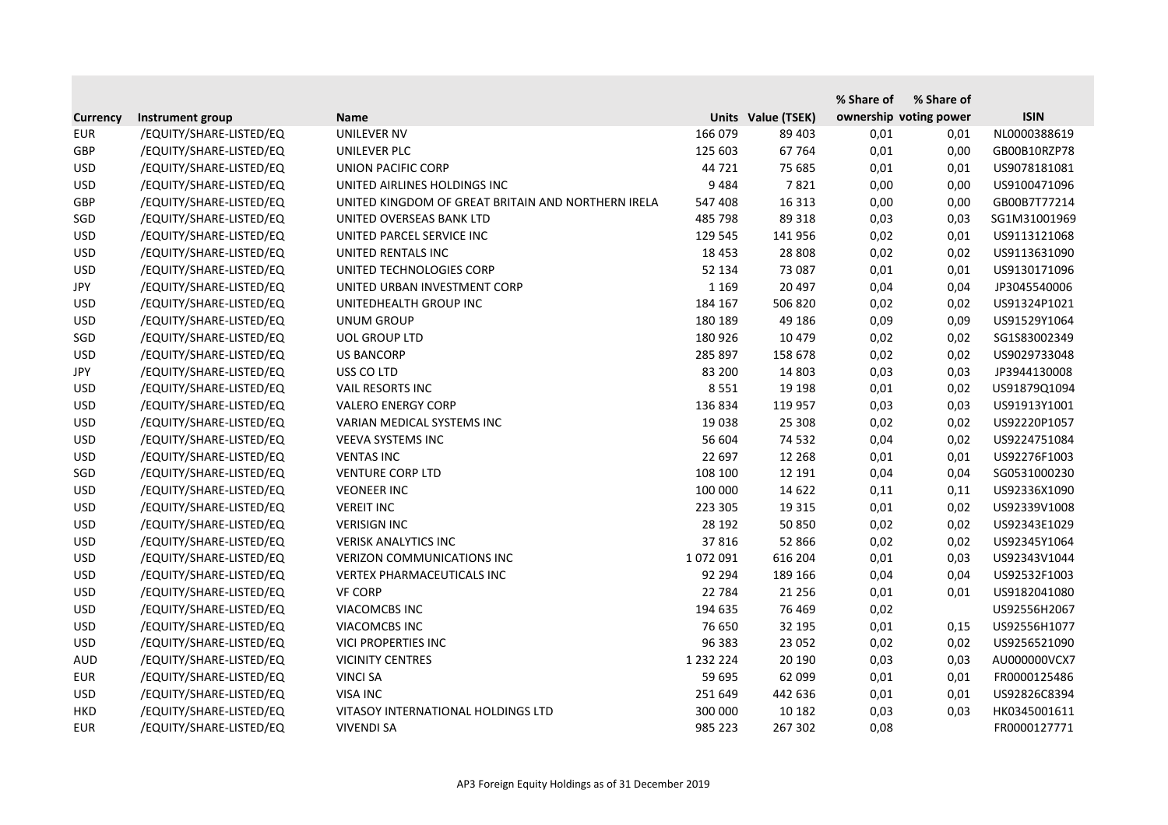|                 |                         |                                                    |               |                    | % Share of | % Share of             |              |
|-----------------|-------------------------|----------------------------------------------------|---------------|--------------------|------------|------------------------|--------------|
| <b>Currency</b> | Instrument group        | <b>Name</b>                                        |               | Units Value (TSEK) |            | ownership voting power | <b>ISIN</b>  |
| <b>EUR</b>      | /EQUITY/SHARE-LISTED/EQ | <b>UNILEVER NV</b>                                 | 166 079       | 89 403             | 0,01       | 0,01                   | NL0000388619 |
| GBP             | /EQUITY/SHARE-LISTED/EQ | UNILEVER PLC                                       | 125 603       | 67 7 64            | 0,01       | 0,00                   | GB00B10RZP78 |
| <b>USD</b>      | /EQUITY/SHARE-LISTED/EQ | <b>UNION PACIFIC CORP</b>                          | 44 721        | 75 685             | 0,01       | 0,01                   | US9078181081 |
| <b>USD</b>      | /EQUITY/SHARE-LISTED/EQ | UNITED AIRLINES HOLDINGS INC                       | 9484          | 7821               | 0,00       | 0,00                   | US9100471096 |
| GBP             | /EQUITY/SHARE-LISTED/EQ | UNITED KINGDOM OF GREAT BRITAIN AND NORTHERN IRELA | 547 408       | 16 3 13            | 0,00       | 0,00                   | GB00B7T77214 |
| SGD             | /EQUITY/SHARE-LISTED/EQ | UNITED OVERSEAS BANK LTD                           | 485 798       | 89 318             | 0,03       | 0,03                   | SG1M31001969 |
| <b>USD</b>      | /EQUITY/SHARE-LISTED/EQ | UNITED PARCEL SERVICE INC                          | 129 545       | 141 956            | 0,02       | 0,01                   | US9113121068 |
| <b>USD</b>      | /EQUITY/SHARE-LISTED/EQ | UNITED RENTALS INC                                 | 18 4 53       | 28 808             | 0,02       | 0,02                   | US9113631090 |
| <b>USD</b>      | /EQUITY/SHARE-LISTED/EQ | UNITED TECHNOLOGIES CORP                           | 52 134        | 73 087             | 0,01       | 0,01                   | US9130171096 |
| JPY             | /EQUITY/SHARE-LISTED/EQ | UNITED URBAN INVESTMENT CORP                       | 1 1 6 9       | 20 497             | 0,04       | 0,04                   | JP3045540006 |
| <b>USD</b>      | /EQUITY/SHARE-LISTED/EQ | UNITEDHEALTH GROUP INC                             | 184 167       | 506 820            | 0,02       | 0,02                   | US91324P1021 |
| <b>USD</b>      | /EQUITY/SHARE-LISTED/EQ | <b>UNUM GROUP</b>                                  | 180 189       | 49 186             | 0,09       | 0,09                   | US91529Y1064 |
| SGD             | /EQUITY/SHARE-LISTED/EQ | <b>UOL GROUP LTD</b>                               | 180 926       | 10 479             | 0,02       | 0,02                   | SG1S83002349 |
| <b>USD</b>      | /EQUITY/SHARE-LISTED/EQ | <b>US BANCORP</b>                                  | 285 897       | 158 678            | 0,02       | 0,02                   | US9029733048 |
| JPY             | /EQUITY/SHARE-LISTED/EQ | USS CO LTD                                         | 83 200        | 14 803             | 0,03       | 0,03                   | JP3944130008 |
| <b>USD</b>      | /EQUITY/SHARE-LISTED/EQ | <b>VAIL RESORTS INC</b>                            | 8551          | 19 19 8            | 0,01       | 0,02                   | US91879Q1094 |
| <b>USD</b>      | /EQUITY/SHARE-LISTED/EQ | <b>VALERO ENERGY CORP</b>                          | 136 834       | 119 957            | 0,03       | 0,03                   | US91913Y1001 |
| <b>USD</b>      | /EQUITY/SHARE-LISTED/EQ | VARIAN MEDICAL SYSTEMS INC                         | 19 0 38       | 25 308             | 0,02       | 0,02                   | US92220P1057 |
| <b>USD</b>      | /EQUITY/SHARE-LISTED/EQ | VEEVA SYSTEMS INC                                  | 56 604        | 74 532             | 0,04       | 0,02                   | US9224751084 |
| <b>USD</b>      | /EQUITY/SHARE-LISTED/EQ | <b>VENTAS INC</b>                                  | 22 697        | 12 2 68            | 0,01       | 0,01                   | US92276F1003 |
| SGD             | /EQUITY/SHARE-LISTED/EQ | <b>VENTURE CORP LTD</b>                            | 108 100       | 12 191             | 0,04       | 0,04                   | SG0531000230 |
| <b>USD</b>      | /EQUITY/SHARE-LISTED/EQ | <b>VEONEER INC</b>                                 | 100 000       | 14 622             | 0,11       | 0,11                   | US92336X1090 |
| <b>USD</b>      | /EQUITY/SHARE-LISTED/EQ | <b>VEREIT INC</b>                                  | 223 305       | 19 3 15            | 0,01       | 0,02                   | US92339V1008 |
| <b>USD</b>      | /EQUITY/SHARE-LISTED/EQ | <b>VERISIGN INC</b>                                | 28 192        | 50 850             | 0,02       | 0,02                   | US92343E1029 |
| <b>USD</b>      | /EQUITY/SHARE-LISTED/EQ | <b>VERISK ANALYTICS INC</b>                        | 37816         | 52 866             | 0,02       | 0,02                   | US92345Y1064 |
| <b>USD</b>      | /EQUITY/SHARE-LISTED/EQ | <b>VERIZON COMMUNICATIONS INC</b>                  | 1072091       | 616 204            | 0,01       | 0,03                   | US92343V1044 |
| <b>USD</b>      | /EQUITY/SHARE-LISTED/EQ | VERTEX PHARMACEUTICALS INC                         | 92 294        | 189 166            | 0,04       | 0,04                   | US92532F1003 |
| <b>USD</b>      | /EQUITY/SHARE-LISTED/EQ | <b>VF CORP</b>                                     | 22 784        | 21 2 5 6           | 0,01       | 0,01                   | US9182041080 |
| <b>USD</b>      | /EQUITY/SHARE-LISTED/EQ | <b>VIACOMCBS INC</b>                               | 194 635       | 76 469             | 0,02       |                        | US92556H2067 |
| <b>USD</b>      | /EQUITY/SHARE-LISTED/EQ | <b>VIACOMCBS INC</b>                               | 76 650        | 32 195             | 0,01       | 0,15                   | US92556H1077 |
| <b>USD</b>      | /EQUITY/SHARE-LISTED/EQ | VICI PROPERTIES INC                                | 96 383        | 23 052             | 0,02       | 0,02                   | US9256521090 |
| <b>AUD</b>      | /EQUITY/SHARE-LISTED/EQ | <b>VICINITY CENTRES</b>                            | 1 2 3 2 2 2 4 | 20 190             | 0,03       | 0,03                   | AU000000VCX7 |
| <b>EUR</b>      | /EQUITY/SHARE-LISTED/EQ | <b>VINCI SA</b>                                    | 59 695        | 62 099             | 0,01       | 0,01                   | FR0000125486 |
| <b>USD</b>      | /EQUITY/SHARE-LISTED/EQ | <b>VISA INC</b>                                    | 251 649       | 442 636            | 0,01       | 0,01                   | US92826C8394 |
| <b>HKD</b>      | /EQUITY/SHARE-LISTED/EQ | VITASOY INTERNATIONAL HOLDINGS LTD                 | 300 000       | 10 182             | 0,03       | 0,03                   | HK0345001611 |
| <b>EUR</b>      | /EQUITY/SHARE-LISTED/EQ | <b>VIVENDI SA</b>                                  | 985 223       | 267 302            | 0,08       |                        | FR0000127771 |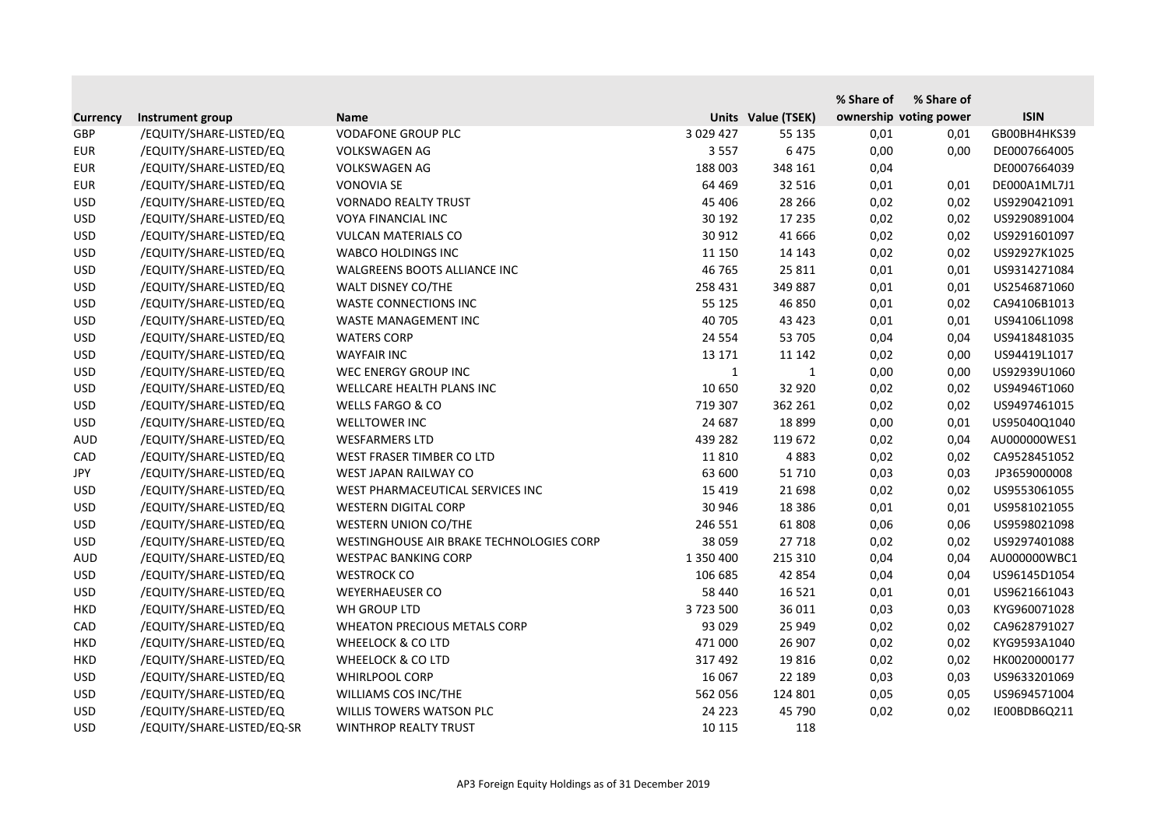|                 |                            |                                          |              |                    | % Share of | % Share of             |              |
|-----------------|----------------------------|------------------------------------------|--------------|--------------------|------------|------------------------|--------------|
| <b>Currency</b> | Instrument group           | <b>Name</b>                              |              | Units Value (TSEK) |            | ownership voting power | <b>ISIN</b>  |
| <b>GBP</b>      | /EQUITY/SHARE-LISTED/EQ    | <b>VODAFONE GROUP PLC</b>                | 3 0 29 4 27  | 55 135             | 0,01       | 0,01                   | GB00BH4HKS39 |
| <b>EUR</b>      | /EQUITY/SHARE-LISTED/EQ    | <b>VOLKSWAGEN AG</b>                     | 3 5 5 7      | 6475               | 0,00       | 0,00                   | DE0007664005 |
| <b>EUR</b>      | /EQUITY/SHARE-LISTED/EQ    | <b>VOLKSWAGEN AG</b>                     | 188 003      | 348 161            | 0,04       |                        | DE0007664039 |
| <b>EUR</b>      | /EQUITY/SHARE-LISTED/EQ    | <b>VONOVIA SE</b>                        | 64 4 69      | 32 516             | 0,01       | 0,01                   | DE000A1ML7J1 |
| <b>USD</b>      | /EQUITY/SHARE-LISTED/EQ    | <b>VORNADO REALTY TRUST</b>              | 45 40 6      | 28 26 6            | 0,02       | 0,02                   | US9290421091 |
| <b>USD</b>      | /EQUITY/SHARE-LISTED/EQ    | <b>VOYA FINANCIAL INC</b>                | 30 192       | 17 235             | 0,02       | 0,02                   | US9290891004 |
| <b>USD</b>      | /EQUITY/SHARE-LISTED/EQ    | <b>VULCAN MATERIALS CO</b>               | 30 912       | 41 666             | 0,02       | 0,02                   | US9291601097 |
| <b>USD</b>      | /EQUITY/SHARE-LISTED/EQ    | <b>WABCO HOLDINGS INC</b>                | 11 150       | 14 143             | 0,02       | 0,02                   | US92927K1025 |
| <b>USD</b>      | /EQUITY/SHARE-LISTED/EQ    | WALGREENS BOOTS ALLIANCE INC             | 46 765       | 25 8 11            | 0,01       | 0,01                   | US9314271084 |
| <b>USD</b>      | /EQUITY/SHARE-LISTED/EQ    | WALT DISNEY CO/THE                       | 258 431      | 349 887            | 0,01       | 0,01                   | US2546871060 |
| <b>USD</b>      | /EQUITY/SHARE-LISTED/EQ    | <b>WASTE CONNECTIONS INC</b>             | 55 125       | 46 850             | 0,01       | 0,02                   | CA94106B1013 |
| <b>USD</b>      | /EQUITY/SHARE-LISTED/EQ    | WASTE MANAGEMENT INC                     | 40 705       | 43 4 23            | 0,01       | 0,01                   | US94106L1098 |
| <b>USD</b>      | /EQUITY/SHARE-LISTED/EQ    | <b>WATERS CORP</b>                       | 24 5 54      | 53 705             | 0,04       | 0,04                   | US9418481035 |
| <b>USD</b>      | /EQUITY/SHARE-LISTED/EQ    | <b>WAYFAIR INC</b>                       | 13 17 1      | 11 142             | 0,02       | 0,00                   | US94419L1017 |
| <b>USD</b>      | /EQUITY/SHARE-LISTED/EQ    | WEC ENERGY GROUP INC                     | $\mathbf{1}$ | 1                  | 0,00       | 0,00                   | US92939U1060 |
| <b>USD</b>      | /EQUITY/SHARE-LISTED/EQ    | WELLCARE HEALTH PLANS INC                | 10 650       | 32 9 20            | 0,02       | 0,02                   | US94946T1060 |
| <b>USD</b>      | /EQUITY/SHARE-LISTED/EQ    | <b>WELLS FARGO &amp; CO</b>              | 719 307      | 362 261            | 0,02       | 0,02                   | US9497461015 |
| <b>USD</b>      | /EQUITY/SHARE-LISTED/EQ    | <b>WELLTOWER INC</b>                     | 24 687       | 18 8 9 9           | 0,00       | 0,01                   | US95040Q1040 |
| <b>AUD</b>      | /EQUITY/SHARE-LISTED/EQ    | <b>WESFARMERS LTD</b>                    | 439 282      | 119 672            | 0,02       | 0,04                   | AU000000WES1 |
| CAD             | /EQUITY/SHARE-LISTED/EQ    | WEST FRASER TIMBER CO LTD                | 11810        | 4883               | 0,02       | 0,02                   | CA9528451052 |
| JPY             | /EQUITY/SHARE-LISTED/EQ    | WEST JAPAN RAILWAY CO                    | 63 600       | 51 710             | 0,03       | 0,03                   | JP3659000008 |
| <b>USD</b>      | /EQUITY/SHARE-LISTED/EQ    | WEST PHARMACEUTICAL SERVICES INC         | 15 4 19      | 21 698             | 0,02       | 0,02                   | US9553061055 |
| <b>USD</b>      | /EQUITY/SHARE-LISTED/EQ    | <b>WESTERN DIGITAL CORP</b>              | 30 946       | 18 3 8 6           | 0,01       | 0,01                   | US9581021055 |
| <b>USD</b>      | /EQUITY/SHARE-LISTED/EQ    | <b>WESTERN UNION CO/THE</b>              | 246 551      | 61808              | 0,06       | 0,06                   | US9598021098 |
| <b>USD</b>      | /EQUITY/SHARE-LISTED/EQ    | WESTINGHOUSE AIR BRAKE TECHNOLOGIES CORP | 38 059       | 27 7 18            | 0,02       | 0,02                   | US9297401088 |
| <b>AUD</b>      | /EQUITY/SHARE-LISTED/EQ    | <b>WESTPAC BANKING CORP</b>              | 1 350 400    | 215 310            | 0,04       | 0,04                   | AU000000WBC1 |
| <b>USD</b>      | /EQUITY/SHARE-LISTED/EQ    | <b>WESTROCK CO</b>                       | 106 685      | 42 854             | 0,04       | 0,04                   | US96145D1054 |
| <b>USD</b>      | /EQUITY/SHARE-LISTED/EQ    | <b>WEYERHAEUSER CO</b>                   | 58 440       | 16 5 21            | 0,01       | 0,01                   | US9621661043 |
| <b>HKD</b>      | /EQUITY/SHARE-LISTED/EQ    | WH GROUP LTD                             | 3723500      | 36 011             | 0,03       | 0,03                   | KYG960071028 |
| CAD             | /EQUITY/SHARE-LISTED/EQ    | <b>WHEATON PRECIOUS METALS CORP</b>      | 93 0 29      | 25 949             | 0,02       | 0,02                   | CA9628791027 |
| <b>HKD</b>      | /EQUITY/SHARE-LISTED/EQ    | <b>WHEELOCK &amp; CO LTD</b>             | 471 000      | 26 907             | 0,02       | 0,02                   | KYG9593A1040 |
| <b>HKD</b>      | /EQUITY/SHARE-LISTED/EQ    | <b>WHEELOCK &amp; CO LTD</b>             | 317 492      | 19816              | 0,02       | 0,02                   | HK0020000177 |
| <b>USD</b>      | /EQUITY/SHARE-LISTED/EQ    | <b>WHIRLPOOL CORP</b>                    | 16 067       | 22 189             | 0,03       | 0,03                   | US9633201069 |
| <b>USD</b>      | /EQUITY/SHARE-LISTED/EQ    | WILLIAMS COS INC/THE                     | 562 056      | 124 801            | 0,05       | 0,05                   | US9694571004 |
| <b>USD</b>      | /EQUITY/SHARE-LISTED/EQ    | WILLIS TOWERS WATSON PLC                 | 24 2 23      | 45 790             | 0,02       | 0,02                   | IE00BDB6Q211 |
| <b>USD</b>      | /EQUITY/SHARE-LISTED/EQ-SR | WINTHROP REALTY TRUST                    | 10 115       | 118                |            |                        |              |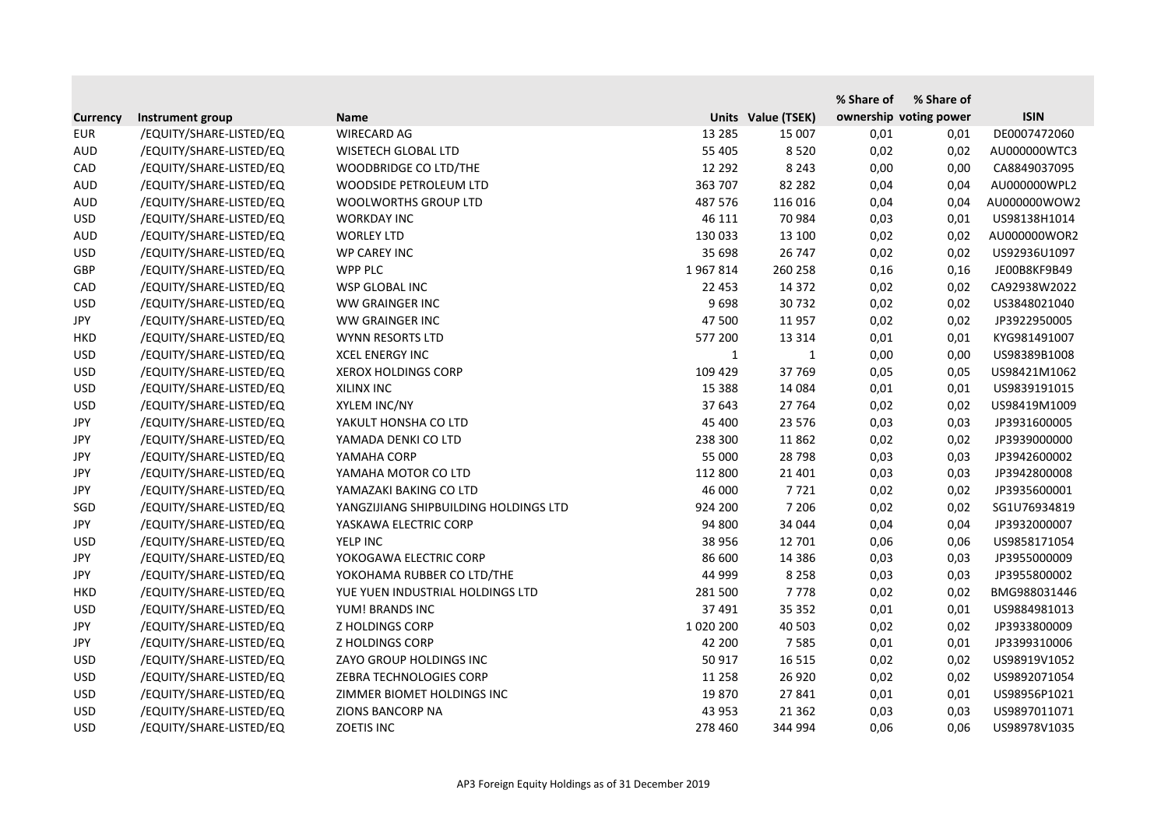|                 |                         |                                       |               |                    | % Share of | % Share of             |              |
|-----------------|-------------------------|---------------------------------------|---------------|--------------------|------------|------------------------|--------------|
| <b>Currency</b> | Instrument group        | <b>Name</b>                           |               | Units Value (TSEK) |            | ownership voting power | <b>ISIN</b>  |
| <b>EUR</b>      | /EQUITY/SHARE-LISTED/EQ | <b>WIRECARD AG</b>                    | 13 2 8 5      | 15 007             | 0,01       | 0,01                   | DE0007472060 |
| <b>AUD</b>      | /EQUITY/SHARE-LISTED/EQ | <b>WISETECH GLOBAL LTD</b>            | 55 405        | 8520               | 0,02       | 0,02                   | AU000000WTC3 |
| CAD             | /EQUITY/SHARE-LISTED/EQ | WOODBRIDGE CO LTD/THE                 | 12 2 9 2      | 8 2 4 3            | 0,00       | 0,00                   | CA8849037095 |
| <b>AUD</b>      | /EQUITY/SHARE-LISTED/EQ | WOODSIDE PETROLEUM LTD                | 363 707       | 82 2 82            | 0,04       | 0,04                   | AU000000WPL2 |
| <b>AUD</b>      | /EQUITY/SHARE-LISTED/EQ | <b>WOOLWORTHS GROUP LTD</b>           | 487 576       | 116 016            | 0,04       | 0,04                   | AU000000WOW2 |
| <b>USD</b>      | /EQUITY/SHARE-LISTED/EQ | <b>WORKDAY INC</b>                    | 46 111        | 70 984             | 0,03       | 0,01                   | US98138H1014 |
| <b>AUD</b>      | /EQUITY/SHARE-LISTED/EQ | <b>WORLEY LTD</b>                     | 130 033       | 13 100             | 0,02       | 0,02                   | AU000000WOR2 |
| <b>USD</b>      | /EQUITY/SHARE-LISTED/EQ | WP CAREY INC                          | 35 698        | 26 747             | 0,02       | 0,02                   | US92936U1097 |
| GBP             | /EQUITY/SHARE-LISTED/EQ | WPP PLC                               | 1967814       | 260 258            | 0,16       | 0,16                   | JE00B8KF9B49 |
| CAD             | /EQUITY/SHARE-LISTED/EQ | WSP GLOBAL INC                        | 22 453        | 14 372             | 0,02       | 0,02                   | CA92938W2022 |
| <b>USD</b>      | /EQUITY/SHARE-LISTED/EQ | WW GRAINGER INC                       | 9698          | 30732              | 0,02       | 0,02                   | US3848021040 |
| JPY             | /EQUITY/SHARE-LISTED/EQ | WW GRAINGER INC                       | 47 500        | 11 957             | 0,02       | 0,02                   | JP3922950005 |
| <b>HKD</b>      | /EQUITY/SHARE-LISTED/EQ | WYNN RESORTS LTD                      | 577 200       | 13 3 14            | 0,01       | 0,01                   | KYG981491007 |
| <b>USD</b>      | /EQUITY/SHARE-LISTED/EQ | <b>XCEL ENERGY INC</b>                | $\mathbf{1}$  | 1                  | 0,00       | 0,00                   | US98389B1008 |
| <b>USD</b>      | /EQUITY/SHARE-LISTED/EQ | <b>XEROX HOLDINGS CORP</b>            | 109 429       | 37 769             | 0,05       | 0,05                   | US98421M1062 |
| <b>USD</b>      | /EQUITY/SHARE-LISTED/EQ | XILINX INC                            | 15 3 8 8      | 14 0 84            | 0,01       | 0,01                   | US9839191015 |
| <b>USD</b>      | /EQUITY/SHARE-LISTED/EQ | XYLEM INC/NY                          | 37 643        | 27 764             | 0,02       | 0,02                   | US98419M1009 |
| JPY             | /EQUITY/SHARE-LISTED/EQ | YAKULT HONSHA CO LTD                  | 45 400        | 23 576             | 0,03       | 0,03                   | JP3931600005 |
| <b>JPY</b>      | /EQUITY/SHARE-LISTED/EQ | YAMADA DENKI CO LTD                   | 238 300       | 11 8 62            | 0,02       | 0,02                   | JP3939000000 |
| JPY             | /EQUITY/SHARE-LISTED/EQ | YAMAHA CORP                           | 55 000        | 28 7 98            | 0,03       | 0,03                   | JP3942600002 |
| JPY             | /EQUITY/SHARE-LISTED/EQ | YAMAHA MOTOR CO LTD                   | 112 800       | 21 4 01            | 0,03       | 0,03                   | JP3942800008 |
| JPY             | /EQUITY/SHARE-LISTED/EQ | YAMAZAKI BAKING CO LTD                | 46 000        | 7721               | 0,02       | 0,02                   | JP3935600001 |
| SGD             | /EQUITY/SHARE-LISTED/EQ | YANGZIJIANG SHIPBUILDING HOLDINGS LTD | 924 200       | 7 2 0 6            | 0,02       | 0,02                   | SG1U76934819 |
| <b>JPY</b>      | /EQUITY/SHARE-LISTED/EQ | YASKAWA ELECTRIC CORP                 | 94 800        | 34 044             | 0,04       | 0,04                   | JP3932000007 |
| <b>USD</b>      | /EQUITY/SHARE-LISTED/EQ | YELP INC                              | 38 956        | 12 701             | 0,06       | 0,06                   | US9858171054 |
| JPY             | /EQUITY/SHARE-LISTED/EQ | YOKOGAWA ELECTRIC CORP                | 86 600        | 14 3 8 6           | 0,03       | 0,03                   | JP3955000009 |
| JPY             | /EQUITY/SHARE-LISTED/EQ | YOKOHAMA RUBBER CO LTD/THE            | 44 999        | 8 2 5 8            | 0,03       | 0,03                   | JP3955800002 |
| <b>HKD</b>      | /EQUITY/SHARE-LISTED/EQ | YUE YUEN INDUSTRIAL HOLDINGS LTD      | 281 500       | 7778               | 0,02       | 0,02                   | BMG988031446 |
| <b>USD</b>      | /EQUITY/SHARE-LISTED/EQ | YUM! BRANDS INC                       | 37 491        | 35 352             | 0,01       | 0,01                   | US9884981013 |
| JPY             | /EQUITY/SHARE-LISTED/EQ | <b>Z HOLDINGS CORP</b>                | 1 0 2 0 2 0 0 | 40 503             | 0,02       | 0,02                   | JP3933800009 |
| JPY             | /EQUITY/SHARE-LISTED/EQ | <b>Z HOLDINGS CORP</b>                | 42 200        | 7585               | 0,01       | 0,01                   | JP3399310006 |
| <b>USD</b>      | /EQUITY/SHARE-LISTED/EQ | ZAYO GROUP HOLDINGS INC               | 50 917        | 16 5 15            | 0,02       | 0,02                   | US98919V1052 |
| <b>USD</b>      | /EQUITY/SHARE-LISTED/EQ | ZEBRA TECHNOLOGIES CORP               | 11 258        | 26 9 20            | 0,02       | 0,02                   | US9892071054 |
| <b>USD</b>      | /EQUITY/SHARE-LISTED/EQ | ZIMMER BIOMET HOLDINGS INC            | 19870         | 27 841             | 0,01       | 0,01                   | US98956P1021 |
| <b>USD</b>      | /EQUITY/SHARE-LISTED/EQ | ZIONS BANCORP NA                      | 43 953        | 21 3 6 2           | 0,03       | 0,03                   | US9897011071 |
| <b>USD</b>      | /EQUITY/SHARE-LISTED/EQ | ZOETIS INC                            | 278 460       | 344 994            | 0,06       | 0,06                   | US98978V1035 |